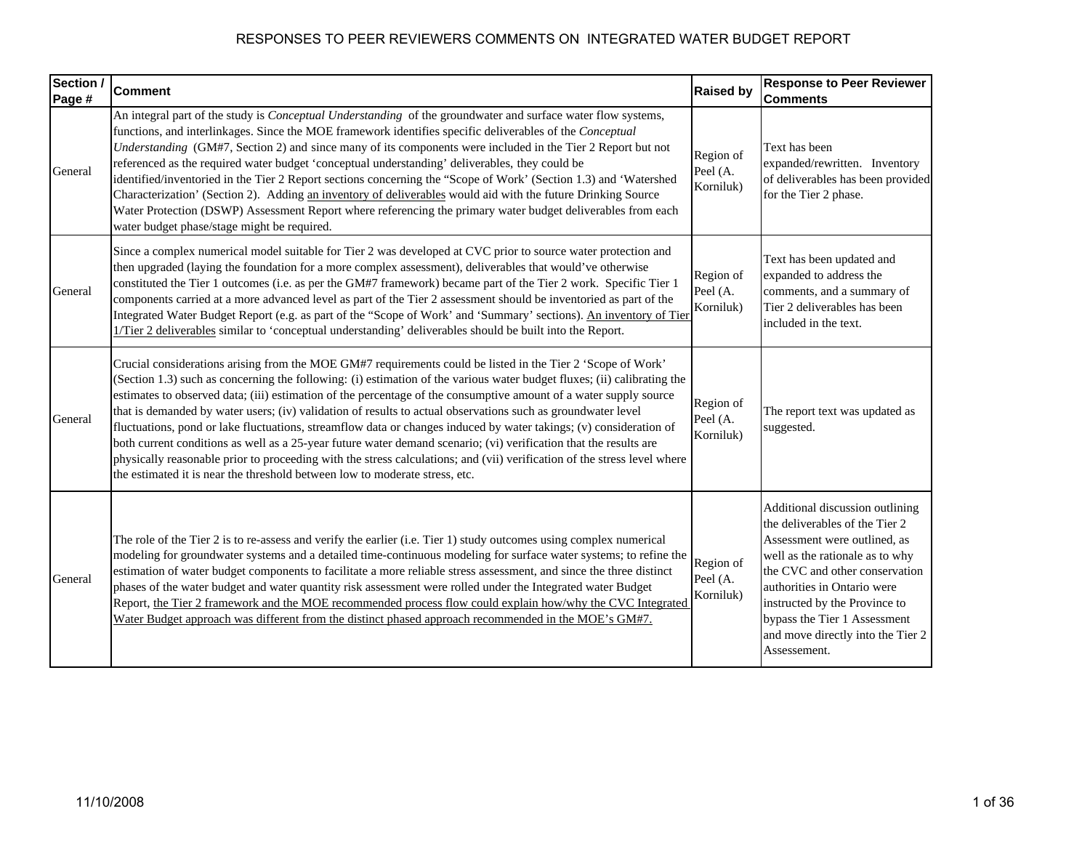| Section /<br>Page # | <b>Comment</b>                                                                                                                                                                                                                                                                                                                                                                                                                                                                                                                                                                                                                                                                                                                                                                                                                                                                                                                    | <b>Raised by</b>                   | <b>Response to Peer Reviewer</b><br><b>Comments</b>                                                                                                                                                                                                                                                                         |
|---------------------|-----------------------------------------------------------------------------------------------------------------------------------------------------------------------------------------------------------------------------------------------------------------------------------------------------------------------------------------------------------------------------------------------------------------------------------------------------------------------------------------------------------------------------------------------------------------------------------------------------------------------------------------------------------------------------------------------------------------------------------------------------------------------------------------------------------------------------------------------------------------------------------------------------------------------------------|------------------------------------|-----------------------------------------------------------------------------------------------------------------------------------------------------------------------------------------------------------------------------------------------------------------------------------------------------------------------------|
| General             | An integral part of the study is <i>Conceptual Understanding</i> of the groundwater and surface water flow systems,<br>functions, and interlinkages. Since the MOE framework identifies specific deliverables of the Conceptual<br>Understanding (GM#7, Section 2) and since many of its components were included in the Tier 2 Report but not<br>referenced as the required water budget 'conceptual understanding' deliverables, they could be<br>identified/inventoried in the Tier 2 Report sections concerning the "Scope of Work' (Section 1.3) and 'Watershed<br>Characterization' (Section 2). Adding an inventory of deliverables would aid with the future Drinking Source<br>Water Protection (DSWP) Assessment Report where referencing the primary water budget deliverables from each<br>water budget phase/stage might be required.                                                                                | Region of<br>Peel (A.<br>Korniluk) | Text has been<br>expanded/rewritten. Inventory<br>of deliverables has been provided<br>for the Tier 2 phase.                                                                                                                                                                                                                |
| General             | Since a complex numerical model suitable for Tier 2 was developed at CVC prior to source water protection and<br>then upgraded (laying the foundation for a more complex assessment), deliverables that would've otherwise<br>constituted the Tier 1 outcomes (i.e. as per the GM#7 framework) became part of the Tier 2 work. Specific Tier 1<br>components carried at a more advanced level as part of the Tier 2 assessment should be inventoried as part of the<br>Integrated Water Budget Report (e.g. as part of the "Scope of Work' and 'Summary' sections). An inventory of Tier<br>1/Tier 2 deliverables similar to 'conceptual understanding' deliverables should be built into the Report.                                                                                                                                                                                                                             | Region of<br>Peel (A.<br>Korniluk) | Text has been updated and<br>expanded to address the<br>comments, and a summary of<br>Tier 2 deliverables has been<br>included in the text.                                                                                                                                                                                 |
| General             | Crucial considerations arising from the MOE GM#7 requirements could be listed in the Tier 2 'Scope of Work'<br>(Section 1.3) such as concerning the following: (i) estimation of the various water budget fluxes; (ii) calibrating the<br>estimates to observed data; (iii) estimation of the percentage of the consumptive amount of a water supply source<br>that is demanded by water users; (iv) validation of results to actual observations such as groundwater level<br>fluctuations, pond or lake fluctuations, streamflow data or changes induced by water takings; (v) consideration of<br>both current conditions as well as a 25-year future water demand scenario; (vi) verification that the results are<br>physically reasonable prior to proceeding with the stress calculations; and (vii) verification of the stress level where<br>the estimated it is near the threshold between low to moderate stress, etc. | Region of<br>Peel (A.<br>Korniluk) | The report text was updated as<br>suggested.                                                                                                                                                                                                                                                                                |
| General             | The role of the Tier 2 is to re-assess and verify the earlier (i.e. Tier 1) study outcomes using complex numerical<br>modeling for groundwater systems and a detailed time-continuous modeling for surface water systems; to refine the<br>estimation of water budget components to facilitate a more reliable stress assessment, and since the three distinct<br>phases of the water budget and water quantity risk assessment were rolled under the Integrated water Budget<br>Report, the Tier 2 framework and the MOE recommended process flow could explain how/why the CVC Integrated<br>Water Budget approach was different from the distinct phased approach recommended in the MOE's GM#7.                                                                                                                                                                                                                               | Region of<br>Peel (A.<br>Korniluk) | Additional discussion outlining<br>the deliverables of the Tier 2<br>Assessment were outlined, as<br>well as the rationale as to why<br>the CVC and other conservation<br>authorities in Ontario were<br>instructed by the Province to<br>bypass the Tier 1 Assessment<br>and move directly into the Tier 2<br>Assessement. |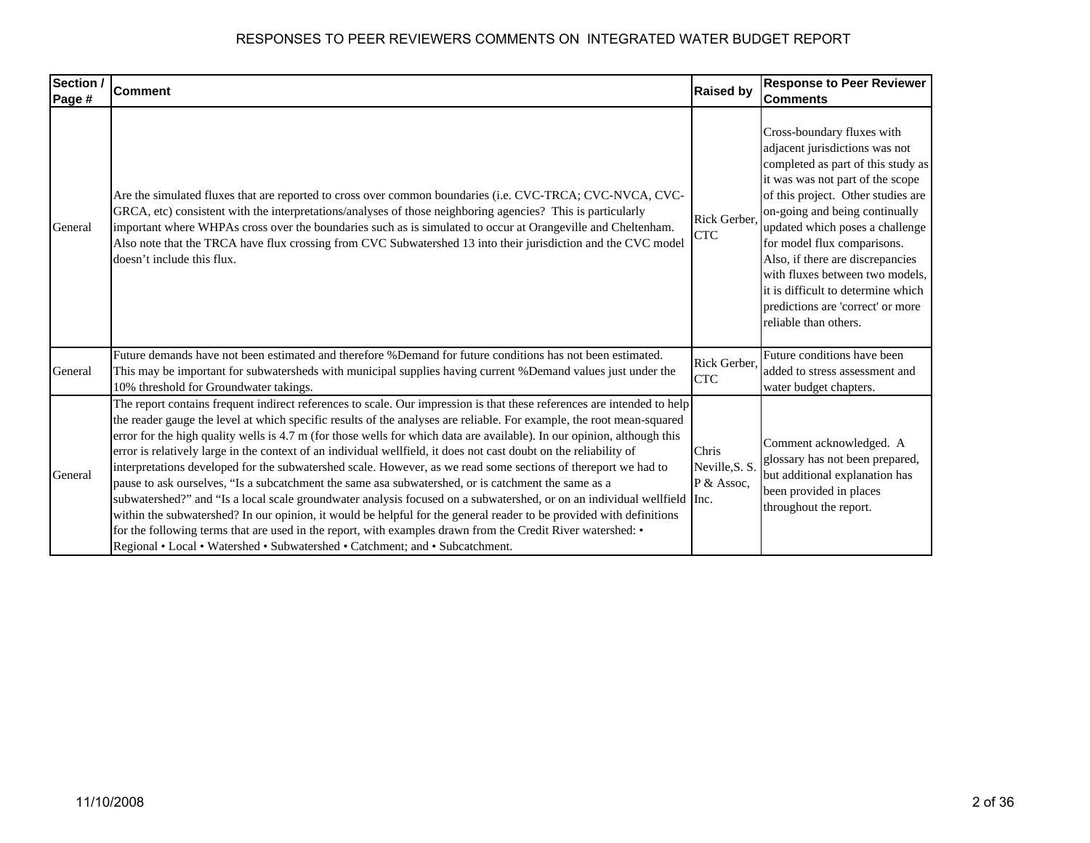| Section /<br>Page # | <b>Comment</b>                                                                                                                                                                                                                                                                                                                                                                                                                                                                                                                                                                                                                                                                                                                                                                                                                                                                                                                                                                                                                                                                                                                                                             | <b>Raised by</b>                      | <b>Response to Peer Reviewer</b><br><b>Comments</b>                                                                                                                                                                                                                                                                                                                                                                                                         |
|---------------------|----------------------------------------------------------------------------------------------------------------------------------------------------------------------------------------------------------------------------------------------------------------------------------------------------------------------------------------------------------------------------------------------------------------------------------------------------------------------------------------------------------------------------------------------------------------------------------------------------------------------------------------------------------------------------------------------------------------------------------------------------------------------------------------------------------------------------------------------------------------------------------------------------------------------------------------------------------------------------------------------------------------------------------------------------------------------------------------------------------------------------------------------------------------------------|---------------------------------------|-------------------------------------------------------------------------------------------------------------------------------------------------------------------------------------------------------------------------------------------------------------------------------------------------------------------------------------------------------------------------------------------------------------------------------------------------------------|
| General             | Are the simulated fluxes that are reported to cross over common boundaries (i.e. CVC-TRCA; CVC-NVCA, CVC-<br>GRCA, etc) consistent with the interpretations/analyses of those neighboring agencies? This is particularly<br>important where WHPAs cross over the boundaries such as is simulated to occur at Orangeville and Cheltenham.<br>Also note that the TRCA have flux crossing from CVC Subwatershed 13 into their jurisdiction and the CVC model<br>doesn't include this flux.                                                                                                                                                                                                                                                                                                                                                                                                                                                                                                                                                                                                                                                                                    | Rick Gerber,<br><b>CTC</b>            | Cross-boundary fluxes with<br>adjacent jurisdictions was not<br>completed as part of this study as<br>it was was not part of the scope<br>of this project. Other studies are<br>on-going and being continually<br>updated which poses a challenge<br>for model flux comparisons.<br>Also, if there are discrepancies<br>with fluxes between two models,<br>it is difficult to determine which<br>predictions are 'correct' or more<br>reliable than others. |
| General             | Future demands have not been estimated and therefore %Demand for future conditions has not been estimated.<br>This may be important for subwatersheds with municipal supplies having current %Demand values just under the<br>10% threshold for Groundwater takings.                                                                                                                                                                                                                                                                                                                                                                                                                                                                                                                                                                                                                                                                                                                                                                                                                                                                                                       | Rick Gerber,<br><b>CTC</b>            | Future conditions have been<br>added to stress assessment and<br>water budget chapters.                                                                                                                                                                                                                                                                                                                                                                     |
| General             | The report contains frequent indirect references to scale. Our impression is that these references are intended to help<br>the reader gauge the level at which specific results of the analyses are reliable. For example, the root mean-squared<br>error for the high quality wells is 4.7 m (for those wells for which data are available). In our opinion, although this<br>error is relatively large in the context of an individual wellfield, it does not cast doubt on the reliability of<br>interpretations developed for the subwatershed scale. However, as we read some sections of thereport we had to<br>pause to ask ourselves, "Is a subcatchment the same asa subwatershed, or is catchment the same as a<br>subwatershed?" and "Is a local scale groundwater analysis focused on a subwatershed, or on an individual wellfield Inc.<br>within the subwatershed? In our opinion, it would be helpful for the general reader to be provided with definitions<br>for the following terms that are used in the report, with examples drawn from the Credit River watershed: •<br>Regional • Local • Watershed • Subwatershed • Catchment; and • Subcatchment. | Chris<br>Neville, S. S.<br>P & Assoc, | Comment acknowledged. A<br>glossary has not been prepared,<br>but additional explanation has<br>been provided in places<br>throughout the report.                                                                                                                                                                                                                                                                                                           |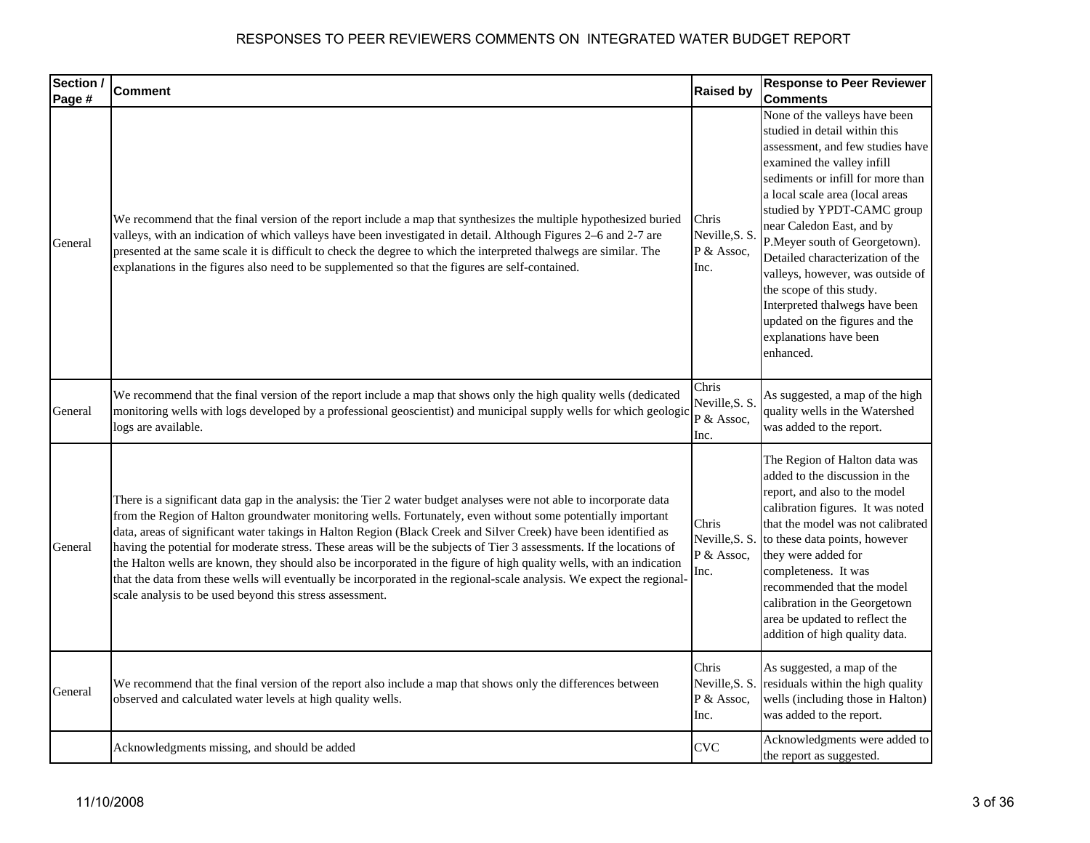| Section / | <b>Comment</b>                                                                                                                                                                                                                                                                                                                                                                                                                                                                                                                                                                                                                                                                                                                                                                                 | <b>Raised by</b>                              | <b>Response to Peer Reviewer</b>                                                                                                                                                                                                                                                                                                                                                                                                                                                                                    |
|-----------|------------------------------------------------------------------------------------------------------------------------------------------------------------------------------------------------------------------------------------------------------------------------------------------------------------------------------------------------------------------------------------------------------------------------------------------------------------------------------------------------------------------------------------------------------------------------------------------------------------------------------------------------------------------------------------------------------------------------------------------------------------------------------------------------|-----------------------------------------------|---------------------------------------------------------------------------------------------------------------------------------------------------------------------------------------------------------------------------------------------------------------------------------------------------------------------------------------------------------------------------------------------------------------------------------------------------------------------------------------------------------------------|
| Page #    |                                                                                                                                                                                                                                                                                                                                                                                                                                                                                                                                                                                                                                                                                                                                                                                                |                                               | <b>Comments</b>                                                                                                                                                                                                                                                                                                                                                                                                                                                                                                     |
| General   | We recommend that the final version of the report include a map that synthesizes the multiple hypothesized buried<br>valleys, with an indication of which valleys have been investigated in detail. Although Figures 2–6 and 2-7 are<br>presented at the same scale it is difficult to check the degree to which the interpreted thalwegs are similar. The<br>explanations in the figures also need to be supplemented so that the figures are self-contained.                                                                                                                                                                                                                                                                                                                                 | Chris<br>Neville, S. S.<br>P & Assoc,<br>Inc. | None of the valleys have been<br>studied in detail within this<br>assessment, and few studies have<br>examined the valley infill<br>sediments or infill for more than<br>a local scale area (local areas<br>studied by YPDT-CAMC group<br>near Caledon East, and by<br>P.Meyer south of Georgetown).<br>Detailed characterization of the<br>valleys, however, was outside of<br>the scope of this study.<br>Interpreted thalwegs have been<br>updated on the figures and the<br>explanations have been<br>enhanced. |
| General   | We recommend that the final version of the report include a map that shows only the high quality wells (dedicated<br>monitoring wells with logs developed by a professional geoscientist) and municipal supply wells for which geologic<br>logs are available.                                                                                                                                                                                                                                                                                                                                                                                                                                                                                                                                 | Chris<br>Neville, S. S.<br>P & Assoc,<br>Inc. | As suggested, a map of the high<br>quality wells in the Watershed<br>was added to the report.                                                                                                                                                                                                                                                                                                                                                                                                                       |
| General   | There is a significant data gap in the analysis: the Tier 2 water budget analyses were not able to incorporate data<br>from the Region of Halton groundwater monitoring wells. Fortunately, even without some potentially important<br>data, areas of significant water takings in Halton Region (Black Creek and Silver Creek) have been identified as<br>having the potential for moderate stress. These areas will be the subjects of Tier 3 assessments. If the locations of<br>the Halton wells are known, they should also be incorporated in the figure of high quality wells, with an indication<br>that the data from these wells will eventually be incorporated in the regional-scale analysis. We expect the regional-<br>scale analysis to be used beyond this stress assessment. | Chris<br>Neville, S. S.<br>P & Assoc,<br>Inc. | The Region of Halton data was<br>added to the discussion in the<br>report, and also to the model<br>calibration figures. It was noted<br>that the model was not calibrated<br>to these data points, however<br>they were added for<br>completeness. It was<br>recommended that the model<br>calibration in the Georgetown<br>area be updated to reflect the<br>addition of high quality data.                                                                                                                       |
| General   | We recommend that the final version of the report also include a map that shows only the differences between<br>observed and calculated water levels at high quality wells.                                                                                                                                                                                                                                                                                                                                                                                                                                                                                                                                                                                                                    | Chris<br>Neville, S. S.<br>P & Assoc,<br>Inc. | As suggested, a map of the<br>residuals within the high quality<br>wells (including those in Halton)<br>was added to the report.                                                                                                                                                                                                                                                                                                                                                                                    |
|           | Acknowledgments missing, and should be added                                                                                                                                                                                                                                                                                                                                                                                                                                                                                                                                                                                                                                                                                                                                                   | <b>CVC</b>                                    | Acknowledgments were added to<br>the report as suggested.                                                                                                                                                                                                                                                                                                                                                                                                                                                           |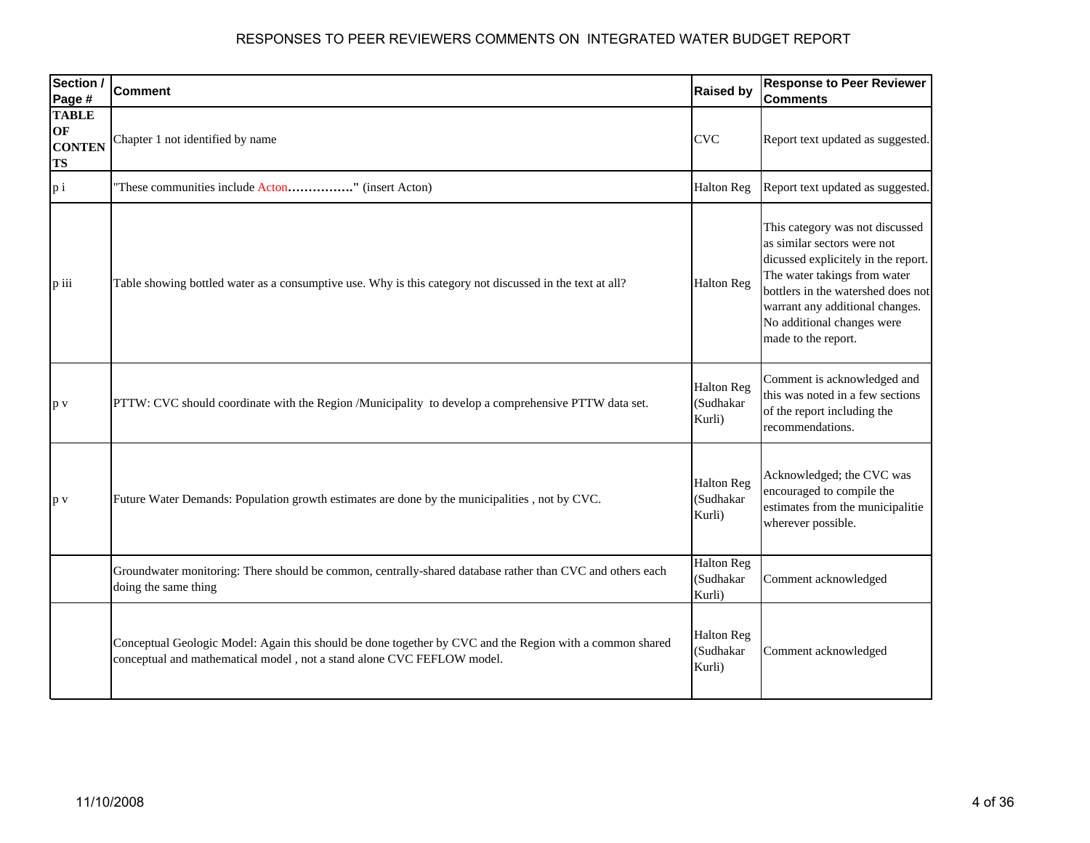| Section /<br>Page #                              | <b>Comment</b>                                                                                                                                                                     | <b>Raised by</b>                         | <b>Response to Peer Reviewer</b><br><b>Comments</b>                                                                                                                                                                                                                 |
|--------------------------------------------------|------------------------------------------------------------------------------------------------------------------------------------------------------------------------------------|------------------------------------------|---------------------------------------------------------------------------------------------------------------------------------------------------------------------------------------------------------------------------------------------------------------------|
| <b>TABLE</b><br>OF<br><b>CONTEN</b><br><b>TS</b> | Chapter 1 not identified by name                                                                                                                                                   | <b>CVC</b>                               | Report text updated as suggested.                                                                                                                                                                                                                                   |
| $p_i$                                            | "These communities include Acton" (insert Acton)                                                                                                                                   | <b>Halton Reg</b>                        | Report text updated as suggested.                                                                                                                                                                                                                                   |
| p iii                                            | Table showing bottled water as a consumptive use. Why is this category not discussed in the text at all?                                                                           | <b>Halton Reg</b>                        | This category was not discussed<br>as similar sectors were not<br>dicussed explicitely in the report.<br>The water takings from water<br>bottlers in the watershed does not<br>warrant any additional changes.<br>No additional changes were<br>made to the report. |
| p v                                              | PTTW: CVC should coordinate with the Region /Municipality to develop a comprehensive PTTW data set.                                                                                | <b>Halton Reg</b><br>(Sudhakar<br>Kurli) | Comment is acknowledged and<br>this was noted in a few sections<br>of the report including the<br>recommendations.                                                                                                                                                  |
| p v                                              | Future Water Demands: Population growth estimates are done by the municipalities, not by CVC.                                                                                      | <b>Halton Reg</b><br>(Sudhakar<br>Kurli) | Acknowledged; the CVC was<br>encouraged to compile the<br>estimates from the municipalitie<br>wherever possible.                                                                                                                                                    |
|                                                  | Groundwater monitoring: There should be common, centrally-shared database rather than CVC and others each<br>doing the same thing                                                  | <b>Halton Reg</b><br>(Sudhakar<br>Kurli) | Comment acknowledged                                                                                                                                                                                                                                                |
|                                                  | Conceptual Geologic Model: Again this should be done together by CVC and the Region with a common shared<br>conceptual and mathematical model, not a stand alone CVC FEFLOW model. | <b>Halton Reg</b><br>(Sudhakar<br>Kurli) | Comment acknowledged                                                                                                                                                                                                                                                |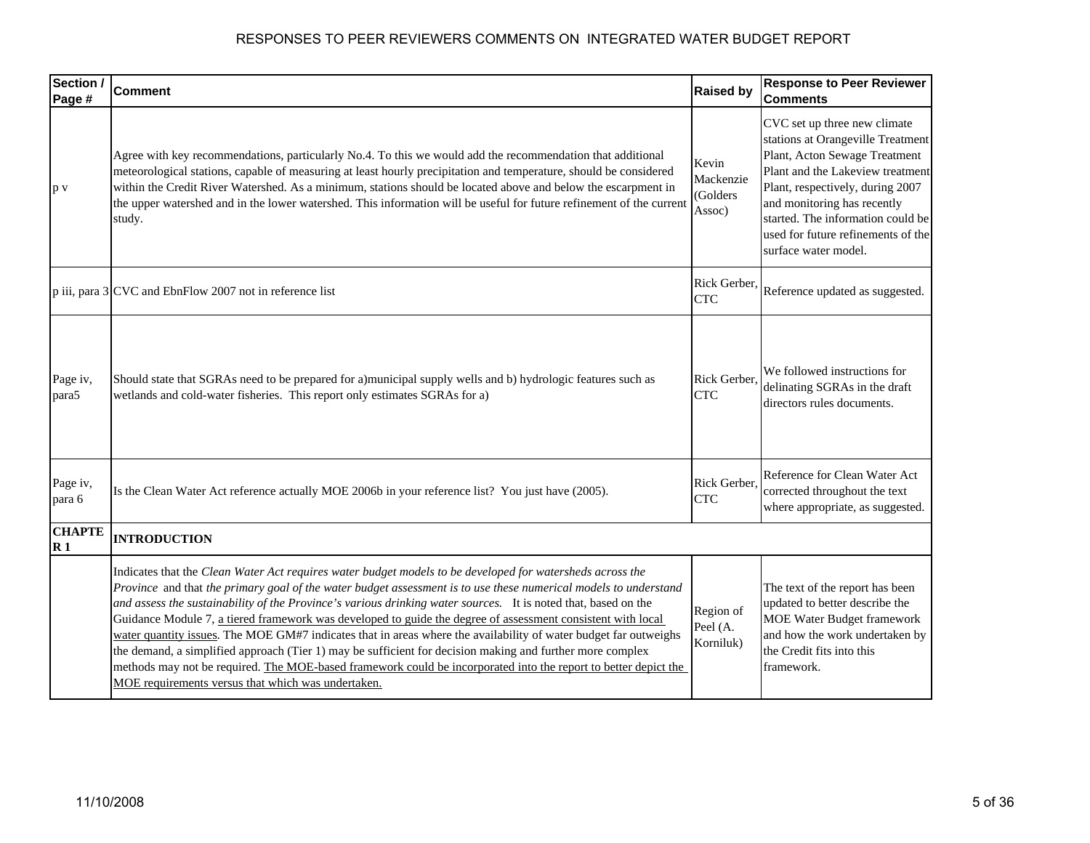| Section /<br>Page #            | <b>Comment</b>                                                                                                                                                                                                                                                                                                                                                                                                                                                                                                                                                                                                                                                                                                                                                                                                                                                           | <b>Raised by</b>                         | <b>Response to Peer Reviewer</b><br><b>Comments</b>                                                                                                                                                                                                                                                          |
|--------------------------------|--------------------------------------------------------------------------------------------------------------------------------------------------------------------------------------------------------------------------------------------------------------------------------------------------------------------------------------------------------------------------------------------------------------------------------------------------------------------------------------------------------------------------------------------------------------------------------------------------------------------------------------------------------------------------------------------------------------------------------------------------------------------------------------------------------------------------------------------------------------------------|------------------------------------------|--------------------------------------------------------------------------------------------------------------------------------------------------------------------------------------------------------------------------------------------------------------------------------------------------------------|
| p v                            | Agree with key recommendations, particularly No.4. To this we would add the recommendation that additional<br>meteorological stations, capable of measuring at least hourly precipitation and temperature, should be considered<br>within the Credit River Watershed. As a minimum, stations should be located above and below the escarpment in<br>the upper watershed and in the lower watershed. This information will be useful for future refinement of the current<br>study.                                                                                                                                                                                                                                                                                                                                                                                       | Kevin<br>Mackenzie<br>(Golders<br>Assoc) | CVC set up three new climate<br>stations at Orangeville Treatment<br>Plant, Acton Sewage Treatment<br>Plant and the Lakeview treatment<br>Plant, respectively, during 2007<br>and monitoring has recently<br>started. The information could be<br>used for future refinements of the<br>surface water model. |
|                                | p iii, para 3 CVC and EbnFlow 2007 not in reference list                                                                                                                                                                                                                                                                                                                                                                                                                                                                                                                                                                                                                                                                                                                                                                                                                 | Rick Gerber.<br><b>CTC</b>               | Reference updated as suggested.                                                                                                                                                                                                                                                                              |
| Page iv,<br>para5              | Should state that SGRAs need to be prepared for a)municipal supply wells and b) hydrologic features such as<br>wetlands and cold-water fisheries. This report only estimates SGRAs for a)                                                                                                                                                                                                                                                                                                                                                                                                                                                                                                                                                                                                                                                                                | Rick Gerber.<br><b>CTC</b>               | We followed instructions for<br>delinating SGRAs in the draft<br>directors rules documents.                                                                                                                                                                                                                  |
| Page iv,<br>para 6             | Is the Clean Water Act reference actually MOE 2006b in your reference list? You just have (2005).                                                                                                                                                                                                                                                                                                                                                                                                                                                                                                                                                                                                                                                                                                                                                                        | Rick Gerber.<br><b>CTC</b>               | Reference for Clean Water Act<br>corrected throughout the text<br>where appropriate, as suggested.                                                                                                                                                                                                           |
| <b>CHAPTE</b><br>$\mathbf{R}1$ | <b>INTRODUCTION</b>                                                                                                                                                                                                                                                                                                                                                                                                                                                                                                                                                                                                                                                                                                                                                                                                                                                      |                                          |                                                                                                                                                                                                                                                                                                              |
|                                | Indicates that the Clean Water Act requires water budget models to be developed for watersheds across the<br>Province and that the primary goal of the water budget assessment is to use these numerical models to understand<br>and assess the sustainability of the Province's various drinking water sources. It is noted that, based on the<br>Guidance Module 7, a tiered framework was developed to guide the degree of assessment consistent with local<br>water quantity issues. The MOE GM#7 indicates that in areas where the availability of water budget far outweighs<br>the demand, a simplified approach (Tier 1) may be sufficient for decision making and further more complex<br>methods may not be required. The MOE-based framework could be incorporated into the report to better depict the<br>MOE requirements versus that which was undertaken. | Region of<br>Peel (A.<br>Korniluk)       | The text of the report has been<br>updated to better describe the<br><b>MOE Water Budget framework</b><br>and how the work undertaken by<br>the Credit fits into this<br>framework.                                                                                                                          |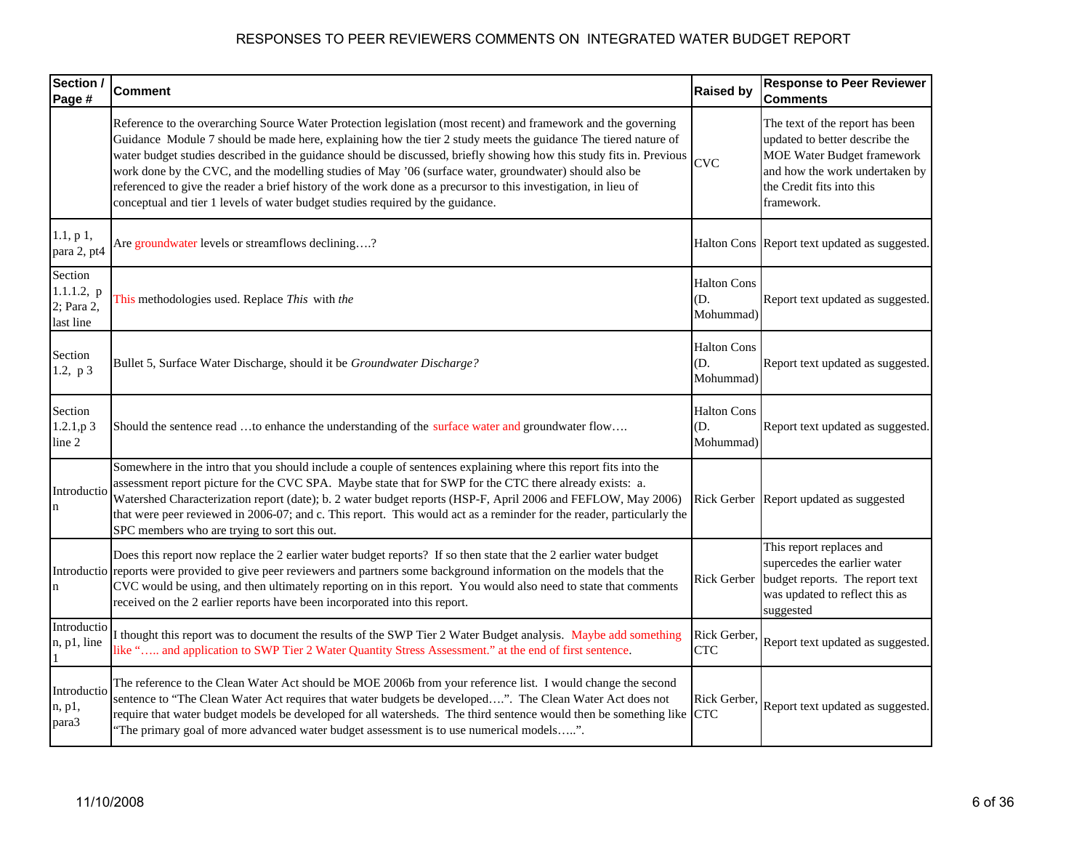| Section /<br>Page #                              | <b>Comment</b>                                                                                                                                                                                                                                                                                                                                                                                                                                                                                                                                                                                                                                                          | <b>Raised by</b>                       | <b>Response to Peer Reviewer</b><br><b>Comments</b>                                                                                                                                 |
|--------------------------------------------------|-------------------------------------------------------------------------------------------------------------------------------------------------------------------------------------------------------------------------------------------------------------------------------------------------------------------------------------------------------------------------------------------------------------------------------------------------------------------------------------------------------------------------------------------------------------------------------------------------------------------------------------------------------------------------|----------------------------------------|-------------------------------------------------------------------------------------------------------------------------------------------------------------------------------------|
|                                                  | Reference to the overarching Source Water Protection legislation (most recent) and framework and the governing<br>Guidance Module 7 should be made here, explaining how the tier 2 study meets the guidance The tiered nature of<br>water budget studies described in the guidance should be discussed, briefly showing how this study fits in. Previous<br>work done by the CVC, and the modelling studies of May '06 (surface water, groundwater) should also be<br>referenced to give the reader a brief history of the work done as a precursor to this investigation, in lieu of<br>conceptual and tier 1 levels of water budget studies required by the guidance. | <b>CVC</b>                             | The text of the report has been<br>updated to better describe the<br><b>MOE Water Budget framework</b><br>and how the work undertaken by<br>the Credit fits into this<br>framework. |
| 1.1, p 1,<br>para 2, pt4                         | Are groundwater levels or streamflows declining?                                                                                                                                                                                                                                                                                                                                                                                                                                                                                                                                                                                                                        |                                        | Halton Cons Report text updated as suggested.                                                                                                                                       |
| Section<br>1.1.1.2, p<br>2; Para 2,<br>last line | This methodologies used. Replace This with the                                                                                                                                                                                                                                                                                                                                                                                                                                                                                                                                                                                                                          | <b>Halton Cons</b><br>(D.<br>Mohummad) | Report text updated as suggested.                                                                                                                                                   |
| Section<br>1.2, $p3$                             | Bullet 5, Surface Water Discharge, should it be Groundwater Discharge?                                                                                                                                                                                                                                                                                                                                                                                                                                                                                                                                                                                                  | <b>Halton Cons</b><br>D.<br>Mohummad)  | Report text updated as suggested.                                                                                                                                                   |
| Section<br>1.2.1, p3<br>line 2                   | Should the sentence read to enhance the understanding of the surface water and groundwater flow                                                                                                                                                                                                                                                                                                                                                                                                                                                                                                                                                                         | <b>Halton Cons</b><br>(D.<br>Mohummad) | Report text updated as suggested.                                                                                                                                                   |
| Introductio                                      | Somewhere in the intro that you should include a couple of sentences explaining where this report fits into the<br>assessment report picture for the CVC SPA. Maybe state that for SWP for the CTC there already exists: a.<br>Watershed Characterization report (date); b. 2 water budget reports (HSP-F, April 2006 and FEFLOW, May 2006)<br>that were peer reviewed in 2006-07; and c. This report. This would act as a reminder for the reader, particularly the<br>SPC members who are trying to sort this out.                                                                                                                                                    |                                        | Rick Gerber Report updated as suggested                                                                                                                                             |
| $\mathbf n$                                      | Does this report now replace the 2 earlier water budget reports? If so then state that the 2 earlier water budget<br>Introductio reports were provided to give peer reviewers and partners some background information on the models that the<br>CVC would be using, and then ultimately reporting on in this report. You would also need to state that comments<br>received on the 2 earlier reports have been incorporated into this report.                                                                                                                                                                                                                          | Rick Gerber                            | This report replaces and<br>supercedes the earlier water<br>budget reports. The report text<br>was updated to reflect this as<br>suggested                                          |
| Introductio<br>n, p1, line                       | I thought this report was to document the results of the SWP Tier 2 Water Budget analysis. Maybe add something<br>like " and application to SWP Tier 2 Water Quantity Stress Assessment." at the end of first sentence.                                                                                                                                                                                                                                                                                                                                                                                                                                                 | Rick Gerber,<br><b>CTC</b>             | Report text updated as suggested.                                                                                                                                                   |
| Introductio<br>n, p1,<br>para3                   | The reference to the Clean Water Act should be MOE 2006b from your reference list. I would change the second<br>sentence to "The Clean Water Act requires that water budgets be developed". The Clean Water Act does not<br>require that water budget models be developed for all watersheds. The third sentence would then be something like<br>"The primary goal of more advanced water budget assessment is to use numerical models".                                                                                                                                                                                                                                | Rick Gerber.<br><b>CTC</b>             | Report text updated as suggested.                                                                                                                                                   |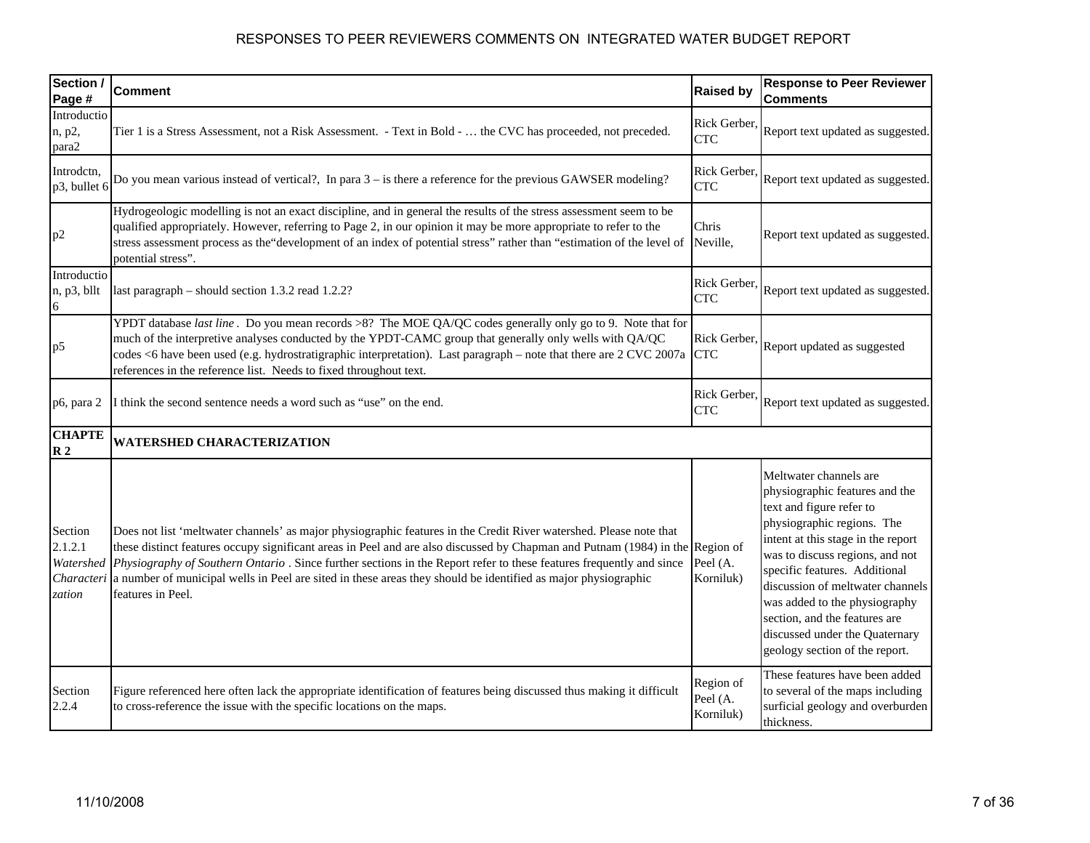| Section /<br>Page #                                     | Comment                                                                                                                                                                                                                                                                                                                                                                                                                                                                                                          | <b>Raised by</b>                   | <b>Response to Peer Reviewer</b><br><b>Comments</b>                                                                                                                                                                                                                                                                                                                                                    |
|---------------------------------------------------------|------------------------------------------------------------------------------------------------------------------------------------------------------------------------------------------------------------------------------------------------------------------------------------------------------------------------------------------------------------------------------------------------------------------------------------------------------------------------------------------------------------------|------------------------------------|--------------------------------------------------------------------------------------------------------------------------------------------------------------------------------------------------------------------------------------------------------------------------------------------------------------------------------------------------------------------------------------------------------|
| Introductio<br>n, p2,<br>para2                          | Tier 1 is a Stress Assessment, not a Risk Assessment. - Text in Bold -  the CVC has proceeded, not preceded.                                                                                                                                                                                                                                                                                                                                                                                                     | Rick Gerber,<br><b>CTC</b>         | Report text updated as suggested.                                                                                                                                                                                                                                                                                                                                                                      |
| Introdctn,<br>p3, bullet 6                              | Do you mean various instead of vertical?, In para $3 -$ is there a reference for the previous GAWSER modeling?                                                                                                                                                                                                                                                                                                                                                                                                   | Rick Gerber,<br><b>CTC</b>         | Report text updated as suggested.                                                                                                                                                                                                                                                                                                                                                                      |
| p <sub>2</sub>                                          | Hydrogeologic modelling is not an exact discipline, and in general the results of the stress assessment seem to be<br>qualified appropriately. However, referring to Page 2, in our opinion it may be more appropriate to refer to the<br>stress assessment process as the "development of an index of potential stress" rather than "estimation of the level of<br>potential stress".                                                                                                                           | Chris<br>Neville,                  | Report text updated as suggested.                                                                                                                                                                                                                                                                                                                                                                      |
| Introductio<br>n, p3, bllt<br>6                         | last paragraph - should section 1.3.2 read 1.2.2?                                                                                                                                                                                                                                                                                                                                                                                                                                                                | Rick Gerber,<br><b>CTC</b>         | Report text updated as suggested.                                                                                                                                                                                                                                                                                                                                                                      |
| p <sub>5</sub>                                          | YPDT database last line. Do you mean records >8? The MOE QA/QC codes generally only go to 9. Note that for<br>much of the interpretive analyses conducted by the YPDT-CAMC group that generally only wells with QA/QC<br>codes <6 have been used (e.g. hydrostratigraphic interpretation). Last paragraph – note that there are 2 CVC 2007a<br>references in the reference list. Needs to fixed throughout text.                                                                                                 | Rick Gerber.<br><b>CTC</b>         | Report updated as suggested                                                                                                                                                                                                                                                                                                                                                                            |
| p6, para 2                                              | I think the second sentence needs a word such as "use" on the end.                                                                                                                                                                                                                                                                                                                                                                                                                                               | Rick Gerber,<br><b>CTC</b>         | Report text updated as suggested.                                                                                                                                                                                                                                                                                                                                                                      |
| <b>CHAPTE</b><br>$\mathbb{R}^2$                         | <b>WATERSHED CHARACTERIZATION</b>                                                                                                                                                                                                                                                                                                                                                                                                                                                                                |                                    |                                                                                                                                                                                                                                                                                                                                                                                                        |
| Section<br>2.1.2.1<br>Watershed<br>Characteri<br>zation | Does not list 'meltwater channels' as major physiographic features in the Credit River watershed. Please note that<br>these distinct features occupy significant areas in Peel and are also discussed by Chapman and Putnam (1984) in the Region of<br>Physiography of Southern Ontario. Since further sections in the Report refer to these features frequently and since<br>a number of municipal wells in Peel are sited in these areas they should be identified as major physiographic<br>features in Peel. | Peel (A.<br>Korniluk)              | Meltwater channels are<br>physiographic features and the<br>text and figure refer to<br>physiographic regions. The<br>intent at this stage in the report<br>was to discuss regions, and not<br>specific features. Additional<br>discussion of meltwater channels<br>was added to the physiography<br>section, and the features are<br>discussed under the Quaternary<br>geology section of the report. |
| Section<br>2.2.4                                        | Figure referenced here often lack the appropriate identification of features being discussed thus making it difficult<br>to cross-reference the issue with the specific locations on the maps.                                                                                                                                                                                                                                                                                                                   | Region of<br>Peel (A.<br>Korniluk) | These features have been added<br>to several of the maps including<br>surficial geology and overburden<br>thickness.                                                                                                                                                                                                                                                                                   |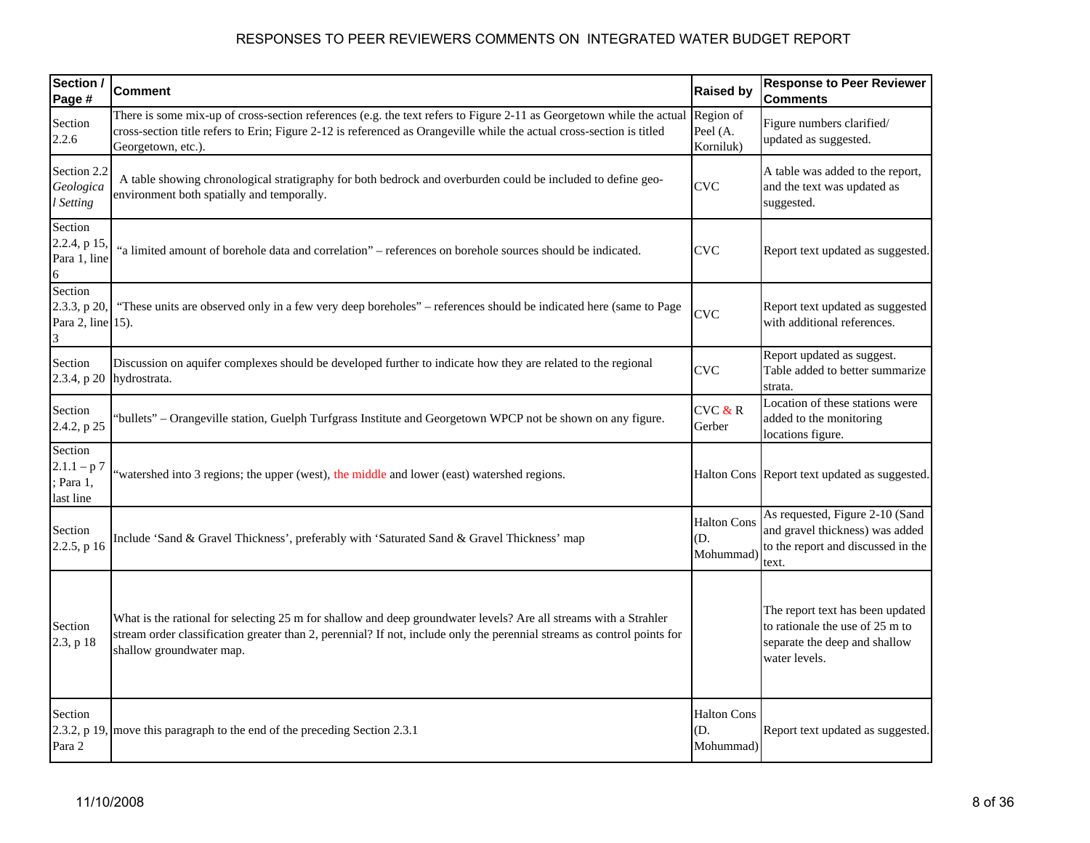| Section /<br>Page #                             | <b>Comment</b>                                                                                                                                                                                                                                                          | <b>Raised by</b>                       | <b>Response to Peer Reviewer</b><br><b>Comments</b>                                                                   |
|-------------------------------------------------|-------------------------------------------------------------------------------------------------------------------------------------------------------------------------------------------------------------------------------------------------------------------------|----------------------------------------|-----------------------------------------------------------------------------------------------------------------------|
| Section<br>2.2.6                                | There is some mix-up of cross-section references (e.g. the text refers to Figure 2-11 as Georgetown while the actual<br>cross-section title refers to Erin; Figure 2-12 is referenced as Orangeville while the actual cross-section is titled<br>Georgetown, etc.).     | Region of<br>Peel (A.<br>Korniluk)     | Figure numbers clarified/<br>updated as suggested.                                                                    |
| Section 2.2<br>Geologica<br>l Setting           | A table showing chronological stratigraphy for both bedrock and overburden could be included to define geo-<br>environment both spatially and temporally.                                                                                                               | <b>CVC</b>                             | A table was added to the report,<br>and the text was updated as<br>suggested.                                         |
| Section<br>2.2.4, p 15,<br>Para 1, line         | "a limited amount of borehole data and correlation" - references on borehole sources should be indicated.                                                                                                                                                               | <b>CVC</b>                             | Report text updated as suggested.                                                                                     |
| Section<br>2.3.3, p 20,<br>Para 2, line 15).    | "These units are observed only in a few very deep boreholes" - references should be indicated here (same to Page                                                                                                                                                        | <b>CVC</b>                             | Report text updated as suggested<br>with additional references.                                                       |
| Section<br>2.3.4, p 20                          | Discussion on aquifer complexes should be developed further to indicate how they are related to the regional<br>hydrostrata.                                                                                                                                            | <b>CVC</b>                             | Report updated as suggest.<br>Table added to better summarize<br>strata.                                              |
| Section<br>2.4.2, p 25                          | bullets" – Orangeville station, Guelph Turfgrass Institute and Georgetown WPCP not be shown on any figure.                                                                                                                                                              | CVC & R<br>Gerber                      | Location of these stations were<br>added to the monitoring<br>locations figure.                                       |
| Section<br>$2.1.1 - p7$<br>Para 1,<br>last line | 'watershed into 3 regions; the upper (west), the middle and lower (east) watershed regions.                                                                                                                                                                             |                                        | Halton Cons Report text updated as suggested.                                                                         |
| Section<br>$2.2.5$ , p 16                       | Include 'Sand & Gravel Thickness', preferably with 'Saturated Sand & Gravel Thickness' map                                                                                                                                                                              | <b>Halton Cons</b><br>D.<br>Mohummad   | As requested, Figure 2-10 (Sand<br>and gravel thickness) was added<br>to the report and discussed in the<br>text.     |
| Section<br>2.3, p 18                            | What is the rational for selecting 25 m for shallow and deep groundwater levels? Are all streams with a Strahler<br>stream order classification greater than 2, perennial? If not, include only the perennial streams as control points for<br>shallow groundwater map. |                                        | The report text has been updated<br>to rationale the use of 25 m to<br>separate the deep and shallow<br>water levels. |
| Section<br>2.3.2, p 19,<br>Para 2               | move this paragraph to the end of the preceding Section 2.3.1                                                                                                                                                                                                           | <b>Halton Cons</b><br>(D.<br>Mohummad) | Report text updated as suggested.                                                                                     |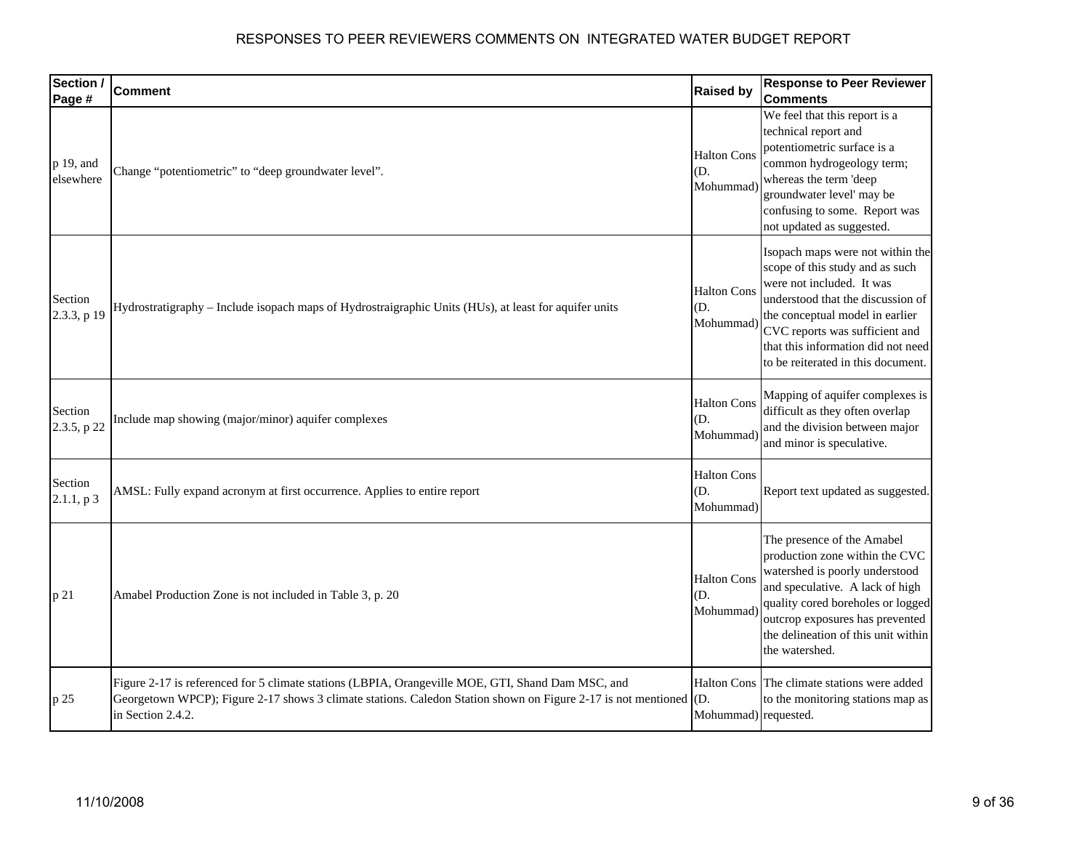| Section /<br>Page #    | <b>Comment</b>                                                                                                                                                                                                                          | <b>Raised by</b>                                  | <b>Response to Peer Reviewer</b><br><b>Comments</b>                                                                                                                                                                                                                                    |
|------------------------|-----------------------------------------------------------------------------------------------------------------------------------------------------------------------------------------------------------------------------------------|---------------------------------------------------|----------------------------------------------------------------------------------------------------------------------------------------------------------------------------------------------------------------------------------------------------------------------------------------|
| p 19, and<br>elsewhere | Change "potentiometric" to "deep groundwater level".                                                                                                                                                                                    | <b>Halton Cons</b><br>D.<br>Mohummad)             | We feel that this report is a<br>technical report and<br>potentiometric surface is a<br>common hydrogeology term;<br>whereas the term 'deep<br>groundwater level' may be<br>confusing to some. Report was<br>not updated as suggested.                                                 |
| Section<br>2.3.3, p 19 | Hydrostratigraphy - Include isopach maps of Hydrostraigraphic Units (HUs), at least for aquifer units                                                                                                                                   | <b>Halton Cons</b><br>D.<br>Mohummad)             | Isopach maps were not within the<br>scope of this study and as such<br>were not included. It was<br>understood that the discussion of<br>the conceptual model in earlier<br>CVC reports was sufficient and<br>that this information did not need<br>to be reiterated in this document. |
| Section<br>2.3.5, p 22 | Include map showing (major/minor) aquifer complexes                                                                                                                                                                                     | <b>Halton Cons</b><br>D.<br>Mohummad)             | Mapping of aquifer complexes is<br>difficult as they often overlap<br>and the division between major<br>and minor is speculative.                                                                                                                                                      |
| Section<br>2.1.1, p3   | AMSL: Fully expand acronym at first occurrence. Applies to entire report                                                                                                                                                                | <b>Halton Cons</b><br>(D.<br>Mohummad)            | Report text updated as suggested.                                                                                                                                                                                                                                                      |
| p 21                   | Amabel Production Zone is not included in Table 3, p. 20                                                                                                                                                                                | <b>Halton Cons</b><br>D.<br>Mohummad)             | The presence of the Amabel<br>production zone within the CVC<br>watershed is poorly understood<br>and speculative. A lack of high<br>quality cored boreholes or logged<br>outcrop exposures has prevented<br>the delineation of this unit within<br>the watershed.                     |
| p 25                   | Figure 2-17 is referenced for 5 climate stations (LBPIA, Orangeville MOE, GTI, Shand Dam MSC, and<br>Georgetown WPCP); Figure 2-17 shows 3 climate stations. Caledon Station shown on Figure 2-17 is not mentioned<br>in Section 2.4.2. | <b>Halton Cons</b><br>(D.<br>Mohummad) requested. | The climate stations were added<br>to the monitoring stations map as                                                                                                                                                                                                                   |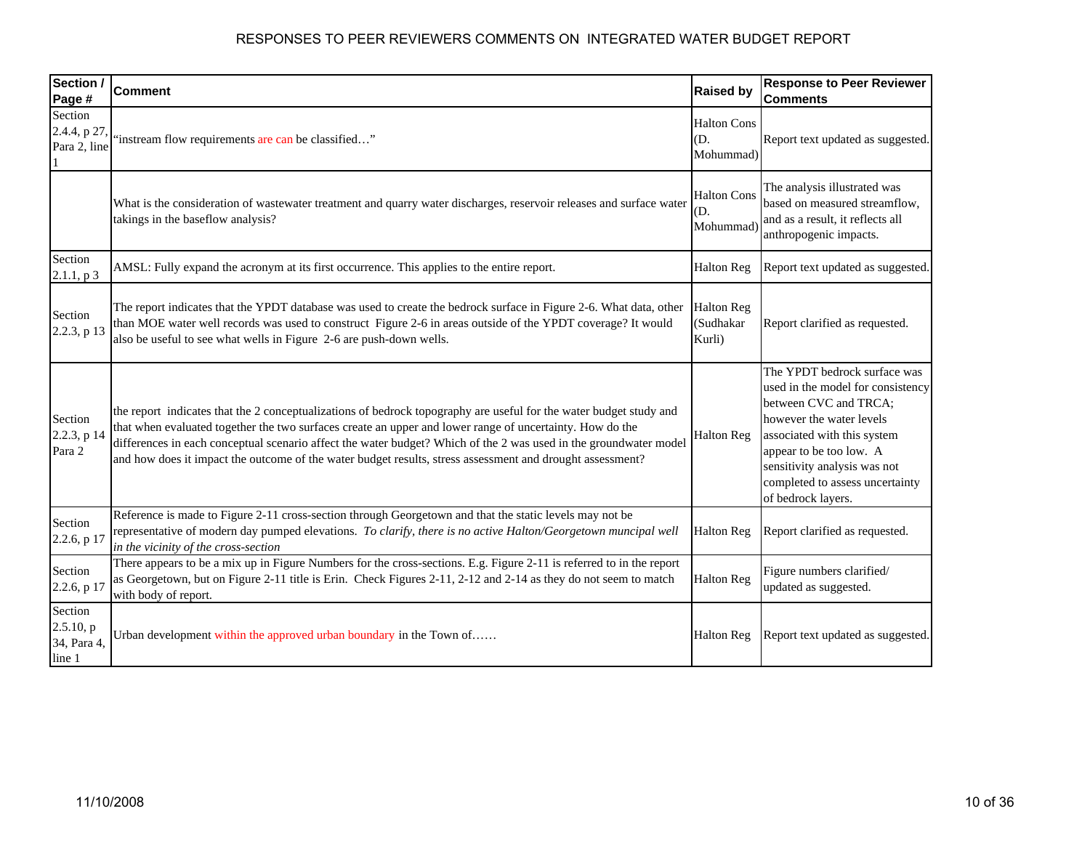| Section /<br>Page #                           | <b>Comment</b>                                                                                                                                                                                                                                                                                                                                                                                                                                                   | <b>Raised by</b>                         | <b>Response to Peer Reviewer</b><br><b>Comments</b>                                                                                                                                                                                                                       |
|-----------------------------------------------|------------------------------------------------------------------------------------------------------------------------------------------------------------------------------------------------------------------------------------------------------------------------------------------------------------------------------------------------------------------------------------------------------------------------------------------------------------------|------------------------------------------|---------------------------------------------------------------------------------------------------------------------------------------------------------------------------------------------------------------------------------------------------------------------------|
| Section<br>2.4.4, p 27,<br>Para 2, line       | "instream flow requirements are can be classified"                                                                                                                                                                                                                                                                                                                                                                                                               | <b>Halton Cons</b><br>(D.<br>Mohummad)   | Report text updated as suggested.                                                                                                                                                                                                                                         |
|                                               | What is the consideration of wastewater treatment and quarry water discharges, reservoir releases and surface water<br>takings in the baseflow analysis?                                                                                                                                                                                                                                                                                                         | <b>Halton Cons</b><br>D.<br>Mohummad)    | The analysis illustrated was<br>based on measured streamflow,<br>and as a result, it reflects all<br>anthropogenic impacts.                                                                                                                                               |
| Section<br>2.1.1, p3                          | AMSL: Fully expand the acronym at its first occurrence. This applies to the entire report.                                                                                                                                                                                                                                                                                                                                                                       | <b>Halton Reg</b>                        | Report text updated as suggested.                                                                                                                                                                                                                                         |
| Section<br>2.2.3, p 13                        | The report indicates that the YPDT database was used to create the bedrock surface in Figure 2-6. What data, other<br>than MOE water well records was used to construct Figure 2-6 in areas outside of the YPDT coverage? It would<br>also be useful to see what wells in Figure 2-6 are push-down wells.                                                                                                                                                        | <b>Halton Reg</b><br>(Sudhakar<br>Kurli) | Report clarified as requested.                                                                                                                                                                                                                                            |
| Section<br>2.2.3, p 14<br>Para 2              | the report indicates that the 2 conceptualizations of bedrock topography are useful for the water budget study and<br>that when evaluated together the two surfaces create an upper and lower range of uncertainty. How do the<br>differences in each conceptual scenario affect the water budget? Which of the 2 was used in the groundwater model<br>and how does it impact the outcome of the water budget results, stress assessment and drought assessment? | <b>Halton Reg</b>                        | The YPDT bedrock surface was<br>used in the model for consistency<br>between CVC and TRCA;<br>however the water levels<br>associated with this system<br>appear to be too low. A<br>sensitivity analysis was not<br>completed to assess uncertainty<br>of bedrock layers. |
| Section<br>2.2.6, p 17                        | Reference is made to Figure 2-11 cross-section through Georgetown and that the static levels may not be<br>representative of modern day pumped elevations. To clarify, there is no active Halton/Georgetown muncipal well<br>in the vicinity of the cross-section                                                                                                                                                                                                | <b>Halton Reg</b>                        | Report clarified as requested.                                                                                                                                                                                                                                            |
| Section<br>2.2.6, p 17                        | There appears to be a mix up in Figure Numbers for the cross-sections. E.g. Figure 2-11 is referred to in the report<br>as Georgetown, but on Figure 2-11 title is Erin. Check Figures 2-11, 2-12 and 2-14 as they do not seem to match<br>with body of report.                                                                                                                                                                                                  | <b>Halton Reg</b>                        | Figure numbers clarified/<br>updated as suggested.                                                                                                                                                                                                                        |
| Section<br>2.5.10, p<br>34, Para 4,<br>line 1 | Urban development within the approved urban boundary in the Town of                                                                                                                                                                                                                                                                                                                                                                                              | <b>Halton Reg</b>                        | Report text updated as suggested.                                                                                                                                                                                                                                         |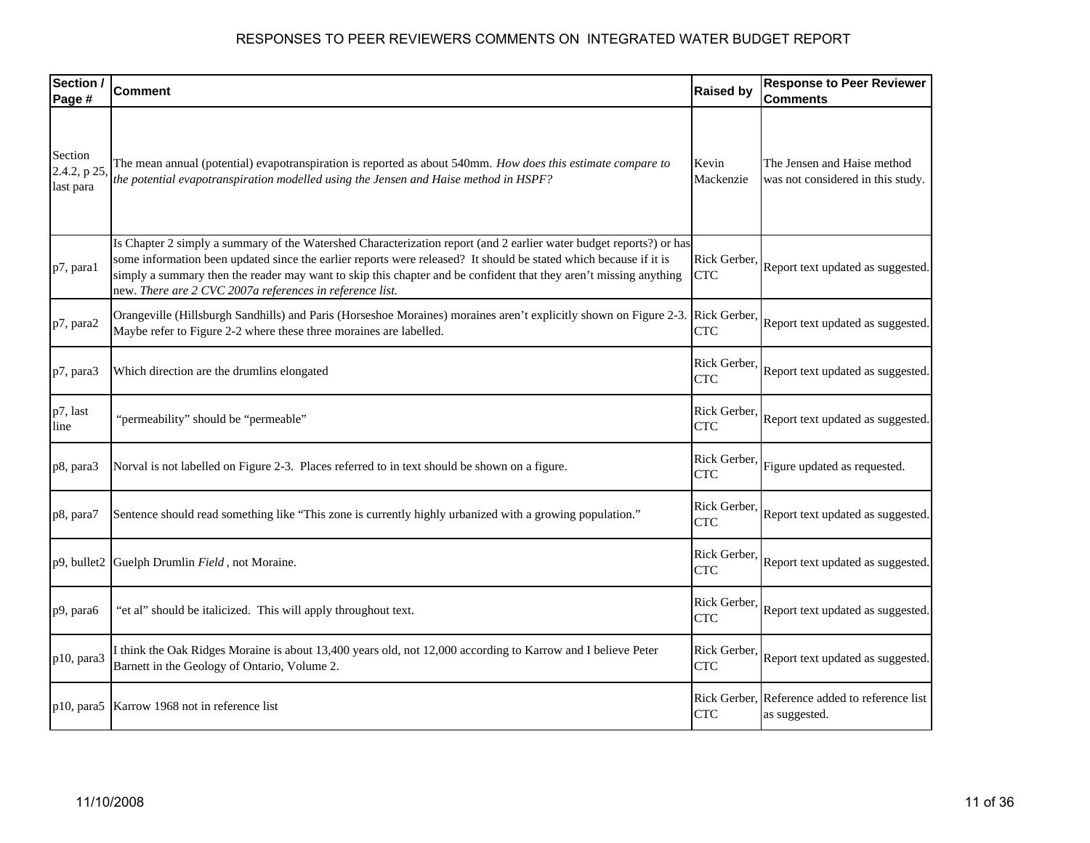| Section /<br>Page #                 | <b>Comment</b>                                                                                                                                                                                                                                                                                                                                                                                                            | <b>Raised by</b>           | <b>Response to Peer Reviewer</b><br><b>Comments</b>              |
|-------------------------------------|---------------------------------------------------------------------------------------------------------------------------------------------------------------------------------------------------------------------------------------------------------------------------------------------------------------------------------------------------------------------------------------------------------------------------|----------------------------|------------------------------------------------------------------|
| Section<br>2.4.2, p 25<br>last para | The mean annual (potential) evapotranspiration is reported as about 540mm. How does this estimate compare to<br>the potential evapotranspiration modelled using the Jensen and Haise method in HSPF?                                                                                                                                                                                                                      | Kevin<br>Mackenzie         | The Jensen and Haise method<br>was not considered in this study. |
| p7, para1                           | Is Chapter 2 simply a summary of the Watershed Characterization report (and 2 earlier water budget reports?) or has<br>some information been updated since the earlier reports were released? It should be stated which because if it is<br>simply a summary then the reader may want to skip this chapter and be confident that they aren't missing anything<br>new. There are 2 CVC 2007a references in reference list. | Rick Gerber,<br><b>CTC</b> | Report text updated as suggested.                                |
| p7, para2                           | Orangeville (Hillsburgh Sandhills) and Paris (Horseshoe Moraines) moraines aren't explicitly shown on Figure 2-3. Rick Gerber,<br>Maybe refer to Figure 2-2 where these three moraines are labelled.                                                                                                                                                                                                                      | <b>CTC</b>                 | Report text updated as suggested.                                |
| p7, para3                           | Which direction are the drumlins elongated                                                                                                                                                                                                                                                                                                                                                                                | Rick Gerber,<br><b>CTC</b> | Report text updated as suggested.                                |
| p7, last<br>line                    | 'permeability" should be "permeable"                                                                                                                                                                                                                                                                                                                                                                                      | Rick Gerber,<br><b>CTC</b> | Report text updated as suggested.                                |
| p8, para3                           | Norval is not labelled on Figure 2-3. Places referred to in text should be shown on a figure.                                                                                                                                                                                                                                                                                                                             | Rick Gerber,<br><b>CTC</b> | Figure updated as requested.                                     |
| p8, para7                           | Sentence should read something like "This zone is currently highly urbanized with a growing population."                                                                                                                                                                                                                                                                                                                  | Rick Gerber,<br><b>CTC</b> | Report text updated as suggested.                                |
|                                     | p9, bullet2 Guelph Drumlin Field, not Moraine.                                                                                                                                                                                                                                                                                                                                                                            | Rick Gerber,<br><b>CTC</b> | Report text updated as suggested.                                |
| p9, para6                           | "et al" should be italicized. This will apply throughout text.                                                                                                                                                                                                                                                                                                                                                            | Rick Gerber,<br><b>CTC</b> | Report text updated as suggested.                                |
| p10, para3                          | I think the Oak Ridges Moraine is about 13,400 years old, not 12,000 according to Karrow and I believe Peter<br>Barnett in the Geology of Ontario, Volume 2.                                                                                                                                                                                                                                                              | Rick Gerber,<br><b>CTC</b> | Report text updated as suggested.                                |
| $p10$ , para5                       | Karrow 1968 not in reference list                                                                                                                                                                                                                                                                                                                                                                                         | <b>CTC</b>                 | Rick Gerber, Reference added to reference list<br>as suggested.  |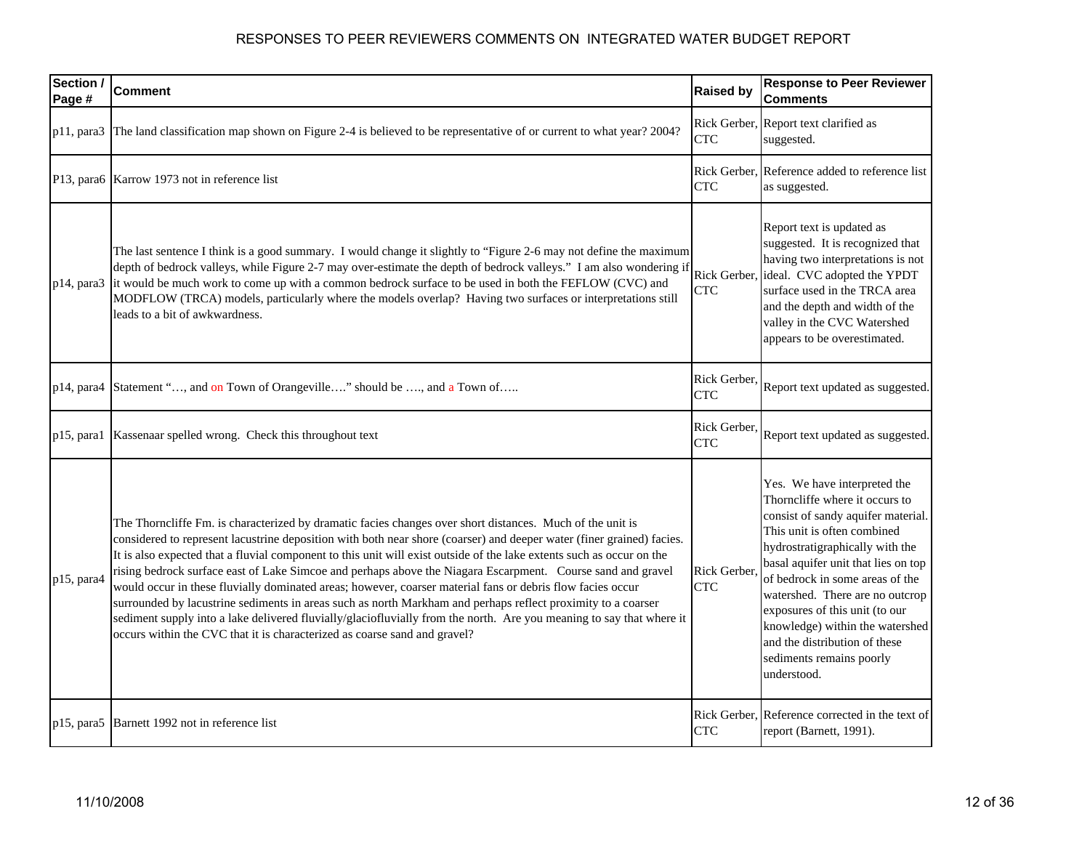| Section /<br>Page # | <b>Comment</b>                                                                                                                                                                                                                                                                                                                                                                                                                                                                                                                                                                                                                                                                                                                                                                                                                                                                                                | <b>Raised by</b>           | <b>Response to Peer Reviewer</b><br><b>Comments</b>                                                                                                                                                                                                                                                                                                                                                                                  |
|---------------------|---------------------------------------------------------------------------------------------------------------------------------------------------------------------------------------------------------------------------------------------------------------------------------------------------------------------------------------------------------------------------------------------------------------------------------------------------------------------------------------------------------------------------------------------------------------------------------------------------------------------------------------------------------------------------------------------------------------------------------------------------------------------------------------------------------------------------------------------------------------------------------------------------------------|----------------------------|--------------------------------------------------------------------------------------------------------------------------------------------------------------------------------------------------------------------------------------------------------------------------------------------------------------------------------------------------------------------------------------------------------------------------------------|
| $p11$ , para3       | The land classification map shown on Figure 2-4 is believed to be representative of or current to what year? 2004?                                                                                                                                                                                                                                                                                                                                                                                                                                                                                                                                                                                                                                                                                                                                                                                            | <b>CTC</b>                 | Rick Gerber, Report text clarified as<br>suggested.                                                                                                                                                                                                                                                                                                                                                                                  |
|                     | P13, para6 Karrow 1973 not in reference list                                                                                                                                                                                                                                                                                                                                                                                                                                                                                                                                                                                                                                                                                                                                                                                                                                                                  | <b>CTC</b>                 | Rick Gerber, Reference added to reference list<br>as suggested.                                                                                                                                                                                                                                                                                                                                                                      |
| $p14$ , para $3$    | The last sentence I think is a good summary. I would change it slightly to "Figure 2-6 may not define the maximum<br>depth of bedrock valleys, while Figure 2-7 may over-estimate the depth of bedrock valleys." I am also wondering if<br>it would be much work to come up with a common bedrock surface to be used in both the FEFLOW (CVC) and<br>MODFLOW (TRCA) models, particularly where the models overlap? Having two surfaces or interpretations still<br>leads to a bit of awkwardness.                                                                                                                                                                                                                                                                                                                                                                                                             | <b>CTC</b>                 | Report text is updated as<br>suggested. It is recognized that<br>having two interpretations is not<br>Rick Gerber, ideal. CVC adopted the YPDT<br>surface used in the TRCA area<br>and the depth and width of the<br>valley in the CVC Watershed<br>appears to be overestimated.                                                                                                                                                     |
| $p14$ , para $4$    | Statement ", and on Town of Orangeville" should be , and a Town of                                                                                                                                                                                                                                                                                                                                                                                                                                                                                                                                                                                                                                                                                                                                                                                                                                            | Rick Gerber,<br><b>CTC</b> | Report text updated as suggested.                                                                                                                                                                                                                                                                                                                                                                                                    |
| $p15$ , paral       | Kassenaar spelled wrong. Check this throughout text                                                                                                                                                                                                                                                                                                                                                                                                                                                                                                                                                                                                                                                                                                                                                                                                                                                           | Rick Gerber.<br><b>CTC</b> | Report text updated as suggested.                                                                                                                                                                                                                                                                                                                                                                                                    |
| p15, para4          | The Thorncliffe Fm. is characterized by dramatic facies changes over short distances. Much of the unit is<br>considered to represent lacustrine deposition with both near shore (coarser) and deeper water (finer grained) facies.<br>It is also expected that a fluvial component to this unit will exist outside of the lake extents such as occur on the<br>rising bedrock surface east of Lake Simcoe and perhaps above the Niagara Escarpment. Course sand and gravel<br>would occur in these fluvially dominated areas; however, coarser material fans or debris flow facies occur<br>surrounded by lacustrine sediments in areas such as north Markham and perhaps reflect proximity to a coarser<br>sediment supply into a lake delivered fluvially/glaciofluvially from the north. Are you meaning to say that where it<br>occurs within the CVC that it is characterized as coarse sand and gravel? | Rick Gerber.<br><b>CTC</b> | Yes. We have interpreted the<br>Thorncliffe where it occurs to<br>consist of sandy aquifer material.<br>This unit is often combined<br>hydrostratigraphically with the<br>basal aquifer unit that lies on top<br>of bedrock in some areas of the<br>watershed. There are no outcrop<br>exposures of this unit (to our<br>knowledge) within the watershed<br>and the distribution of these<br>sediments remains poorly<br>understood. |
| $p15$ , para $5$    | Barnett 1992 not in reference list                                                                                                                                                                                                                                                                                                                                                                                                                                                                                                                                                                                                                                                                                                                                                                                                                                                                            | <b>CTC</b>                 | Rick Gerber, Reference corrected in the text of<br>report (Barnett, 1991).                                                                                                                                                                                                                                                                                                                                                           |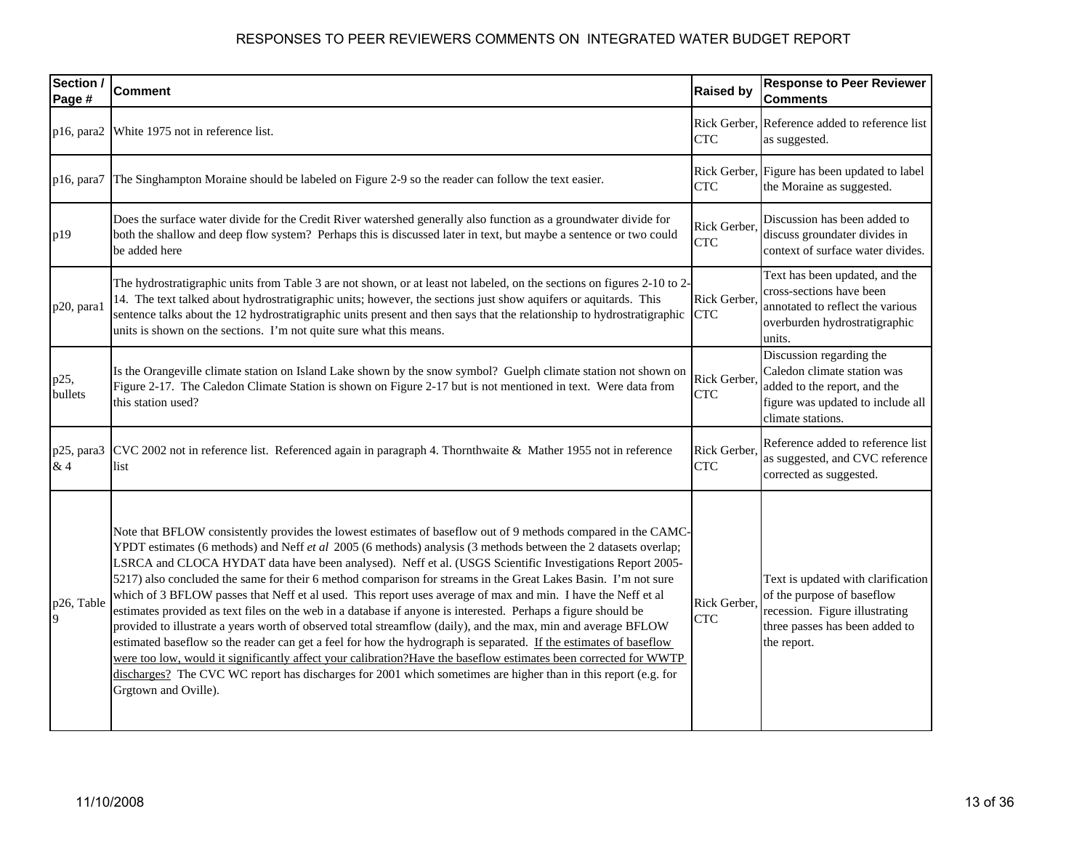| Section /<br>Page # | <b>Comment</b>                                                                                                                                                                                                                                                                                                                                                                                                                                                                                                                                                                                                                                                                                                                                                                                                                                                                                                                                                                                                                                                                                                                                                                                      | <b>Raised by</b>           | <b>Response to Peer Reviewer</b><br><b>Comments</b>                                                                                                 |
|---------------------|-----------------------------------------------------------------------------------------------------------------------------------------------------------------------------------------------------------------------------------------------------------------------------------------------------------------------------------------------------------------------------------------------------------------------------------------------------------------------------------------------------------------------------------------------------------------------------------------------------------------------------------------------------------------------------------------------------------------------------------------------------------------------------------------------------------------------------------------------------------------------------------------------------------------------------------------------------------------------------------------------------------------------------------------------------------------------------------------------------------------------------------------------------------------------------------------------------|----------------------------|-----------------------------------------------------------------------------------------------------------------------------------------------------|
| $p16$ , para $2$    | White 1975 not in reference list.                                                                                                                                                                                                                                                                                                                                                                                                                                                                                                                                                                                                                                                                                                                                                                                                                                                                                                                                                                                                                                                                                                                                                                   | <b>CTC</b>                 | Rick Gerber, Reference added to reference list<br>as suggested.                                                                                     |
| p16, para7          | The Singhampton Moraine should be labeled on Figure 2-9 so the reader can follow the text easier.                                                                                                                                                                                                                                                                                                                                                                                                                                                                                                                                                                                                                                                                                                                                                                                                                                                                                                                                                                                                                                                                                                   | Rick Gerber,<br><b>CTC</b> | Figure has been updated to label<br>the Moraine as suggested.                                                                                       |
| p19                 | Does the surface water divide for the Credit River watershed generally also function as a groundwater divide for<br>both the shallow and deep flow system? Perhaps this is discussed later in text, but maybe a sentence or two could<br>be added here                                                                                                                                                                                                                                                                                                                                                                                                                                                                                                                                                                                                                                                                                                                                                                                                                                                                                                                                              | Rick Gerber,<br><b>CTC</b> | Discussion has been added to<br>discuss groundater divides in<br>context of surface water divides.                                                  |
| p20, para1          | The hydrostratigraphic units from Table 3 are not shown, or at least not labeled, on the sections on figures 2-10 to 2-<br>14. The text talked about hydrostratigraphic units; however, the sections just show aquifers or aquitards. This<br>sentence talks about the 12 hydrostratigraphic units present and then says that the relationship to hydrostratigraphic<br>units is shown on the sections. I'm not quite sure what this means.                                                                                                                                                                                                                                                                                                                                                                                                                                                                                                                                                                                                                                                                                                                                                         | Rick Gerber,<br><b>CTC</b> | Text has been updated, and the<br>cross-sections have been<br>annotated to reflect the various<br>overburden hydrostratigraphic<br>units.           |
| p25,<br>bullets     | Is the Orangeville climate station on Island Lake shown by the snow symbol? Guelph climate station not shown on<br>Figure 2-17. The Caledon Climate Station is shown on Figure 2-17 but is not mentioned in text. Were data from<br>this station used?                                                                                                                                                                                                                                                                                                                                                                                                                                                                                                                                                                                                                                                                                                                                                                                                                                                                                                                                              | Rick Gerber,<br><b>CTC</b> | Discussion regarding the<br>Caledon climate station was<br>added to the report, and the<br>figure was updated to include all<br>climate stations.   |
| p25, para3<br>&4    | CVC 2002 not in reference list. Referenced again in paragraph 4. Thornthwaite & Mather 1955 not in reference<br>list                                                                                                                                                                                                                                                                                                                                                                                                                                                                                                                                                                                                                                                                                                                                                                                                                                                                                                                                                                                                                                                                                | Rick Gerber,<br><b>CTC</b> | Reference added to reference list<br>as suggested, and CVC reference<br>corrected as suggested.                                                     |
| p26, Table          | Note that BFLOW consistently provides the lowest estimates of baseflow out of 9 methods compared in the CAMC-<br>YPDT estimates (6 methods) and Neff et al 2005 (6 methods) analysis (3 methods between the 2 datasets overlap;<br>LSRCA and CLOCA HYDAT data have been analysed). Neff et al. (USGS Scientific Investigations Report 2005-<br>5217) also concluded the same for their 6 method comparison for streams in the Great Lakes Basin. I'm not sure<br>which of 3 BFLOW passes that Neff et al used. This report uses average of max and min. I have the Neff et al<br>estimates provided as text files on the web in a database if anyone is interested. Perhaps a figure should be<br>provided to illustrate a years worth of observed total streamflow (daily), and the max, min and average BFLOW<br>estimated baseflow so the reader can get a feel for how the hydrograph is separated. If the estimates of baseflow<br>were too low, would it significantly affect your calibration? Have the baseflow estimates been corrected for WWTP<br>discharges? The CVC WC report has discharges for 2001 which sometimes are higher than in this report (e.g. for<br>Grgtown and Oville). | Rick Gerber,<br><b>CTC</b> | Text is updated with clarification<br>of the purpose of baseflow<br>recession. Figure illustrating<br>three passes has been added to<br>the report. |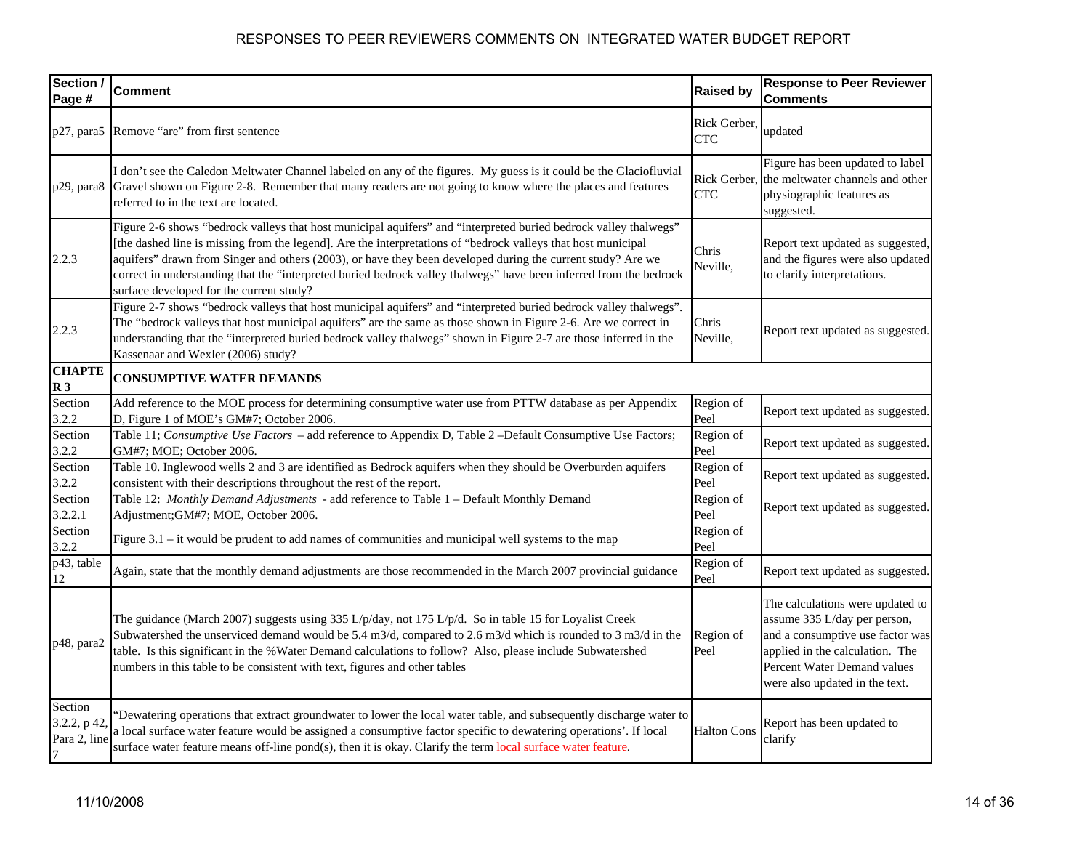| Section /<br>Page #                                      | <b>Comment</b>                                                                                                                                                                                                                                                                                                                                                                                                                                                                                                     | <b>Raised by</b>           | <b>Response to Peer Reviewer</b><br><b>Comments</b>                                                                                                                                                      |
|----------------------------------------------------------|--------------------------------------------------------------------------------------------------------------------------------------------------------------------------------------------------------------------------------------------------------------------------------------------------------------------------------------------------------------------------------------------------------------------------------------------------------------------------------------------------------------------|----------------------------|----------------------------------------------------------------------------------------------------------------------------------------------------------------------------------------------------------|
| p27, para5                                               | Remove "are" from first sentence                                                                                                                                                                                                                                                                                                                                                                                                                                                                                   | Rick Gerber,<br><b>CTC</b> | updated                                                                                                                                                                                                  |
| p29, para8                                               | I don't see the Caledon Meltwater Channel labeled on any of the figures. My guess is it could be the Glaciofluvial<br>Gravel shown on Figure 2-8. Remember that many readers are not going to know where the places and features<br>referred to in the text are located.                                                                                                                                                                                                                                           | Rick Gerber,<br><b>CTC</b> | Figure has been updated to label<br>the meltwater channels and other<br>physiographic features as<br>suggested.                                                                                          |
| 2.2.3                                                    | Figure 2-6 shows "bedrock valleys that host municipal aquifers" and "interpreted buried bedrock valley thalwegs"<br>[the dashed line is missing from the legend]. Are the interpretations of "bedrock valleys that host municipal<br>aquifers" drawn from Singer and others (2003), or have they been developed during the current study? Are we<br>correct in understanding that the "interpreted buried bedrock valley thalwegs" have been inferred from the bedrock<br>surface developed for the current study? | Chris<br>Neville,          | Report text updated as suggested,<br>and the figures were also updated<br>to clarify interpretations.                                                                                                    |
| 2.2.3                                                    | Figure 2-7 shows "bedrock valleys that host municipal aquifers" and "interpreted buried bedrock valley thalwegs".<br>The "bedrock valleys that host municipal aquifers" are the same as those shown in Figure 2-6. Are we correct in<br>understanding that the "interpreted buried bedrock valley thalwegs" shown in Figure 2-7 are those inferred in the<br>Kassenaar and Wexler (2006) study?                                                                                                                    | Chris<br>Neville,          | Report text updated as suggested.                                                                                                                                                                        |
| <b>CHAPTE</b><br>R <sub>3</sub>                          | <b>CONSUMPTIVE WATER DEMANDS</b>                                                                                                                                                                                                                                                                                                                                                                                                                                                                                   |                            |                                                                                                                                                                                                          |
| Section<br>3.2.2                                         | Add reference to the MOE process for determining consumptive water use from PTTW database as per Appendix<br>D, Figure 1 of MOE's GM#7; October 2006.                                                                                                                                                                                                                                                                                                                                                              | Region of<br>Peel          | Report text updated as suggested.                                                                                                                                                                        |
| Section<br>3.2.2                                         | Table 11; Consumptive Use Factors - add reference to Appendix D, Table 2 -Default Consumptive Use Factors;<br>GM#7; MOE; October 2006.                                                                                                                                                                                                                                                                                                                                                                             | Region of<br>Peel          | Report text updated as suggested.                                                                                                                                                                        |
| Section<br>3.2.2                                         | Table 10. Inglewood wells 2 and 3 are identified as Bedrock aquifers when they should be Overburden aquifers<br>consistent with their descriptions throughout the rest of the report.                                                                                                                                                                                                                                                                                                                              | Region of<br>Peel          | Report text updated as suggested.                                                                                                                                                                        |
| Section<br>3.2.2.1                                       | Table 12: Monthly Demand Adjustments - add reference to Table 1 - Default Monthly Demand<br>Adjustment; GM#7; MOE, October 2006.                                                                                                                                                                                                                                                                                                                                                                                   | Region of<br>Peel          | Report text updated as suggested.                                                                                                                                                                        |
| Section<br>3.2.2                                         | Figure $3.1$ – it would be prudent to add names of communities and municipal well systems to the map                                                                                                                                                                                                                                                                                                                                                                                                               | Region of<br>Peel          |                                                                                                                                                                                                          |
| p43, table<br>12                                         | Again, state that the monthly demand adjustments are those recommended in the March 2007 provincial guidance                                                                                                                                                                                                                                                                                                                                                                                                       | Region of<br>Peel          | Report text updated as suggested.                                                                                                                                                                        |
| p48, para2                                               | The guidance (March 2007) suggests using 335 L/p/day, not 175 L/p/d. So in table 15 for Loyalist Creek<br>Subwatershed the unserviced demand would be 5.4 m3/d, compared to 2.6 m3/d which is rounded to 3 m3/d in the<br>table. Is this significant in the % Water Demand calculations to follow? Also, please include Subwatershed<br>numbers in this table to be consistent with text, figures and other tables                                                                                                 | Region of<br>Peel          | The calculations were updated to<br>assume 335 L/day per person,<br>and a consumptive use factor was<br>applied in the calculation. The<br>Percent Water Demand values<br>were also updated in the text. |
| Section<br>3.2.2, p 42<br>Para 2, line<br>$\overline{7}$ | "Dewatering operations that extract groundwater to lower the local water table, and subsequently discharge water to<br>a local surface water feature would be assigned a consumptive factor specific to dewatering operations'. If local<br>surface water feature means off-line pond(s), then it is okay. Clarify the term local surface water feature.                                                                                                                                                           | <b>Halton Cons</b>         | Report has been updated to<br>clarify                                                                                                                                                                    |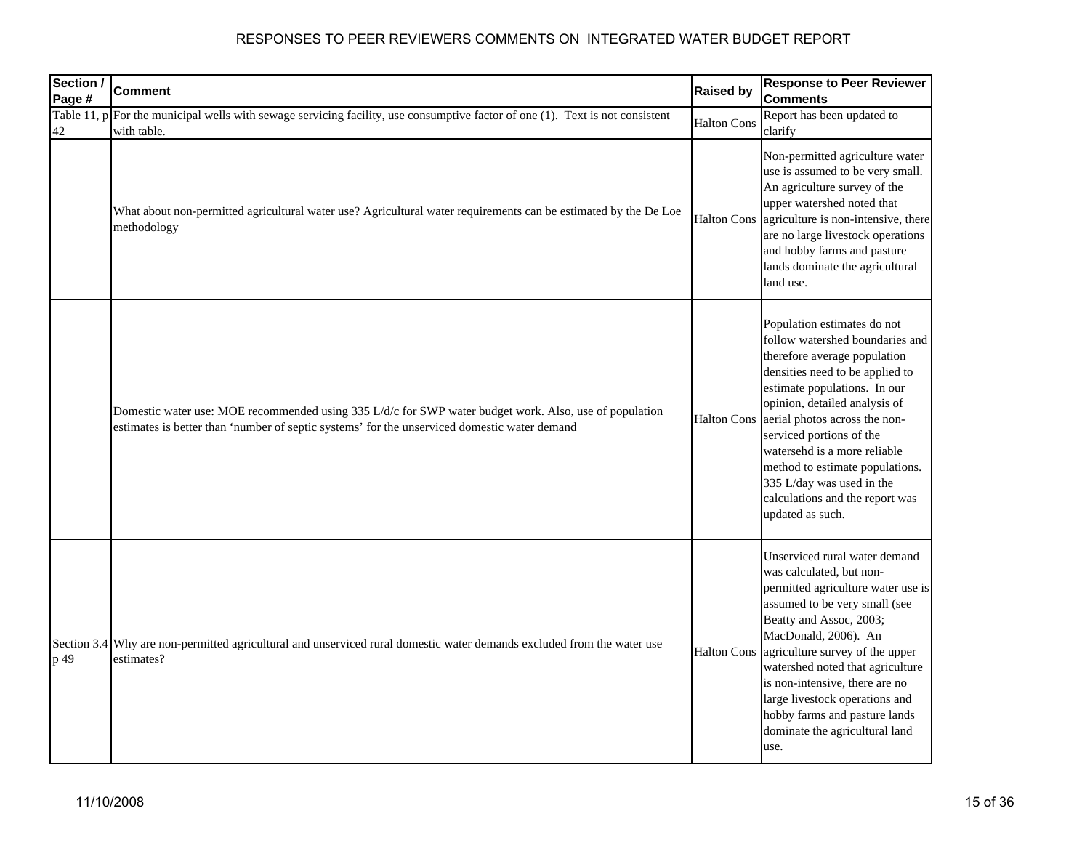| Section /<br>Page # | <b>Comment</b>                                                                                                                                                                                         | <b>Raised by</b>   | <b>Response to Peer Reviewer</b><br><b>Comments</b>                                                                                                                                                                                                                                                                                                                                                                    |
|---------------------|--------------------------------------------------------------------------------------------------------------------------------------------------------------------------------------------------------|--------------------|------------------------------------------------------------------------------------------------------------------------------------------------------------------------------------------------------------------------------------------------------------------------------------------------------------------------------------------------------------------------------------------------------------------------|
| Table 11, p<br>42   | For the municipal wells with sewage servicing facility, use consumptive factor of one (1). Text is not consistent<br>with table.                                                                       | <b>Halton Cons</b> | Report has been updated to<br>clarify                                                                                                                                                                                                                                                                                                                                                                                  |
|                     | What about non-permitted agricultural water use? Agricultural water requirements can be estimated by the De Loe<br>methodology                                                                         | <b>Halton Cons</b> | Non-permitted agriculture water<br>use is assumed to be very small.<br>An agriculture survey of the<br>upper watershed noted that<br>agriculture is non-intensive, there<br>are no large livestock operations<br>and hobby farms and pasture<br>lands dominate the agricultural<br>land use.                                                                                                                           |
|                     | Domestic water use: MOE recommended using 335 L/d/c for SWP water budget work. Also, use of population<br>estimates is better than 'number of septic systems' for the unserviced domestic water demand | <b>Halton Cons</b> | Population estimates do not<br>follow watershed boundaries and<br>therefore average population<br>densities need to be applied to<br>estimate populations. In our<br>opinion, detailed analysis of<br>aerial photos across the non-<br>serviced portions of the<br>watersehd is a more reliable<br>method to estimate populations.<br>335 L/day was used in the<br>calculations and the report was<br>updated as such. |
| p 49                | Section 3.4 Why are non-permitted agricultural and unserviced rural domestic water demands excluded from the water use<br>estimates?                                                                   | <b>Halton Cons</b> | Unserviced rural water demand<br>was calculated, but non-<br>permitted agriculture water use is<br>assumed to be very small (see<br>Beatty and Assoc, 2003;<br>MacDonald, 2006). An<br>agriculture survey of the upper<br>watershed noted that agriculture<br>is non-intensive, there are no<br>large livestock operations and<br>hobby farms and pasture lands<br>dominate the agricultural land<br>use.              |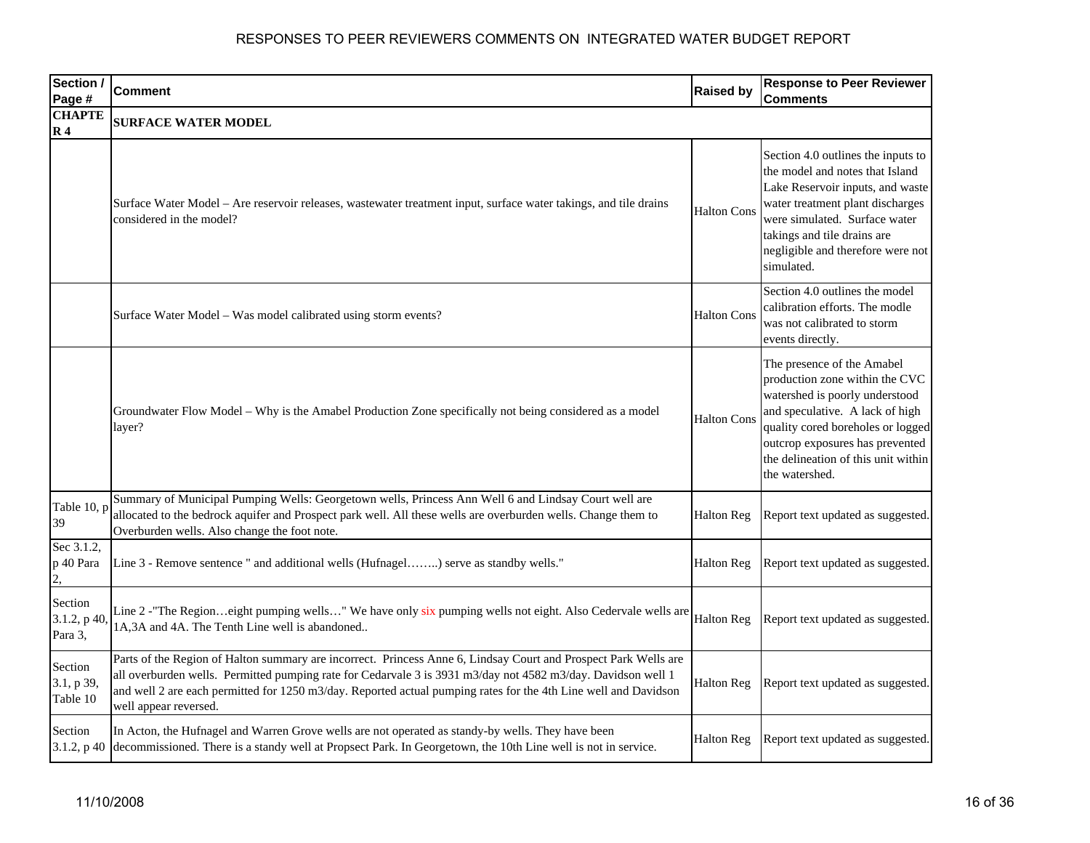| Section /<br>Page #                       | <b>Comment</b>                                                                                                                                                                                                                                                                                                                                                              | <b>Raised by</b>   | <b>Response to Peer Reviewer</b><br>Comments                                                                                                                                                                                                                       |
|-------------------------------------------|-----------------------------------------------------------------------------------------------------------------------------------------------------------------------------------------------------------------------------------------------------------------------------------------------------------------------------------------------------------------------------|--------------------|--------------------------------------------------------------------------------------------------------------------------------------------------------------------------------------------------------------------------------------------------------------------|
| <b>CHAPTE</b><br>$\mathbf{R}$ 4           | <b>SURFACE WATER MODEL</b>                                                                                                                                                                                                                                                                                                                                                  |                    |                                                                                                                                                                                                                                                                    |
|                                           | Surface Water Model - Are reservoir releases, wastewater treatment input, surface water takings, and tile drains<br>considered in the model?                                                                                                                                                                                                                                | <b>Halton Cons</b> | Section 4.0 outlines the inputs to<br>the model and notes that Island<br>Lake Reservoir inputs, and waste<br>water treatment plant discharges<br>were simulated. Surface water<br>takings and tile drains are<br>negligible and therefore were not<br>simulated.   |
|                                           | Surface Water Model - Was model calibrated using storm events?                                                                                                                                                                                                                                                                                                              | <b>Halton Cons</b> | Section 4.0 outlines the model<br>calibration efforts. The modle<br>was not calibrated to storm<br>events directly.                                                                                                                                                |
|                                           | Groundwater Flow Model - Why is the Amabel Production Zone specifically not being considered as a model<br>layer?                                                                                                                                                                                                                                                           | <b>Halton Cons</b> | The presence of the Amabel<br>production zone within the CVC<br>watershed is poorly understood<br>and speculative. A lack of high<br>quality cored boreholes or logged<br>outcrop exposures has prevented<br>the delineation of this unit within<br>the watershed. |
| Table 10, p<br>39                         | Summary of Municipal Pumping Wells: Georgetown wells, Princess Ann Well 6 and Lindsay Court well are<br>allocated to the bedrock aquifer and Prospect park well. All these wells are overburden wells. Change them to<br>Overburden wells. Also change the foot note.                                                                                                       | Halton Reg         | Report text updated as suggested.                                                                                                                                                                                                                                  |
| Sec 3.1.2,<br>p 40 Para<br>$\overline{2}$ | Line 3 - Remove sentence " and additional wells (Hufnagel) serve as standby wells."                                                                                                                                                                                                                                                                                         | <b>Halton Reg</b>  | Report text updated as suggested.                                                                                                                                                                                                                                  |
| Section<br>$3.1.2$ , p 40<br>Para 3,      | Line 2 -"The Regioneight pumping wells" We have only six pumping wells not eight. Also Cedervale wells are<br>1A,3A and 4A. The Tenth Line well is abandoned                                                                                                                                                                                                                | <b>Halton Reg</b>  | Report text updated as suggested.                                                                                                                                                                                                                                  |
| Section<br>3.1, p 39,<br>Table 10         | Parts of the Region of Halton summary are incorrect. Princess Anne 6, Lindsay Court and Prospect Park Wells are<br>all overburden wells. Permitted pumping rate for Cedarvale 3 is 3931 m3/day not 4582 m3/day. Davidson well 1<br>and well 2 are each permitted for 1250 m3/day. Reported actual pumping rates for the 4th Line well and Davidson<br>well appear reversed. | Halton Reg         | Report text updated as suggested.                                                                                                                                                                                                                                  |
| Section<br>3.1.2, p 40                    | In Acton, the Hufnagel and Warren Grove wells are not operated as standy-by wells. They have been<br>decommissioned. There is a standy well at Propsect Park. In Georgetown, the 10th Line well is not in service.                                                                                                                                                          | Halton Reg         | Report text updated as suggested.                                                                                                                                                                                                                                  |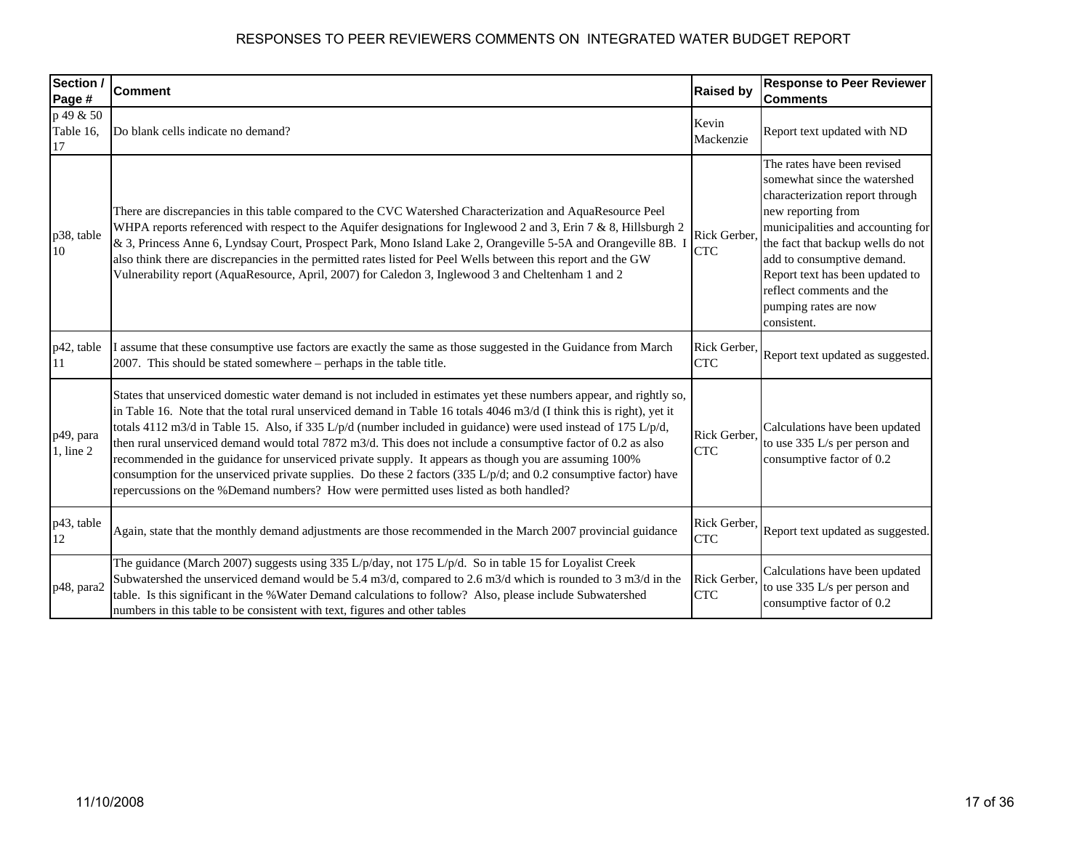| Section /<br>Page #          | <b>Comment</b>                                                                                                                                                                                                                                                                                                                                                                                                                                                                                                                                                                                                                                                                                                                                                                                                      | <b>Raised by</b>           | <b>Response to Peer Reviewer</b><br><b>Comments</b>                                                                                                                                                                                                                                                                                 |
|------------------------------|---------------------------------------------------------------------------------------------------------------------------------------------------------------------------------------------------------------------------------------------------------------------------------------------------------------------------------------------------------------------------------------------------------------------------------------------------------------------------------------------------------------------------------------------------------------------------------------------------------------------------------------------------------------------------------------------------------------------------------------------------------------------------------------------------------------------|----------------------------|-------------------------------------------------------------------------------------------------------------------------------------------------------------------------------------------------------------------------------------------------------------------------------------------------------------------------------------|
| p 49 & 50<br>Table 16.<br>17 | Do blank cells indicate no demand?                                                                                                                                                                                                                                                                                                                                                                                                                                                                                                                                                                                                                                                                                                                                                                                  | Kevin<br>Mackenzie         | Report text updated with ND                                                                                                                                                                                                                                                                                                         |
| p38, table<br>10             | There are discrepancies in this table compared to the CVC Watershed Characterization and AquaResource Peel<br>WHPA reports referenced with respect to the Aquifer designations for Inglewood 2 and 3, Erin 7 & 8, Hillsburgh 2<br>& 3, Princess Anne 6, Lyndsay Court, Prospect Park, Mono Island Lake 2, Orangeville 5-5A and Orangeville 8B. 1<br>also think there are discrepancies in the permitted rates listed for Peel Wells between this report and the GW<br>Vulnerability report (AquaResource, April, 2007) for Caledon 3, Inglewood 3 and Cheltenham 1 and 2                                                                                                                                                                                                                                            | Rick Gerber,<br><b>CTC</b> | The rates have been revised<br>somewhat since the watershed<br>characterization report through<br>new reporting from<br>municipalities and accounting for<br>the fact that backup wells do not<br>add to consumptive demand.<br>Report text has been updated to<br>reflect comments and the<br>pumping rates are now<br>consistent. |
| p42, table<br>11             | I assume that these consumptive use factors are exactly the same as those suggested in the Guidance from March<br>2007. This should be stated somewhere – perhaps in the table title.                                                                                                                                                                                                                                                                                                                                                                                                                                                                                                                                                                                                                               | Rick Gerber,<br><b>CTC</b> | Report text updated as suggested.                                                                                                                                                                                                                                                                                                   |
| p49, para<br>$1$ , line $2$  | States that unserviced domestic water demand is not included in estimates yet these numbers appear, and rightly so,<br>in Table 16. Note that the total rural unserviced demand in Table 16 totals 4046 m3/d (I think this is right), yet it<br>totals 4112 m3/d in Table 15. Also, if 335 L/p/d (number included in guidance) were used instead of 175 L/p/d,<br>then rural unserviced demand would total 7872 m3/d. This does not include a consumptive factor of $0.2$ as also<br>recommended in the guidance for unserviced private supply. It appears as though you are assuming 100%<br>consumption for the unserviced private supplies. Do these 2 factors $(335 \text{ L/p/d})$ ; and 0.2 consumptive factor) have<br>repercussions on the %Demand numbers? How were permitted uses listed as both handled? | Rick Gerber,<br><b>CTC</b> | Calculations have been updated<br>to use 335 L/s per person and<br>consumptive factor of 0.2                                                                                                                                                                                                                                        |
| p43, table<br>12             | Again, state that the monthly demand adjustments are those recommended in the March 2007 provincial guidance                                                                                                                                                                                                                                                                                                                                                                                                                                                                                                                                                                                                                                                                                                        | Rick Gerber,<br><b>CTC</b> | Report text updated as suggested.                                                                                                                                                                                                                                                                                                   |
| p48, para2                   | The guidance (March 2007) suggests using 335 L/p/day, not 175 L/p/d. So in table 15 for Loyalist Creek<br>Subwatershed the unserviced demand would be 5.4 m3/d, compared to 2.6 m3/d which is rounded to 3 m3/d in the<br>table. Is this significant in the % Water Demand calculations to follow? Also, please include Subwatershed<br>numbers in this table to be consistent with text, figures and other tables                                                                                                                                                                                                                                                                                                                                                                                                  | Rick Gerber.<br><b>CTC</b> | Calculations have been updated<br>to use 335 L/s per person and<br>consumptive factor of 0.2                                                                                                                                                                                                                                        |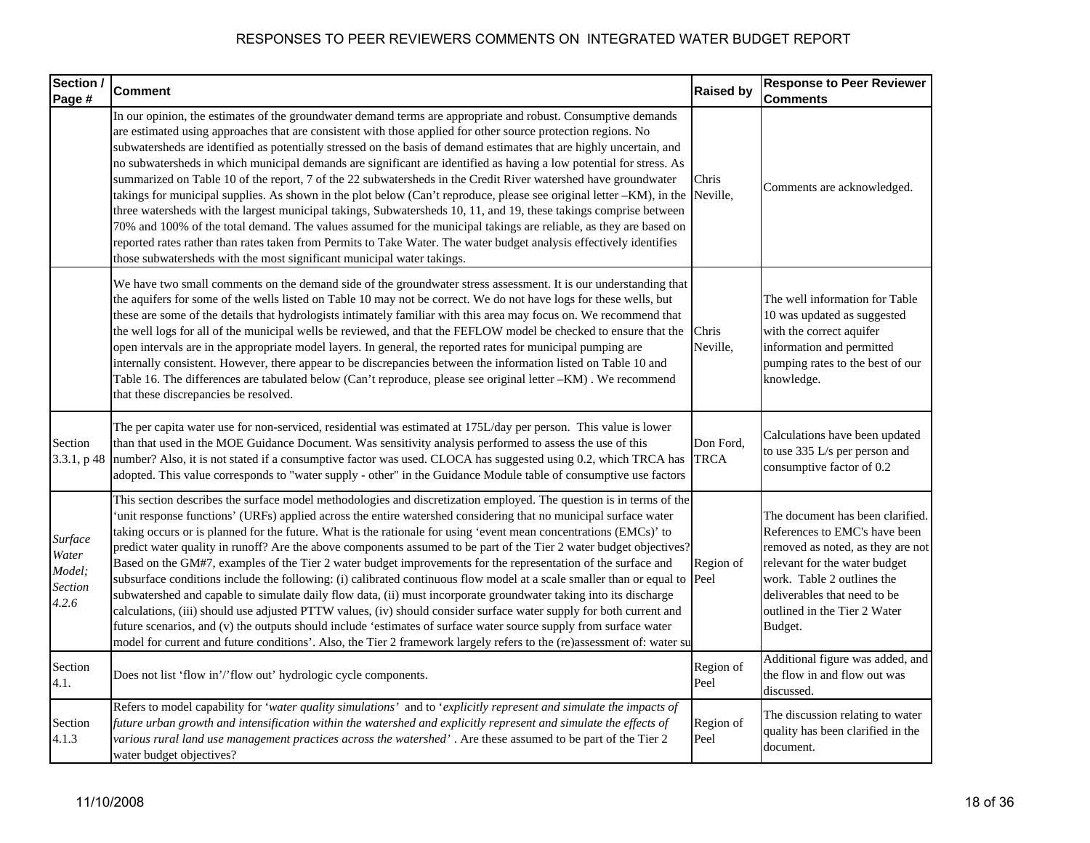| Section /<br>Page #                            | <b>Comment</b>                                                                                                                                                                                                                                                                                                                                                                                                                                                                                                                                                                                                                                                                                                                                                                                                                                                                                                                                                                                                                                                                                                                                                                                                                | <b>Raised by</b>         | <b>Response to Peer Reviewer</b><br><b>Comments</b>                                                                                                                                                                                              |
|------------------------------------------------|-------------------------------------------------------------------------------------------------------------------------------------------------------------------------------------------------------------------------------------------------------------------------------------------------------------------------------------------------------------------------------------------------------------------------------------------------------------------------------------------------------------------------------------------------------------------------------------------------------------------------------------------------------------------------------------------------------------------------------------------------------------------------------------------------------------------------------------------------------------------------------------------------------------------------------------------------------------------------------------------------------------------------------------------------------------------------------------------------------------------------------------------------------------------------------------------------------------------------------|--------------------------|--------------------------------------------------------------------------------------------------------------------------------------------------------------------------------------------------------------------------------------------------|
|                                                | In our opinion, the estimates of the groundwater demand terms are appropriate and robust. Consumptive demands<br>are estimated using approaches that are consistent with those applied for other source protection regions. No<br>subwatersheds are identified as potentially stressed on the basis of demand estimates that are highly uncertain, and<br>no subwatersheds in which municipal demands are significant are identified as having a low potential for stress. As<br>summarized on Table 10 of the report, 7 of the 22 subwatersheds in the Credit River watershed have groundwater<br>takings for municipal supplies. As shown in the plot below (Can't reproduce, please see original letter -KM), in the<br>three watersheds with the largest municipal takings, Subwatersheds 10, 11, and 19, these takings comprise between<br>70% and 100% of the total demand. The values assumed for the municipal takings are reliable, as they are based on<br>reported rates rather than rates taken from Permits to Take Water. The water budget analysis effectively identifies<br>those subwatersheds with the most significant municipal water takings.                                                            | Chris<br>Neville,        | Comments are acknowledged.                                                                                                                                                                                                                       |
|                                                | We have two small comments on the demand side of the groundwater stress assessment. It is our understanding that<br>the aquifers for some of the wells listed on Table 10 may not be correct. We do not have logs for these wells, but<br>these are some of the details that hydrologists intimately familiar with this area may focus on. We recommend that<br>the well logs for all of the municipal wells be reviewed, and that the FEFLOW model be checked to ensure that the<br>open intervals are in the appropriate model layers. In general, the reported rates for municipal pumping are<br>internally consistent. However, there appear to be discrepancies between the information listed on Table 10 and<br>Table 16. The differences are tabulated below (Can't reproduce, please see original letter -KM). We recommend<br>that these discrepancies be resolved.                                                                                                                                                                                                                                                                                                                                                | Chris<br>Neville,        | The well information for Table<br>10 was updated as suggested<br>with the correct aquifer<br>information and permitted<br>pumping rates to the best of our<br>knowledge.                                                                         |
| Section<br>3.3.1, p48                          | The per capita water use for non-serviced, residential was estimated at 175L/day per person. This value is lower<br>than that used in the MOE Guidance Document. Was sensitivity analysis performed to assess the use of this<br>number? Also, it is not stated if a consumptive factor was used. CLOCA has suggested using 0.2, which TRCA has<br>adopted. This value corresponds to "water supply - other" in the Guidance Module table of consumptive use factors                                                                                                                                                                                                                                                                                                                                                                                                                                                                                                                                                                                                                                                                                                                                                          | Don Ford,<br><b>TRCA</b> | Calculations have been updated<br>to use 335 L/s per person and<br>consumptive factor of 0.2                                                                                                                                                     |
| Surface<br>Water<br>Model;<br>Section<br>4.2.6 | This section describes the surface model methodologies and discretization employed. The question is in terms of the<br>'unit response functions' (URFs) applied across the entire watershed considering that no municipal surface water<br>taking occurs or is planned for the future. What is the rationale for using 'event mean concentrations (EMCs)' to<br>predict water quality in runoff? Are the above components assumed to be part of the Tier 2 water budget objectives?<br>Based on the GM#7, examples of the Tier 2 water budget improvements for the representation of the surface and<br>subsurface conditions include the following: (i) calibrated continuous flow model at a scale smaller than or equal to Peel<br>subwatershed and capable to simulate daily flow data, (ii) must incorporate groundwater taking into its discharge<br>calculations, (iii) should use adjusted PTTW values, (iv) should consider surface water supply for both current and<br>future scenarios, and (v) the outputs should include 'estimates of surface water source supply from surface water<br>model for current and future conditions'. Also, the Tier 2 framework largely refers to the (re)assessment of: water su | Region of                | The document has been clarified.<br>References to EMC's have been<br>removed as noted, as they are not<br>relevant for the water budget<br>work. Table 2 outlines the<br>deliverables that need to be<br>outlined in the Tier 2 Water<br>Budget. |
| Section<br>4.1.                                | Does not list 'flow in'/'flow out' hydrologic cycle components.                                                                                                                                                                                                                                                                                                                                                                                                                                                                                                                                                                                                                                                                                                                                                                                                                                                                                                                                                                                                                                                                                                                                                               | Region of<br>Peel        | Additional figure was added, and<br>the flow in and flow out was<br>discussed.                                                                                                                                                                   |
| Section<br>4.1.3                               | Refers to model capability for 'water quality simulations' and to 'explicitly represent and simulate the impacts of<br>future urban growth and intensification within the watershed and explicitly represent and simulate the effects of<br>various rural land use management practices across the watershed'. Are these assumed to be part of the Tier 2<br>water budget objectives?                                                                                                                                                                                                                                                                                                                                                                                                                                                                                                                                                                                                                                                                                                                                                                                                                                         | Region of<br>Peel        | The discussion relating to water<br>quality has been clarified in the<br>document.                                                                                                                                                               |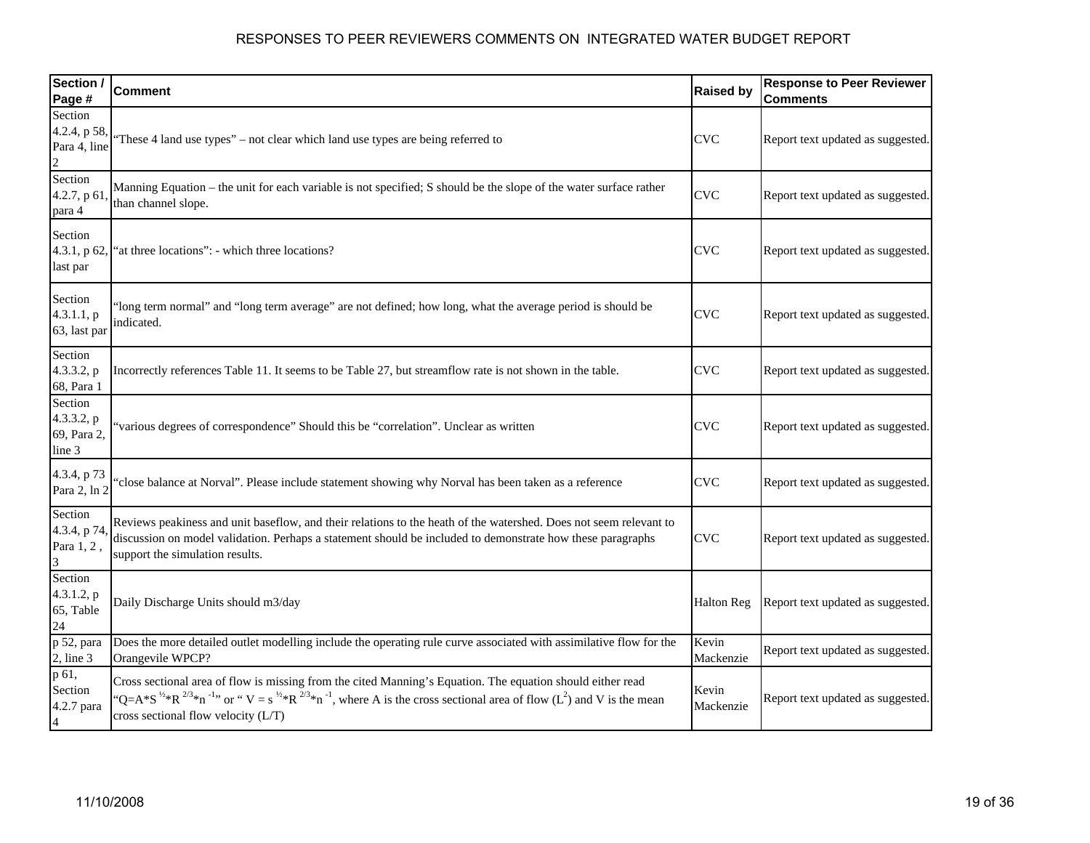| Section /<br>Page #                              | <b>Comment</b>                                                                                                                                                                                                                                                                                                 | <b>Raised by</b>   | <b>Response to Peer Reviewer</b><br><b>Comments</b> |
|--------------------------------------------------|----------------------------------------------------------------------------------------------------------------------------------------------------------------------------------------------------------------------------------------------------------------------------------------------------------------|--------------------|-----------------------------------------------------|
| Section<br>4.2.4, p 58,<br>Para 4, line          | These 4 land use types" – not clear which land use types are being referred to                                                                                                                                                                                                                                 | <b>CVC</b>         | Report text updated as suggested.                   |
| Section<br>4.2.7, p 61<br>para 4                 | Manning Equation – the unit for each variable is not specified; S should be the slope of the water surface rather<br>than channel slope.                                                                                                                                                                       | <b>CVC</b>         | Report text updated as suggested.                   |
| Section<br>4.3.1, p 62<br>last par               | 'at three locations": - which three locations?                                                                                                                                                                                                                                                                 | <b>CVC</b>         | Report text updated as suggested.                   |
| Section<br>4.3.1.1, p<br>63, last par            | 'long term normal" and "long term average" are not defined; how long, what the average period is should be<br>indicated.                                                                                                                                                                                       | <b>CVC</b>         | Report text updated as suggested.                   |
| Section<br>4.3.3.2, p<br>68, Para 1              | Incorrectly references Table 11. It seems to be Table 27, but streamflow rate is not shown in the table.                                                                                                                                                                                                       | <b>CVC</b>         | Report text updated as suggested.                   |
| Section<br>4.3.3.2, p<br>69, Para 2,<br>line 3   | 'various degrees of correspondence" Should this be "correlation". Unclear as written                                                                                                                                                                                                                           | <b>CVC</b>         | Report text updated as suggested.                   |
| 4.3.4, p 73<br>Para 2, ln 2                      | 'close balance at Norval". Please include statement showing why Norval has been taken as a reference                                                                                                                                                                                                           | <b>CVC</b>         | Report text updated as suggested.                   |
| Section<br>4.3.4, p 74<br>Para 1, 2,<br>3        | Reviews peakiness and unit baseflow, and their relations to the heath of the watershed. Does not seem relevant to<br>discussion on model validation. Perhaps a statement should be included to demonstrate how these paragraphs<br>support the simulation results.                                             | <b>CVC</b>         | Report text updated as suggested.                   |
| Section<br>4.3.1.2, p<br>65, Table<br>24         | Daily Discharge Units should m3/day                                                                                                                                                                                                                                                                            | <b>Halton Reg</b>  | Report text updated as suggested.                   |
| p 52, para<br>$2$ , line $3$                     | Does the more detailed outlet modelling include the operating rule curve associated with assimilative flow for the<br>Orangevile WPCP?                                                                                                                                                                         | Kevin<br>Mackenzie | Report text updated as suggested.                   |
| p 61,<br>Section<br>4.2.7 para<br>$\overline{A}$ | Cross sectional area of flow is missing from the cited Manning's Equation. The equation should either read<br>$Q = A^*S^{1/2} R^{2/3} \pi^{-1}$ , or " $V = s^{1/2} R^{2/3} \pi^{-1}$ , where A is the cross sectional area of flow (L <sup>2</sup> ) and V is the mean<br>cross sectional flow velocity (L/T) | Kevin<br>Mackenzie | Report text updated as suggested.                   |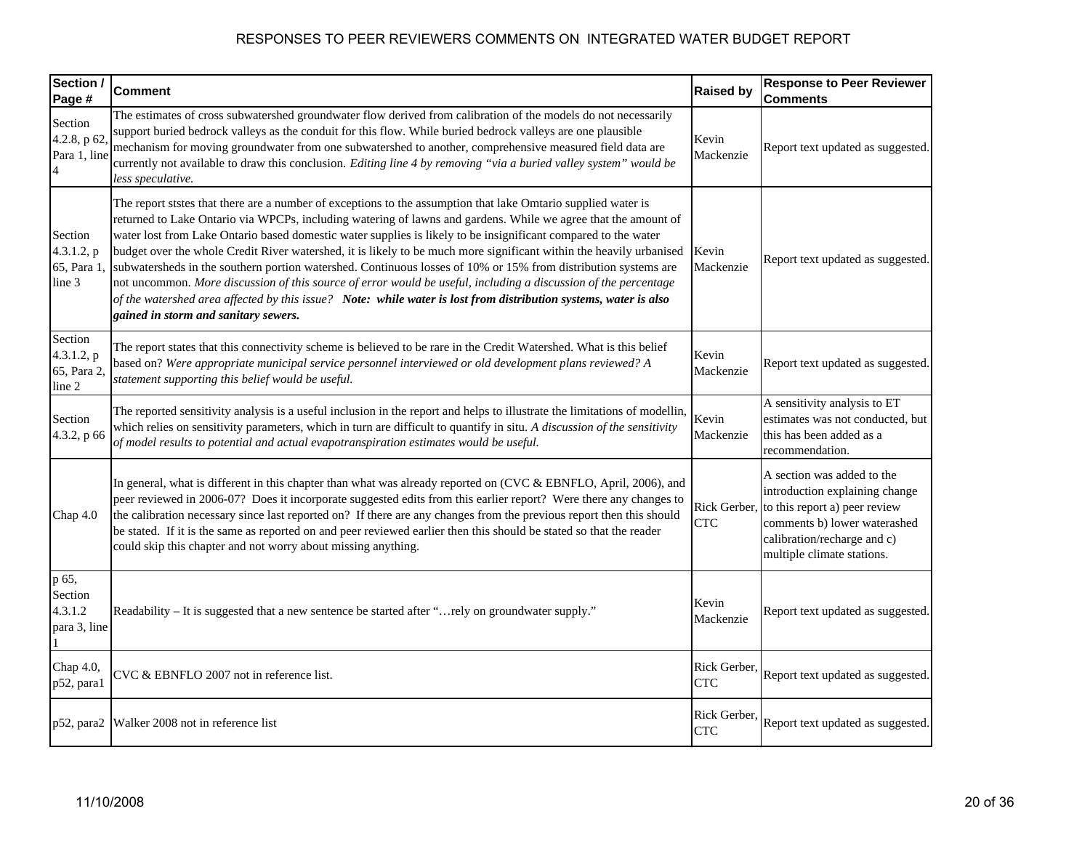| Section /<br>Page #                            | <b>Comment</b>                                                                                                                                                                                                                                                                                                                                                                                                                                                                                                                                                                                                                                                                                                                                                                                                                                                            | <b>Raised by</b>           | <b>Response to Peer Reviewer</b><br><b>Comments</b>                                                                                                                                        |
|------------------------------------------------|---------------------------------------------------------------------------------------------------------------------------------------------------------------------------------------------------------------------------------------------------------------------------------------------------------------------------------------------------------------------------------------------------------------------------------------------------------------------------------------------------------------------------------------------------------------------------------------------------------------------------------------------------------------------------------------------------------------------------------------------------------------------------------------------------------------------------------------------------------------------------|----------------------------|--------------------------------------------------------------------------------------------------------------------------------------------------------------------------------------------|
| Section<br>4.2.8, p 62<br>Para 1, line         | The estimates of cross subwatershed groundwater flow derived from calibration of the models do not necessarily<br>support buried bedrock valleys as the conduit for this flow. While buried bedrock valleys are one plausible<br>mechanism for moving groundwater from one subwatershed to another, comprehensive measured field data are<br>currently not available to draw this conclusion. Editing line 4 by removing "via a buried valley system" would be<br>less speculative.                                                                                                                                                                                                                                                                                                                                                                                       | Kevin<br>Mackenzie         | Report text updated as suggested.                                                                                                                                                          |
| Section<br>4.3.1.2, p<br>65, Para 1,<br>line 3 | The report ststes that there are a number of exceptions to the assumption that lake Omtario supplied water is<br>returned to Lake Ontario via WPCPs, including watering of lawns and gardens. While we agree that the amount of<br>water lost from Lake Ontario based domestic water supplies is likely to be insignificant compared to the water<br>budget over the whole Credit River watershed, it is likely to be much more significant within the heavily urbanised<br>subwatersheds in the southern portion watershed. Continuous losses of 10% or 15% from distribution systems are<br>not uncommon. More discussion of this source of error would be useful, including a discussion of the percentage<br>of the watershed area affected by this issue? Note: while water is lost from distribution systems, water is also<br>gained in storm and sanitary sewers. | Kevin<br>Mackenzie         | Report text updated as suggested.                                                                                                                                                          |
| Section<br>4.3.1.2, p<br>65, Para 2,<br>line 2 | The report states that this connectivity scheme is believed to be rare in the Credit Watershed. What is this belief<br>based on? Were appropriate municipal service personnel interviewed or old development plans reviewed? A<br>statement supporting this belief would be useful.                                                                                                                                                                                                                                                                                                                                                                                                                                                                                                                                                                                       | Kevin<br>Mackenzie         | Report text updated as suggested.                                                                                                                                                          |
| Section<br>4.3.2, p 66                         | The reported sensitivity analysis is a useful inclusion in the report and helps to illustrate the limitations of modellin,<br>which relies on sensitivity parameters, which in turn are difficult to quantify in situ. A discussion of the sensitivity<br>of model results to potential and actual evapotranspiration estimates would be useful.                                                                                                                                                                                                                                                                                                                                                                                                                                                                                                                          | Kevin<br>Mackenzie         | A sensitivity analysis to ET<br>estimates was not conducted, but<br>this has been added as a<br>recommendation.                                                                            |
| Chap 4.0                                       | In general, what is different in this chapter than what was already reported on (CVC & EBNFLO, April, 2006), and<br>peer reviewed in 2006-07? Does it incorporate suggested edits from this earlier report? Were there any changes to<br>the calibration necessary since last reported on? If there are any changes from the previous report then this should<br>be stated. If it is the same as reported on and peer reviewed earlier then this should be stated so that the reader<br>could skip this chapter and not worry about missing anything.                                                                                                                                                                                                                                                                                                                     | Rick Gerber,<br><b>CTC</b> | A section was added to the<br>introduction explaining change<br>to this report a) peer review<br>comments b) lower waterashed<br>calibration/recharge and c)<br>multiple climate stations. |
| p 65,<br>Section<br>4.3.1.2<br>para 3, line    | Readability - It is suggested that a new sentence be started after "rely on groundwater supply."                                                                                                                                                                                                                                                                                                                                                                                                                                                                                                                                                                                                                                                                                                                                                                          | Kevin<br>Mackenzie         | Report text updated as suggested.                                                                                                                                                          |
| Chap 4.0,<br>p52, para1                        | CVC & EBNFLO 2007 not in reference list.                                                                                                                                                                                                                                                                                                                                                                                                                                                                                                                                                                                                                                                                                                                                                                                                                                  | Rick Gerber,<br><b>CTC</b> | Report text updated as suggested.                                                                                                                                                          |
| p52, para2                                     | Walker 2008 not in reference list                                                                                                                                                                                                                                                                                                                                                                                                                                                                                                                                                                                                                                                                                                                                                                                                                                         | Rick Gerber.<br><b>CTC</b> | Report text updated as suggested.                                                                                                                                                          |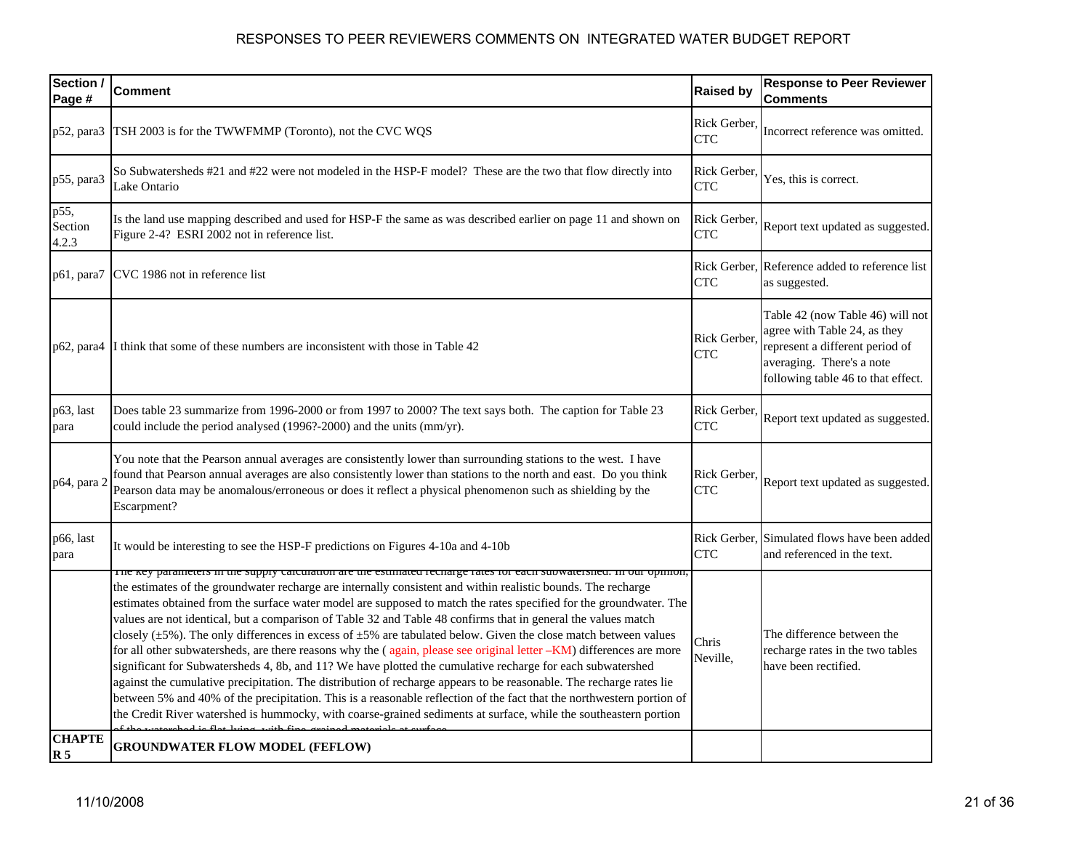| Section /<br>Page #      | <b>Comment</b>                                                                                                                                                                                                                                                                                                                                                                                                                                                                                                                                                                                                                                                                                                                                                                                                                                                                                                                                                                                                                                                                                                                                                                                                                     | <b>Raised by</b>           | <b>Response to Peer Reviewer</b><br><b>Comments</b>                                                                                                                    |
|--------------------------|------------------------------------------------------------------------------------------------------------------------------------------------------------------------------------------------------------------------------------------------------------------------------------------------------------------------------------------------------------------------------------------------------------------------------------------------------------------------------------------------------------------------------------------------------------------------------------------------------------------------------------------------------------------------------------------------------------------------------------------------------------------------------------------------------------------------------------------------------------------------------------------------------------------------------------------------------------------------------------------------------------------------------------------------------------------------------------------------------------------------------------------------------------------------------------------------------------------------------------|----------------------------|------------------------------------------------------------------------------------------------------------------------------------------------------------------------|
| p52, para3               | TSH 2003 is for the TWWFMMP (Toronto), not the CVC WQS                                                                                                                                                                                                                                                                                                                                                                                                                                                                                                                                                                                                                                                                                                                                                                                                                                                                                                                                                                                                                                                                                                                                                                             | Rick Gerber,<br><b>CTC</b> | Incorrect reference was omitted.                                                                                                                                       |
| p55, para3               | So Subwatersheds #21 and #22 were not modeled in the HSP-F model? These are the two that flow directly into<br>Lake Ontario                                                                                                                                                                                                                                                                                                                                                                                                                                                                                                                                                                                                                                                                                                                                                                                                                                                                                                                                                                                                                                                                                                        | Rick Gerber.<br><b>CTC</b> | Yes, this is correct.                                                                                                                                                  |
| p55,<br>Section<br>4.2.3 | Is the land use mapping described and used for HSP-F the same as was described earlier on page 11 and shown on<br>Figure 2-4? ESRI 2002 not in reference list.                                                                                                                                                                                                                                                                                                                                                                                                                                                                                                                                                                                                                                                                                                                                                                                                                                                                                                                                                                                                                                                                     | Rick Gerber,<br><b>CTC</b> | Report text updated as suggested.                                                                                                                                      |
| p61, para7               | CVC 1986 not in reference list                                                                                                                                                                                                                                                                                                                                                                                                                                                                                                                                                                                                                                                                                                                                                                                                                                                                                                                                                                                                                                                                                                                                                                                                     | <b>CTC</b>                 | Rick Gerber, Reference added to reference list<br>as suggested.                                                                                                        |
|                          | p62, para4  I think that some of these numbers are inconsistent with those in Table 42                                                                                                                                                                                                                                                                                                                                                                                                                                                                                                                                                                                                                                                                                                                                                                                                                                                                                                                                                                                                                                                                                                                                             | Rick Gerber.<br><b>CTC</b> | Table 42 (now Table 46) will not<br>agree with Table 24, as they<br>represent a different period of<br>averaging. There's a note<br>following table 46 to that effect. |
| p63, last<br>para        | Does table 23 summarize from 1996-2000 or from 1997 to 2000? The text says both. The caption for Table 23<br>could include the period analysed (1996?-2000) and the units (mm/yr).                                                                                                                                                                                                                                                                                                                                                                                                                                                                                                                                                                                                                                                                                                                                                                                                                                                                                                                                                                                                                                                 | Rick Gerber.<br><b>CTC</b> | Report text updated as suggested.                                                                                                                                      |
| p64, para 2              | You note that the Pearson annual averages are consistently lower than surrounding stations to the west. I have<br>found that Pearson annual averages are also consistently lower than stations to the north and east. Do you think<br>Pearson data may be anomalous/erroneous or does it reflect a physical phenomenon such as shielding by the<br>Escarpment?                                                                                                                                                                                                                                                                                                                                                                                                                                                                                                                                                                                                                                                                                                                                                                                                                                                                     | Rick Gerber.<br><b>CTC</b> | Report text updated as suggested.                                                                                                                                      |
| p66, last<br>para        | It would be interesting to see the HSP-F predictions on Figures 4-10a and 4-10b                                                                                                                                                                                                                                                                                                                                                                                                                                                                                                                                                                                                                                                                                                                                                                                                                                                                                                                                                                                                                                                                                                                                                    | <b>CTC</b>                 | Rick Gerber, Simulated flows have been added<br>and referenced in the text.                                                                                            |
|                          | The key parameters in the suppry carculation are the estimated recharge rates for each subwatershed. In our opinion,<br>the estimates of the groundwater recharge are internally consistent and within realistic bounds. The recharge<br>estimates obtained from the surface water model are supposed to match the rates specified for the groundwater. The<br>values are not identical, but a comparison of Table 32 and Table 48 confirms that in general the values match<br>closely ( $\pm$ 5%). The only differences in excess of $\pm$ 5% are tabulated below. Given the close match between values<br>for all other subwatersheds, are there reasons why the (again, please see original letter -KM) differences are more<br>significant for Subwatersheds 4, 8b, and 11? We have plotted the cumulative recharge for each subwatershed<br>against the cumulative precipitation. The distribution of recharge appears to be reasonable. The recharge rates lie<br>between 5% and 40% of the precipitation. This is a reasonable reflection of the fact that the northwestern portion of<br>the Credit River watershed is hummocky, with coarse-grained sediments at surface, while the southeastern portion<br>$\mathbf{F}$ | Chris<br>Neville,          | The difference between the<br>recharge rates in the two tables<br>have been rectified.                                                                                 |
| <b>CHAPTE</b><br>R 5     | <b>GROUNDWATER FLOW MODEL (FEFLOW)</b>                                                                                                                                                                                                                                                                                                                                                                                                                                                                                                                                                                                                                                                                                                                                                                                                                                                                                                                                                                                                                                                                                                                                                                                             |                            |                                                                                                                                                                        |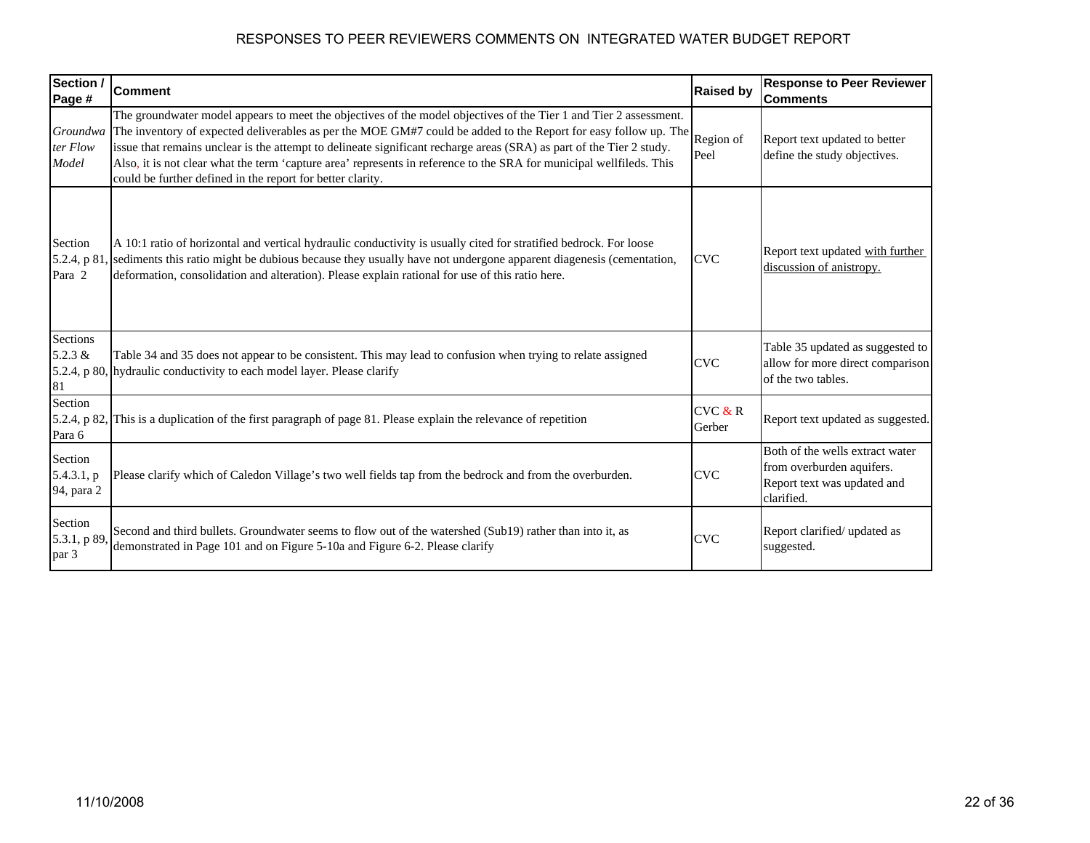| Section /<br>Page #                 | <b>Comment</b>                                                                                                                                                                                                                                                                                                                                                                                                                                                                                                                                     | <b>Raised by</b>  | <b>Response to Peer Reviewer</b><br><b>Comments</b>                                                       |
|-------------------------------------|----------------------------------------------------------------------------------------------------------------------------------------------------------------------------------------------------------------------------------------------------------------------------------------------------------------------------------------------------------------------------------------------------------------------------------------------------------------------------------------------------------------------------------------------------|-------------------|-----------------------------------------------------------------------------------------------------------|
| Groundwa<br>ter Flow<br>Model       | The groundwater model appears to meet the objectives of the model objectives of the Tier 1 and Tier 2 assessment.<br>The inventory of expected deliverables as per the MOE GM#7 could be added to the Report for easy follow up. The<br>issue that remains unclear is the attempt to delineate significant recharge areas (SRA) as part of the Tier 2 study.<br>Also, it is not clear what the term 'capture area' represents in reference to the SRA for municipal wellfileds. This<br>could be further defined in the report for better clarity. | Region of<br>Peel | Report text updated to better<br>define the study objectives.                                             |
| Section<br>5.2.4, p 81<br>Para 2    | A 10:1 ratio of horizontal and vertical hydraulic conductivity is usually cited for stratified bedrock. For loose<br>sediments this ratio might be dubious because they usually have not undergone apparent diagenesis (cementation,<br>deformation, consolidation and alteration). Please explain rational for use of this ratio here.                                                                                                                                                                                                            | <b>CVC</b>        | Report text updated with further<br>discussion of anistropy.                                              |
| Sections<br>$5.2.3 \&$<br>81        | Table 34 and 35 does not appear to be consistent. This may lead to confusion when trying to relate assigned<br>5.2.4, p 80, hydraulic conductivity to each model layer. Please clarify                                                                                                                                                                                                                                                                                                                                                             | <b>CVC</b>        | Table 35 updated as suggested to<br>allow for more direct comparison<br>of the two tables.                |
| Section<br>5.2.4, p 82<br>Para 6    | This is a duplication of the first paragraph of page 81. Please explain the relevance of repetition                                                                                                                                                                                                                                                                                                                                                                                                                                                | CVC & R<br>Gerber | Report text updated as suggested.                                                                         |
| Section<br>5.4.3.1, p<br>94, para 2 | Please clarify which of Caledon Village's two well fields tap from the bedrock and from the overburden.                                                                                                                                                                                                                                                                                                                                                                                                                                            | <b>CVC</b>        | Both of the wells extract water<br>from overburden aquifers.<br>Report text was updated and<br>clarified. |
| Section<br>5.3.1, p 89,<br>par 3    | Second and third bullets. Groundwater seems to flow out of the watershed (Sub19) rather than into it, as<br>demonstrated in Page 101 and on Figure 5-10a and Figure 6-2. Please clarify                                                                                                                                                                                                                                                                                                                                                            | <b>CVC</b>        | Report clarified/ updated as<br>suggested.                                                                |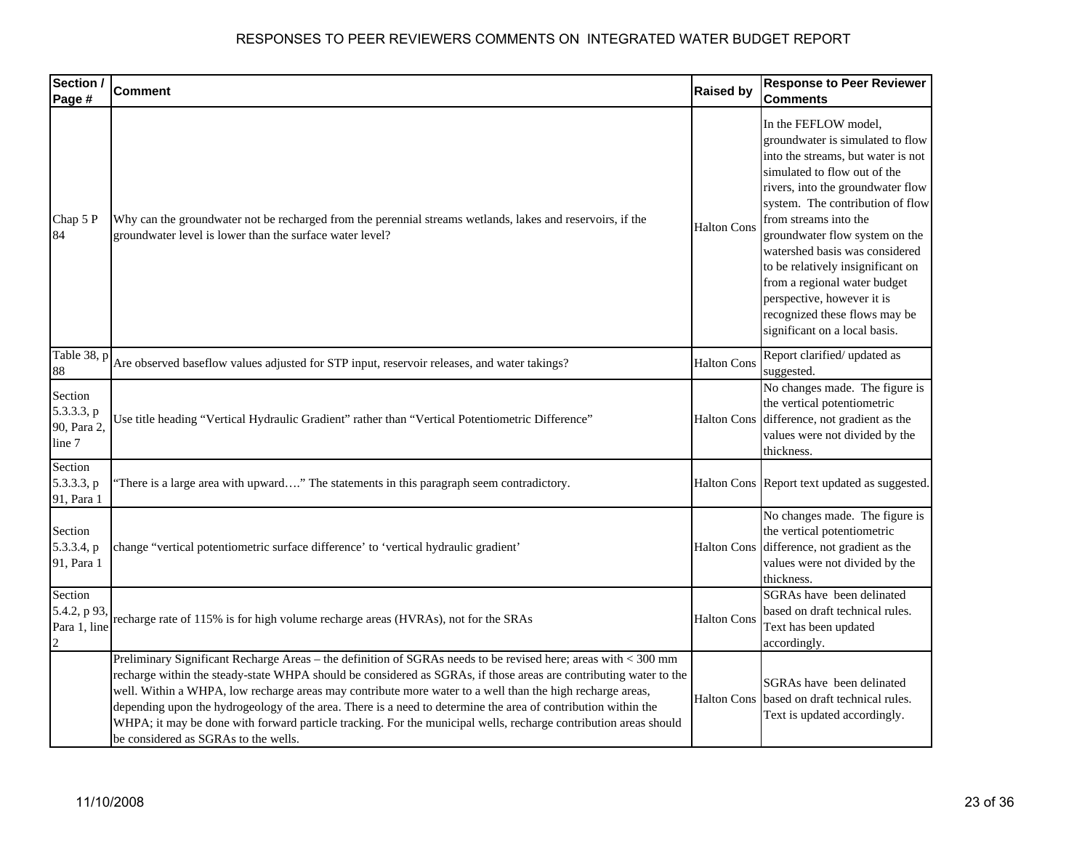| Section /<br>Page #                            | <b>Comment</b>                                                                                                                                                                                                                                                                                                                                                                                                                                                                                                                                                                                                                | <b>Raised by</b>   | <b>Response to Peer Reviewer</b><br><b>Comments</b>                                                                                                                                                                                                                                                                                                                                                                                                                       |
|------------------------------------------------|-------------------------------------------------------------------------------------------------------------------------------------------------------------------------------------------------------------------------------------------------------------------------------------------------------------------------------------------------------------------------------------------------------------------------------------------------------------------------------------------------------------------------------------------------------------------------------------------------------------------------------|--------------------|---------------------------------------------------------------------------------------------------------------------------------------------------------------------------------------------------------------------------------------------------------------------------------------------------------------------------------------------------------------------------------------------------------------------------------------------------------------------------|
| Chap 5 P<br>84                                 | Why can the groundwater not be recharged from the perennial streams wetlands, lakes and reservoirs, if the<br>groundwater level is lower than the surface water level?                                                                                                                                                                                                                                                                                                                                                                                                                                                        | <b>Halton Cons</b> | In the FEFLOW model,<br>groundwater is simulated to flow<br>into the streams, but water is not<br>simulated to flow out of the<br>rivers, into the groundwater flow<br>system. The contribution of flow<br>from streams into the<br>groundwater flow system on the<br>watershed basis was considered<br>to be relatively insignificant on<br>from a regional water budget<br>perspective, however it is<br>recognized these flows may be<br>significant on a local basis. |
| Table 38, p<br>88                              | Are observed baseflow values adjusted for STP input, reservoir releases, and water takings?                                                                                                                                                                                                                                                                                                                                                                                                                                                                                                                                   | <b>Halton Cons</b> | Report clarified/ updated as<br>suggested.                                                                                                                                                                                                                                                                                                                                                                                                                                |
| Section<br>5.3.3.3, p<br>90, Para 2,<br>line 7 | Use title heading "Vertical Hydraulic Gradient" rather than "Vertical Potentiometric Difference"                                                                                                                                                                                                                                                                                                                                                                                                                                                                                                                              | <b>Halton Cons</b> | No changes made. The figure is<br>the vertical potentiometric<br>difference, not gradient as the<br>values were not divided by the<br>thickness.                                                                                                                                                                                                                                                                                                                          |
| Section<br>5.3.3.3, p<br>91, Para 1            | There is a large area with upward" The statements in this paragraph seem contradictory.                                                                                                                                                                                                                                                                                                                                                                                                                                                                                                                                       |                    | Halton Cons Report text updated as suggested.                                                                                                                                                                                                                                                                                                                                                                                                                             |
| Section<br>5.3.3.4, p<br>91, Para 1            | change "vertical potentiometric surface difference' to 'vertical hydraulic gradient'                                                                                                                                                                                                                                                                                                                                                                                                                                                                                                                                          | <b>Halton Cons</b> | No changes made. The figure is<br>the vertical potentiometric<br>difference, not gradient as the<br>values were not divided by the<br>thickness.                                                                                                                                                                                                                                                                                                                          |
| Section<br>5.4.2, p 93.<br>Para 1, line        | recharge rate of 115% is for high volume recharge areas (HVRAs), not for the SRAs                                                                                                                                                                                                                                                                                                                                                                                                                                                                                                                                             | <b>Halton Cons</b> | SGRAs have been delinated<br>based on draft technical rules.<br>Text has been updated<br>accordingly.                                                                                                                                                                                                                                                                                                                                                                     |
|                                                | Preliminary Significant Recharge Areas - the definition of SGRAs needs to be revised here; areas with < 300 mm<br>recharge within the steady-state WHPA should be considered as SGRAs, if those areas are contributing water to the<br>well. Within a WHPA, low recharge areas may contribute more water to a well than the high recharge areas,<br>depending upon the hydrogeology of the area. There is a need to determine the area of contribution within the<br>WHPA; it may be done with forward particle tracking. For the municipal wells, recharge contribution areas should<br>be considered as SGRAs to the wells. | <b>Halton Cons</b> | SGRAs have been delinated<br>based on draft technical rules.<br>Text is updated accordingly.                                                                                                                                                                                                                                                                                                                                                                              |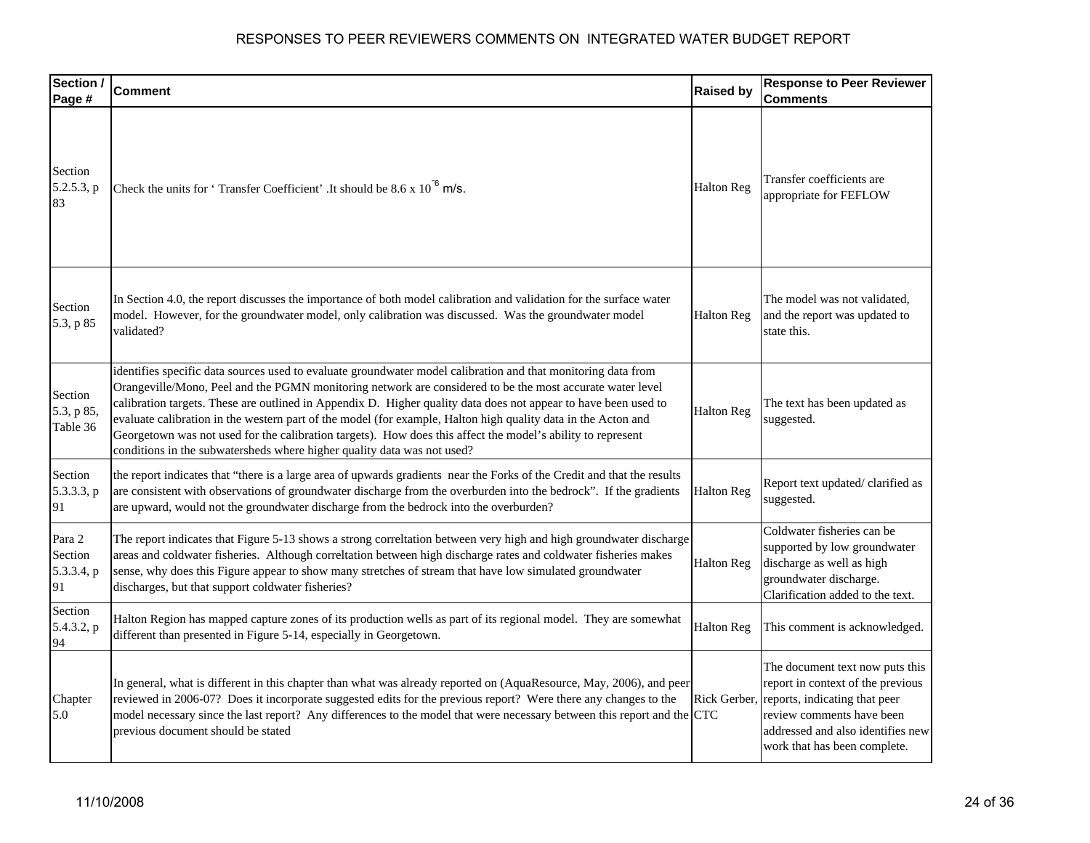| Section /<br>Page #                   | <b>Comment</b>                                                                                                                                                                                                                                                                                                                                                                                                                                                                                                                                                                                                                                           | <b>Raised by</b>  | <b>Response to Peer Reviewer</b><br><b>Comments</b>                                                                                                                                                     |
|---------------------------------------|----------------------------------------------------------------------------------------------------------------------------------------------------------------------------------------------------------------------------------------------------------------------------------------------------------------------------------------------------------------------------------------------------------------------------------------------------------------------------------------------------------------------------------------------------------------------------------------------------------------------------------------------------------|-------------------|---------------------------------------------------------------------------------------------------------------------------------------------------------------------------------------------------------|
| Section<br>5.2.5.3, p<br>83           | Check the units for 'Transfer Coefficient'. It should be $8.6 \times 10^{-6}$ m/s.                                                                                                                                                                                                                                                                                                                                                                                                                                                                                                                                                                       | <b>Halton Reg</b> | Transfer coefficients are<br>appropriate for FEFLOW                                                                                                                                                     |
| Section<br>5.3, p 85                  | In Section 4.0, the report discusses the importance of both model calibration and validation for the surface water<br>model. However, for the groundwater model, only calibration was discussed. Was the groundwater model<br>validated?                                                                                                                                                                                                                                                                                                                                                                                                                 | <b>Halton Reg</b> | The model was not validated,<br>and the report was updated to<br>state this.                                                                                                                            |
| Section<br>5.3, p 85,<br>Table 36     | identifies specific data sources used to evaluate groundwater model calibration and that monitoring data from<br>Orangeville/Mono, Peel and the PGMN monitoring network are considered to be the most accurate water level<br>calibration targets. These are outlined in Appendix D. Higher quality data does not appear to have been used to<br>evaluate calibration in the western part of the model (for example, Halton high quality data in the Acton and<br>Georgetown was not used for the calibration targets). How does this affect the model's ability to represent<br>conditions in the subwatersheds where higher quality data was not used? | <b>Halton Reg</b> | The text has been updated as<br>suggested.                                                                                                                                                              |
| Section<br>5.3.3.3, p<br>91           | the report indicates that "there is a large area of upwards gradients near the Forks of the Credit and that the results<br>are consistent with observations of groundwater discharge from the overburden into the bedrock". If the gradients<br>are upward, would not the groundwater discharge from the bedrock into the overburden?                                                                                                                                                                                                                                                                                                                    | <b>Halton Reg</b> | Report text updated/clarified as<br>suggested.                                                                                                                                                          |
| Para 2<br>Section<br>5.3.3.4, p<br>91 | The report indicates that Figure 5-13 shows a strong correltation between very high and high groundwater discharge<br>areas and coldwater fisheries. Although correltation between high discharge rates and coldwater fisheries makes<br>sense, why does this Figure appear to show many stretches of stream that have low simulated groundwater<br>discharges, but that support coldwater fisheries?                                                                                                                                                                                                                                                    | <b>Halton Reg</b> | Coldwater fisheries can be<br>supported by low groundwater<br>discharge as well as high<br>groundwater discharge.<br>Clarification added to the text.                                                   |
| Section<br>5.4.3.2, p<br>94           | Halton Region has mapped capture zones of its production wells as part of its regional model. They are somewhat<br>different than presented in Figure 5-14, especially in Georgetown.                                                                                                                                                                                                                                                                                                                                                                                                                                                                    | <b>Halton Reg</b> | This comment is acknowledged.                                                                                                                                                                           |
| Chapter<br>5.0                        | In general, what is different in this chapter than what was already reported on (AquaResource, May, 2006), and peer<br>reviewed in 2006-07? Does it incorporate suggested edits for the previous report? Were there any changes to the<br>model necessary since the last report? Any differences to the model that were necessary between this report and the CTC<br>previous document should be stated                                                                                                                                                                                                                                                  | Rick Gerber,      | The document text now puts this<br>report in context of the previous<br>reports, indicating that peer<br>review comments have been<br>addressed and also identifies new<br>work that has been complete. |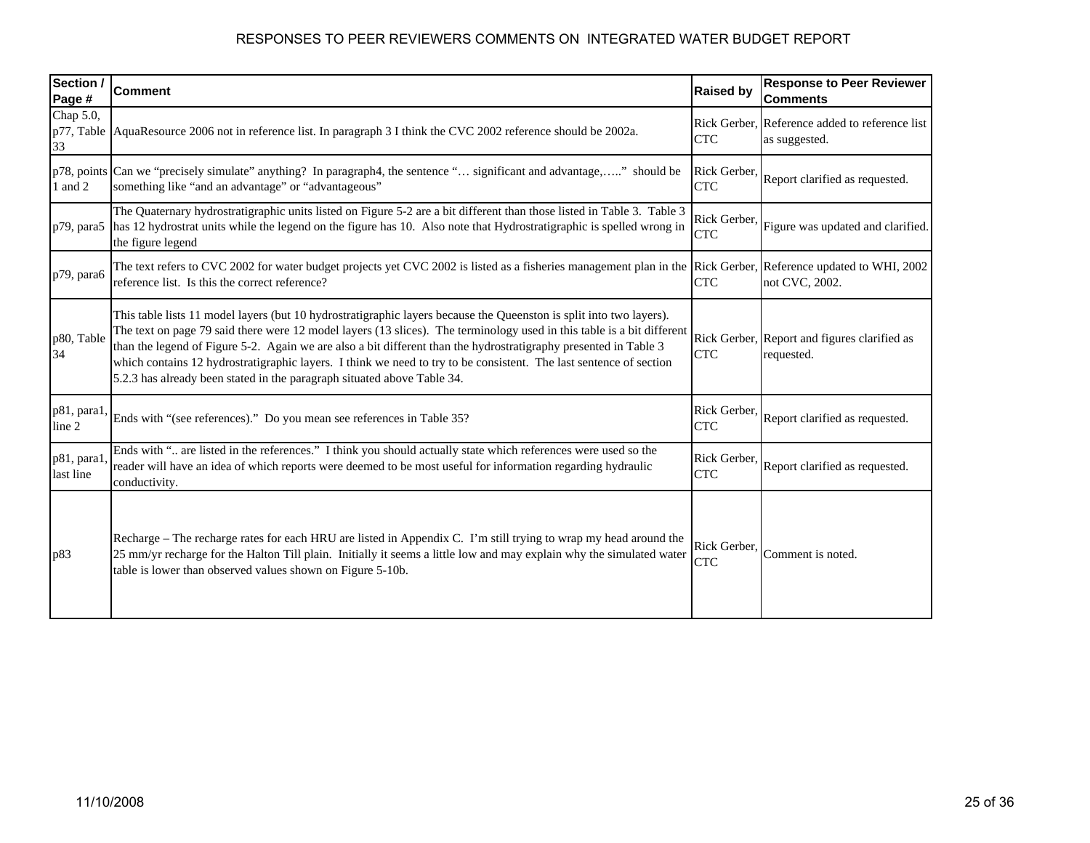| Section /<br>Page #           | <b>Comment</b>                                                                                                                                                                                                                                                                                                                                                                                                                                                                                                                                                     | <b>Raised by</b>           | <b>Response to Peer Reviewer</b><br><b>Comments</b>             |
|-------------------------------|--------------------------------------------------------------------------------------------------------------------------------------------------------------------------------------------------------------------------------------------------------------------------------------------------------------------------------------------------------------------------------------------------------------------------------------------------------------------------------------------------------------------------------------------------------------------|----------------------------|-----------------------------------------------------------------|
| Chap 5.0,<br>p77, Table<br>33 | AquaResource 2006 not in reference list. In paragraph 3 I think the CVC 2002 reference should be 2002a.                                                                                                                                                                                                                                                                                                                                                                                                                                                            | <b>CTC</b>                 | Rick Gerber, Reference added to reference list<br>as suggested. |
| 1 and 2                       | p78, points Can we "precisely simulate" anything? In paragraph4, the sentence " significant and advantage," should be<br>something like "and an advantage" or "advantageous"                                                                                                                                                                                                                                                                                                                                                                                       | Rick Gerber,<br><b>CTC</b> | Report clarified as requested.                                  |
| p79, para5                    | The Quaternary hydrostratigraphic units listed on Figure 5-2 are a bit different than those listed in Table 3. Table 3<br>has 12 hydrostrat units while the legend on the figure has 10. Also note that Hydrostratigraphic is spelled wrong in<br>the figure legend                                                                                                                                                                                                                                                                                                | Rick Gerber,<br><b>CTC</b> | Figure was updated and clarified.                               |
| p79, para6                    | The text refers to CVC 2002 for water budget projects yet CVC 2002 is listed as a fisheries management plan in the Rick Gerber, Reference updated to WHI, 2002<br>reference list. Is this the correct reference?                                                                                                                                                                                                                                                                                                                                                   | <b>CTC</b>                 | not CVC, 2002.                                                  |
| p80, Table<br>34              | This table lists 11 model layers (but 10 hydrostratigraphic layers because the Queenston is split into two layers).<br>The text on page 79 said there were 12 model layers (13 slices). The terminology used in this table is a bit different<br>than the legend of Figure 5-2. Again we are also a bit different than the hydrostratigraphy presented in Table 3<br>which contains 12 hydrostratigraphic layers. I think we need to try to be consistent. The last sentence of section<br>5.2.3 has already been stated in the paragraph situated above Table 34. | <b>CTC</b>                 | Rick Gerber, Report and figures clarified as<br>requested.      |
| p81, para1<br>line 2          | Ends with "(see references)." Do you mean see references in Table 35?                                                                                                                                                                                                                                                                                                                                                                                                                                                                                              | Rick Gerber,<br><b>CTC</b> | Report clarified as requested.                                  |
| p81, para1.<br>last line      | Ends with " are listed in the references." I think you should actually state which references were used so the<br>reader will have an idea of which reports were deemed to be most useful for information regarding hydraulic<br>conductivity.                                                                                                                                                                                                                                                                                                                     | Rick Gerber,<br><b>CTC</b> | Report clarified as requested.                                  |
| p83                           | Recharge – The recharge rates for each HRU are listed in Appendix C. I'm still trying to wrap my head around the<br>25 mm/yr recharge for the Halton Till plain. Initially it seems a little low and may explain why the simulated water<br>table is lower than observed values shown on Figure 5-10b.                                                                                                                                                                                                                                                             | Rick Gerber,<br><b>CTC</b> | Comment is noted.                                               |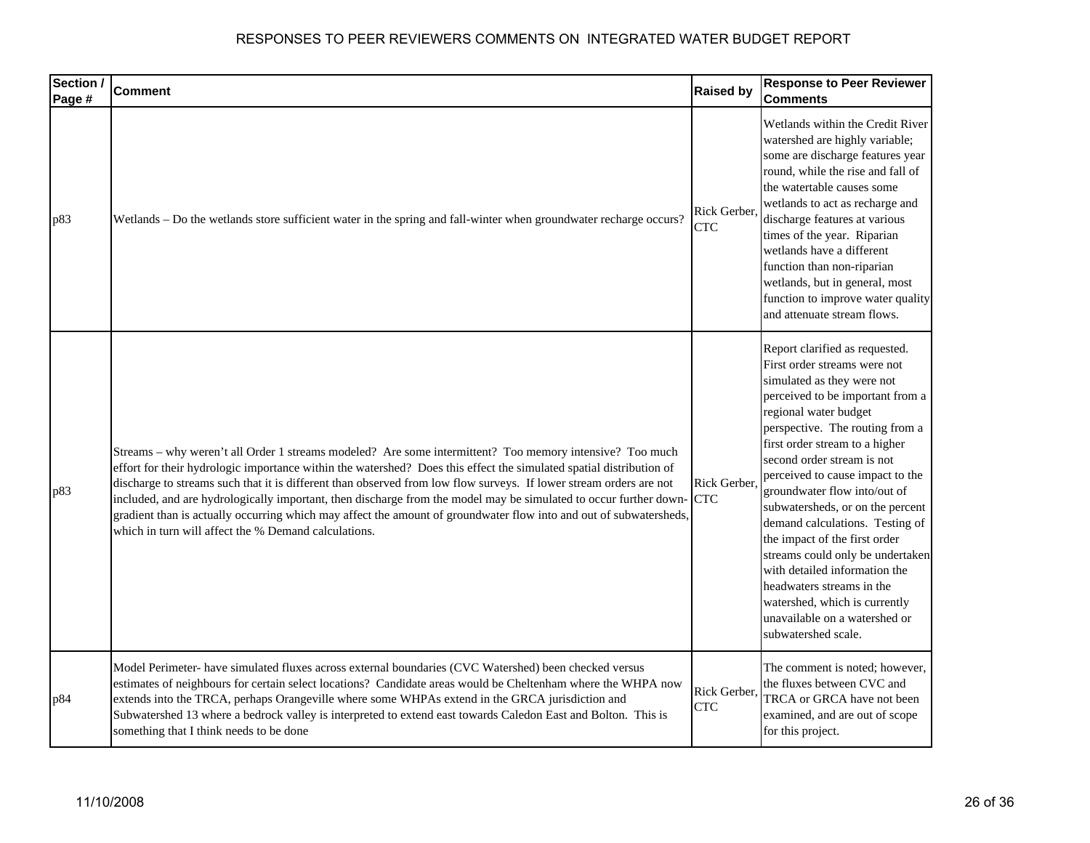| Section /<br>Page # | <b>Comment</b>                                                                                                                                                                                                                                                                                                                                                                                                                                                                                                                                                                                                                                           | <b>Raised by</b>           | <b>Response to Peer Reviewer</b><br><b>Comments</b>                                                                                                                                                                                                                                                                                                                                                                                                                                                                                                                                                                                 |
|---------------------|----------------------------------------------------------------------------------------------------------------------------------------------------------------------------------------------------------------------------------------------------------------------------------------------------------------------------------------------------------------------------------------------------------------------------------------------------------------------------------------------------------------------------------------------------------------------------------------------------------------------------------------------------------|----------------------------|-------------------------------------------------------------------------------------------------------------------------------------------------------------------------------------------------------------------------------------------------------------------------------------------------------------------------------------------------------------------------------------------------------------------------------------------------------------------------------------------------------------------------------------------------------------------------------------------------------------------------------------|
| p83                 | Wetlands - Do the wetlands store sufficient water in the spring and fall-winter when groundwater recharge occurs?                                                                                                                                                                                                                                                                                                                                                                                                                                                                                                                                        | Rick Gerber,<br><b>CTC</b> | Wetlands within the Credit River<br>watershed are highly variable;<br>some are discharge features year<br>round, while the rise and fall of<br>the watertable causes some<br>wetlands to act as recharge and<br>discharge features at various<br>times of the year. Riparian<br>wetlands have a different<br>function than non-riparian<br>wetlands, but in general, most<br>function to improve water quality<br>and attenuate stream flows.                                                                                                                                                                                       |
| p83                 | Streams - why weren't all Order 1 streams modeled? Are some intermittent? Too memory intensive? Too much<br>effort for their hydrologic importance within the watershed? Does this effect the simulated spatial distribution of<br>discharge to streams such that it is different than observed from low flow surveys. If lower stream orders are not<br>included, and are hydrologically important, then discharge from the model may be simulated to occur further down-<br>gradient than is actually occurring which may affect the amount of groundwater flow into and out of subwatersheds,<br>which in turn will affect the % Demand calculations. | Rick Gerber,<br><b>CTC</b> | Report clarified as requested.<br>First order streams were not<br>simulated as they were not<br>perceived to be important from a<br>regional water budget<br>perspective. The routing from a<br>first order stream to a higher<br>second order stream is not<br>perceived to cause impact to the<br>groundwater flow into/out of<br>subwatersheds, or on the percent<br>demand calculations. Testing of<br>the impact of the first order<br>streams could only be undertaken<br>with detailed information the<br>headwaters streams in the<br>watershed, which is currently<br>unavailable on a watershed or<br>subwatershed scale. |
| p84                 | Model Perimeter- have simulated fluxes across external boundaries (CVC Watershed) been checked versus<br>estimates of neighbours for certain select locations? Candidate areas would be Cheltenham where the WHPA now<br>extends into the TRCA, perhaps Orangeville where some WHPAs extend in the GRCA jurisdiction and<br>Subwatershed 13 where a bedrock valley is interpreted to extend east towards Caledon East and Bolton. This is<br>something that I think needs to be done                                                                                                                                                                     | Rick Gerber,<br><b>CTC</b> | The comment is noted; however,<br>the fluxes between CVC and<br>TRCA or GRCA have not been<br>examined, and are out of scope<br>for this project.                                                                                                                                                                                                                                                                                                                                                                                                                                                                                   |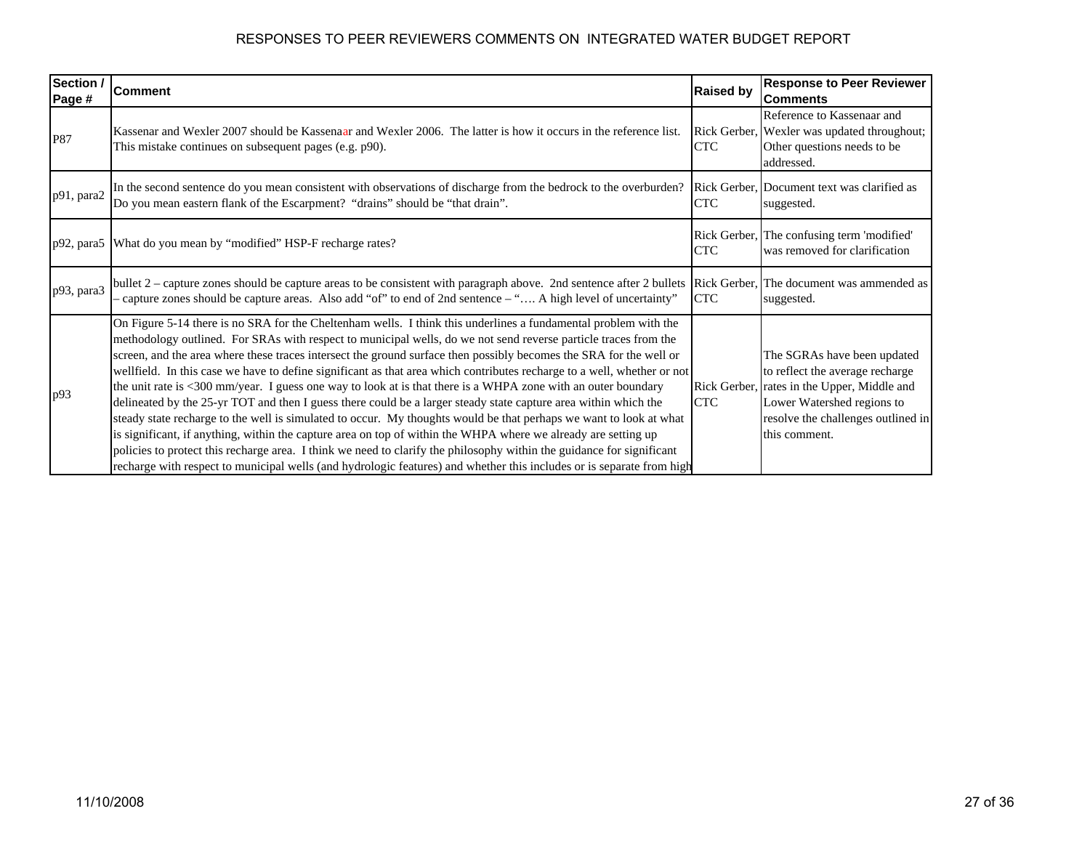| Section /<br>Page # | <b>Comment</b>                                                                                                                                                                                                                                                                                                                                                                                                                                                                                                                                                                                                                                                                                                                                                                                                                                                                                                                                                                                                                                                                                                                                                                                                    | <b>Raised by</b>           | <b>Response to Peer Reviewer</b><br><b>Comments</b>                                                                                                                                   |
|---------------------|-------------------------------------------------------------------------------------------------------------------------------------------------------------------------------------------------------------------------------------------------------------------------------------------------------------------------------------------------------------------------------------------------------------------------------------------------------------------------------------------------------------------------------------------------------------------------------------------------------------------------------------------------------------------------------------------------------------------------------------------------------------------------------------------------------------------------------------------------------------------------------------------------------------------------------------------------------------------------------------------------------------------------------------------------------------------------------------------------------------------------------------------------------------------------------------------------------------------|----------------------------|---------------------------------------------------------------------------------------------------------------------------------------------------------------------------------------|
| P87                 | Kassenar and Wexler 2007 should be Kassenaar and Wexler 2006. The latter is how it occurs in the reference list.<br>This mistake continues on subsequent pages (e.g. p90).                                                                                                                                                                                                                                                                                                                                                                                                                                                                                                                                                                                                                                                                                                                                                                                                                                                                                                                                                                                                                                        | Rick Gerber,<br><b>CTC</b> | Reference to Kassenaar and<br>Wexler was updated throughout;<br>Other questions needs to be<br>addressed.                                                                             |
| p91, para2          | In the second sentence do you mean consistent with observations of discharge from the bedrock to the overburden?<br>Do you mean eastern flank of the Escarpment? "drains" should be "that drain".                                                                                                                                                                                                                                                                                                                                                                                                                                                                                                                                                                                                                                                                                                                                                                                                                                                                                                                                                                                                                 | <b>CTC</b>                 | Rick Gerber, Document text was clarified as<br>suggested.                                                                                                                             |
|                     | p92, para5 What do you mean by "modified" HSP-F recharge rates?                                                                                                                                                                                                                                                                                                                                                                                                                                                                                                                                                                                                                                                                                                                                                                                                                                                                                                                                                                                                                                                                                                                                                   | <b>CTC</b>                 | Rick Gerber, The confusing term 'modified'<br>was removed for clarification                                                                                                           |
| p93, para3          | bullet 2 – capture zones should be capture areas to be consistent with paragraph above. 2nd sentence after 2 bullets Rick Gerber,<br>- capture zones should be capture areas. Also add "of" to end of 2nd sentence – " A high level of uncertainty"                                                                                                                                                                                                                                                                                                                                                                                                                                                                                                                                                                                                                                                                                                                                                                                                                                                                                                                                                               | <b>CTC</b>                 | The document was ammended as<br>suggested.                                                                                                                                            |
| p93                 | On Figure 5-14 there is no SRA for the Cheltenham wells. I think this underlines a fundamental problem with the<br>methodology outlined. For SRAs with respect to municipal wells, do we not send reverse particle traces from the<br>screen, and the area where these traces intersect the ground surface then possibly becomes the SRA for the well or<br>wellfield. In this case we have to define significant as that area which contributes recharge to a well, whether or not<br>the unit rate is <300 mm/year. I guess one way to look at is that there is a WHPA zone with an outer boundary<br>delineated by the 25-yr TOT and then I guess there could be a larger steady state capture area within which the<br>steady state recharge to the well is simulated to occur. My thoughts would be that perhaps we want to look at what<br>is significant, if anything, within the capture area on top of within the WHPA where we already are setting up<br>policies to protect this recharge area. I think we need to clarify the philosophy within the guidance for significant<br>recharge with respect to municipal wells (and hydrologic features) and whether this includes or is separate from high | Rick Gerber,<br><b>CTC</b> | The SGRAs have been updated<br>to reflect the average recharge<br>rates in the Upper, Middle and<br>Lower Watershed regions to<br>resolve the challenges outlined in<br>this comment. |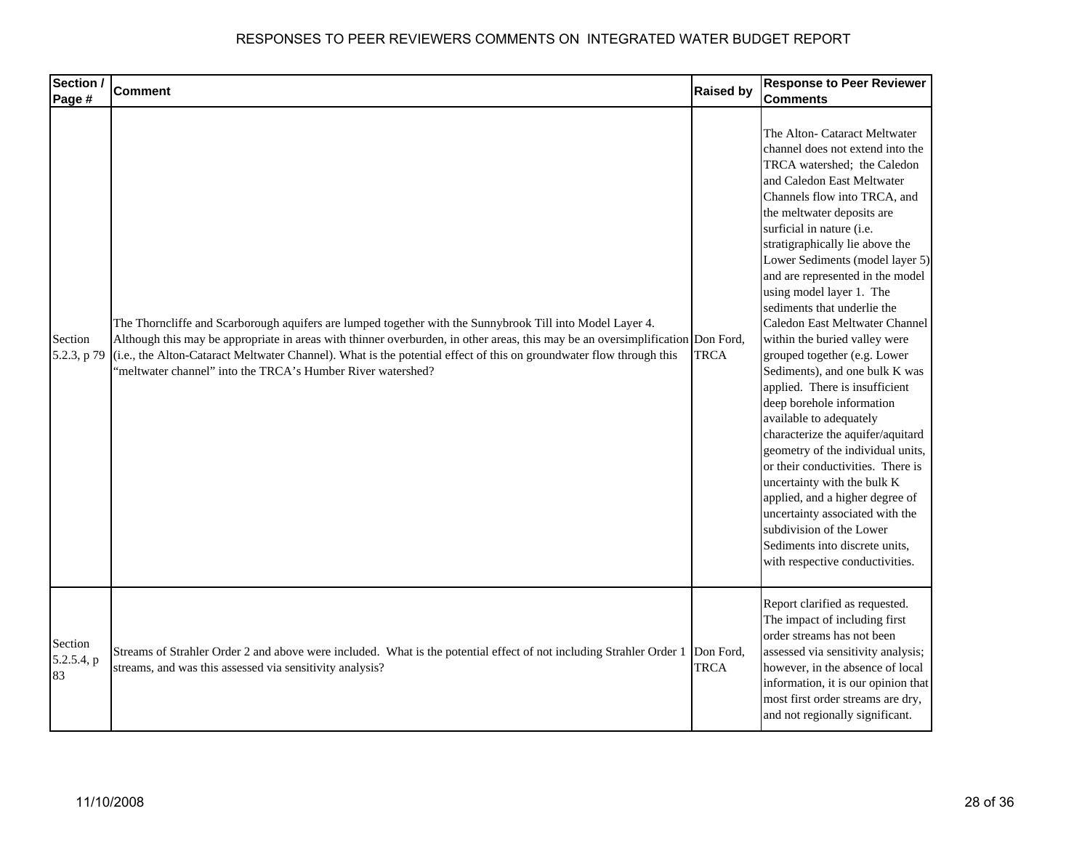| Section /                   | <b>Comment</b>                                                                                                                                                                                                                                                                                                                                                                                                                    | <b>Raised by</b>         | <b>Response to Peer Reviewer</b>                                                                                                                                                                                                                                                                                                                                                                                                                                                                                                                                                                                                                                                                                                                                                                                                                                                                                                                   |
|-----------------------------|-----------------------------------------------------------------------------------------------------------------------------------------------------------------------------------------------------------------------------------------------------------------------------------------------------------------------------------------------------------------------------------------------------------------------------------|--------------------------|----------------------------------------------------------------------------------------------------------------------------------------------------------------------------------------------------------------------------------------------------------------------------------------------------------------------------------------------------------------------------------------------------------------------------------------------------------------------------------------------------------------------------------------------------------------------------------------------------------------------------------------------------------------------------------------------------------------------------------------------------------------------------------------------------------------------------------------------------------------------------------------------------------------------------------------------------|
| Page #                      |                                                                                                                                                                                                                                                                                                                                                                                                                                   |                          | <b>Comments</b>                                                                                                                                                                                                                                                                                                                                                                                                                                                                                                                                                                                                                                                                                                                                                                                                                                                                                                                                    |
| Section<br>5.2.3, p 79      | The Thorncliffe and Scarborough aquifers are lumped together with the Sunnybrook Till into Model Layer 4.<br>Although this may be appropriate in areas with thinner overburden, in other areas, this may be an oversimplification Don Ford,<br>(i.e., the Alton-Cataract Meltwater Channel). What is the potential effect of this on groundwater flow through this<br>'meltwater channel" into the TRCA's Humber River watershed? | <b>TRCA</b>              | The Alton- Cataract Meltwater<br>channel does not extend into the<br>TRCA watershed; the Caledon<br>and Caledon East Meltwater<br>Channels flow into TRCA, and<br>the meltwater deposits are<br>surficial in nature (i.e.<br>stratigraphically lie above the<br>Lower Sediments (model layer 5)<br>and are represented in the model<br>using model layer 1. The<br>sediments that underlie the<br>Caledon East Meltwater Channel<br>within the buried valley were<br>grouped together (e.g. Lower<br>Sediments), and one bulk K was<br>applied. There is insufficient<br>deep borehole information<br>available to adequately<br>characterize the aquifer/aquitard<br>geometry of the individual units,<br>or their conductivities. There is<br>uncertainty with the bulk K<br>applied, and a higher degree of<br>uncertainty associated with the<br>subdivision of the Lower<br>Sediments into discrete units,<br>with respective conductivities. |
| Section<br>5.2.5.4, p<br>83 | Streams of Strahler Order 2 and above were included. What is the potential effect of not including Strahler Order 1<br>streams, and was this assessed via sensitivity analysis?                                                                                                                                                                                                                                                   | Don Ford,<br><b>TRCA</b> | Report clarified as requested.<br>The impact of including first<br>order streams has not been<br>assessed via sensitivity analysis;<br>however, in the absence of local<br>information, it is our opinion that<br>most first order streams are dry,<br>and not regionally significant.                                                                                                                                                                                                                                                                                                                                                                                                                                                                                                                                                                                                                                                             |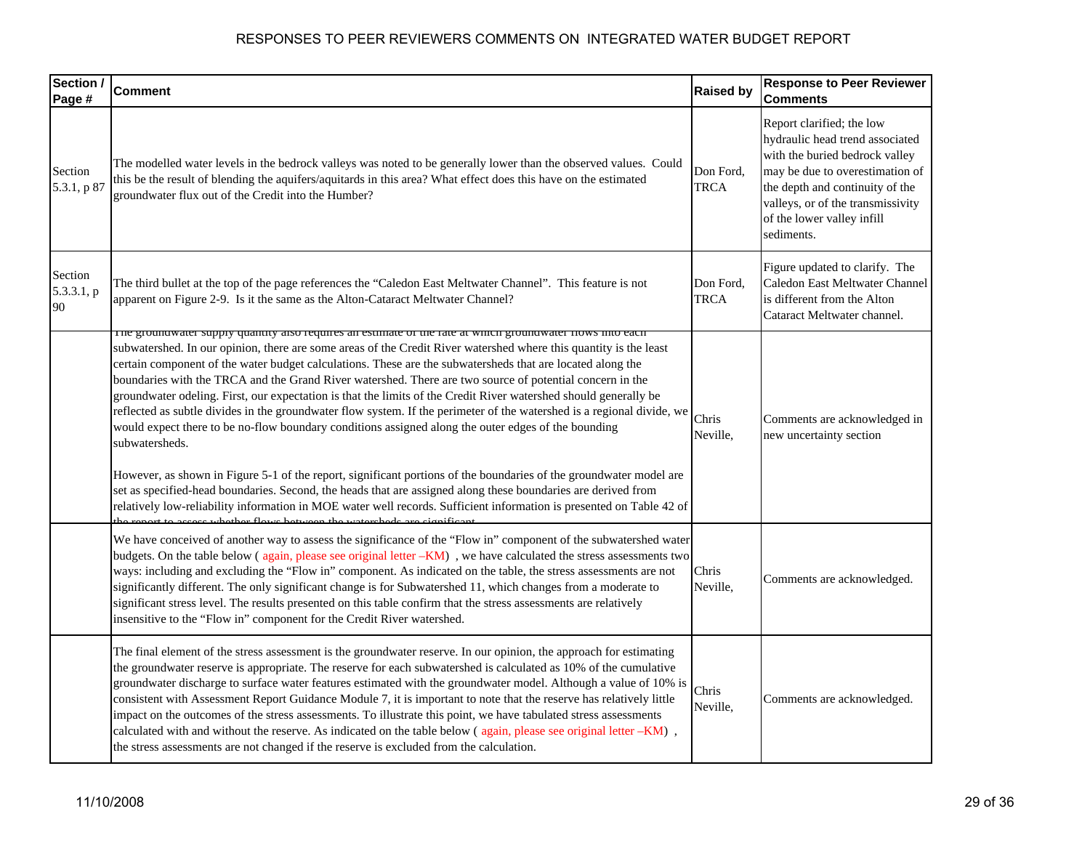| Section /<br>Page #         | <b>Comment</b>                                                                                                                                                                                                                                                                                                                                                                                                                                                                                                                                                                                                                                                                                                                                                                                                                                                                                                                                                                                                                                                                                                                                                                                  | <b>Raised by</b>         | <b>Response to Peer Reviewer</b><br><b>Comments</b>                                                                                                                                                                                                   |
|-----------------------------|-------------------------------------------------------------------------------------------------------------------------------------------------------------------------------------------------------------------------------------------------------------------------------------------------------------------------------------------------------------------------------------------------------------------------------------------------------------------------------------------------------------------------------------------------------------------------------------------------------------------------------------------------------------------------------------------------------------------------------------------------------------------------------------------------------------------------------------------------------------------------------------------------------------------------------------------------------------------------------------------------------------------------------------------------------------------------------------------------------------------------------------------------------------------------------------------------|--------------------------|-------------------------------------------------------------------------------------------------------------------------------------------------------------------------------------------------------------------------------------------------------|
| Section<br>5.3.1, p 87      | The modelled water levels in the bedrock valleys was noted to be generally lower than the observed values. Could<br>this be the result of blending the aquifers/aquitards in this area? What effect does this have on the estimated<br>groundwater flux out of the Credit into the Humber?                                                                                                                                                                                                                                                                                                                                                                                                                                                                                                                                                                                                                                                                                                                                                                                                                                                                                                      | Don Ford,<br><b>TRCA</b> | Report clarified; the low<br>hydraulic head trend associated<br>with the buried bedrock valley<br>may be due to overestimation of<br>the depth and continuity of the<br>valleys, or of the transmissivity<br>of the lower valley infill<br>sediments. |
| Section<br>5.3.3.1, p<br>90 | The third bullet at the top of the page references the "Caledon East Meltwater Channel". This feature is not<br>apparent on Figure 2-9. Is it the same as the Alton-Cataract Meltwater Channel?                                                                                                                                                                                                                                                                                                                                                                                                                                                                                                                                                                                                                                                                                                                                                                                                                                                                                                                                                                                                 | Don Ford,<br><b>TRCA</b> | Figure updated to clarify. The<br>Caledon East Meltwater Channel<br>is different from the Alton<br>Cataract Meltwater channel.                                                                                                                        |
|                             | The groundwater supply quantity also requires an estimate of the rate at which groundwater flows into each<br>subwatershed. In our opinion, there are some areas of the Credit River watershed where this quantity is the least<br>certain component of the water budget calculations. These are the subwatersheds that are located along the<br>boundaries with the TRCA and the Grand River watershed. There are two source of potential concern in the<br>groundwater odeling. First, our expectation is that the limits of the Credit River watershed should generally be<br>reflected as subtle divides in the groundwater flow system. If the perimeter of the watershed is a regional divide, we<br>would expect there to be no-flow boundary conditions assigned along the outer edges of the bounding<br>subwatersheds.<br>However, as shown in Figure 5-1 of the report, significant portions of the boundaries of the groundwater model are<br>set as specified-head boundaries. Second, the heads that are assigned along these boundaries are derived from<br>relatively low-reliability information in MOE water well records. Sufficient information is presented on Table 42 of | Chris<br>Neville,        | Comments are acknowledged in<br>new uncertainty section                                                                                                                                                                                               |
|                             | be report to essess whether flows between the wetersheds are signified<br>We have conceived of another way to assess the significance of the "Flow in" component of the subwatershed water<br>budgets. On the table below (again, please see original letter -KM), we have calculated the stress assessments two<br>ways: including and excluding the "Flow in" component. As indicated on the table, the stress assessments are not<br>significantly different. The only significant change is for Subwatershed 11, which changes from a moderate to<br>significant stress level. The results presented on this table confirm that the stress assessments are relatively<br>insensitive to the "Flow in" component for the Credit River watershed.                                                                                                                                                                                                                                                                                                                                                                                                                                             | Chris<br>Neville,        | Comments are acknowledged.                                                                                                                                                                                                                            |
|                             | The final element of the stress assessment is the groundwater reserve. In our opinion, the approach for estimating<br>the groundwater reserve is appropriate. The reserve for each subwatershed is calculated as 10% of the cumulative<br>groundwater discharge to surface water features estimated with the groundwater model. Although a value of 10% is<br>consistent with Assessment Report Guidance Module 7, it is important to note that the reserve has relatively little<br>impact on the outcomes of the stress assessments. To illustrate this point, we have tabulated stress assessments<br>calculated with and without the reserve. As indicated on the table below (again, please see original letter -KM),<br>the stress assessments are not changed if the reserve is excluded from the calculation.                                                                                                                                                                                                                                                                                                                                                                           | Chris<br>Neville,        | Comments are acknowledged.                                                                                                                                                                                                                            |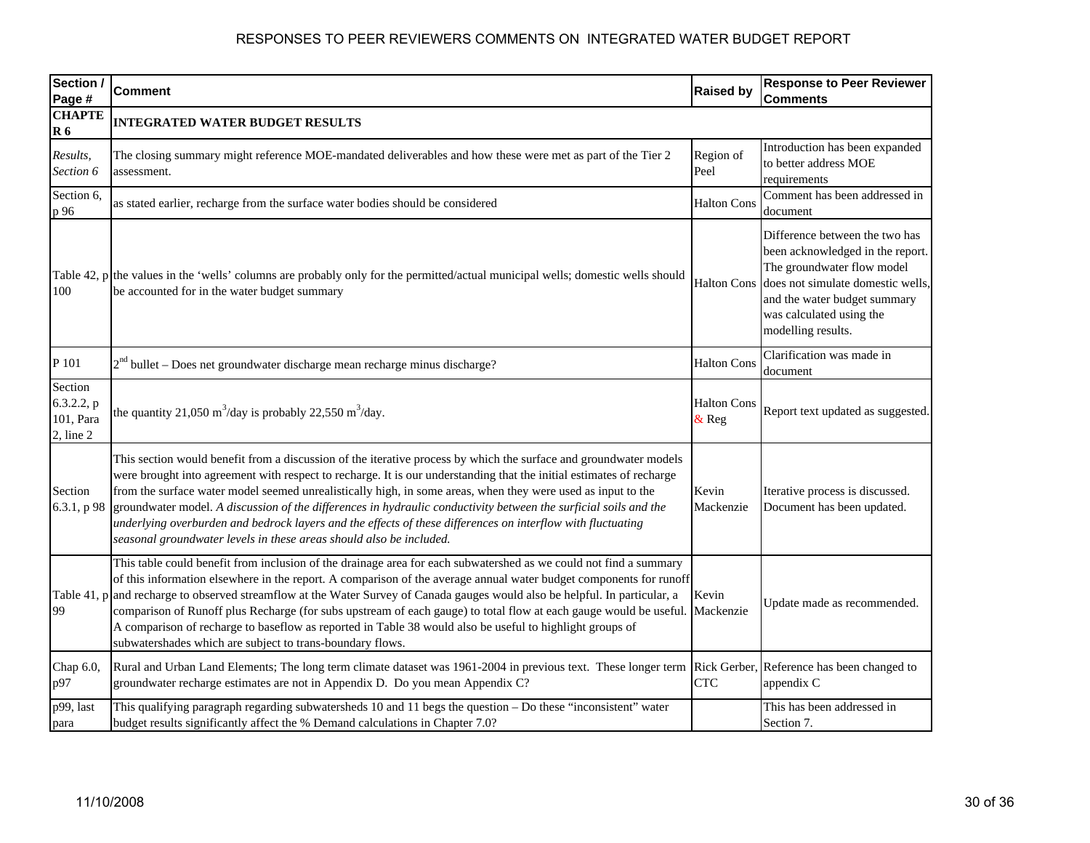| Section /<br>Page #                                  | <b>Comment</b>                                                                                                                                                                                                                                                                                                                                                                                                                                                                                                                                                                                                                                                        | <b>Raised by</b>            | <b>Response to Peer Reviewer</b><br>Comments                                                                                                                                                                            |
|------------------------------------------------------|-----------------------------------------------------------------------------------------------------------------------------------------------------------------------------------------------------------------------------------------------------------------------------------------------------------------------------------------------------------------------------------------------------------------------------------------------------------------------------------------------------------------------------------------------------------------------------------------------------------------------------------------------------------------------|-----------------------------|-------------------------------------------------------------------------------------------------------------------------------------------------------------------------------------------------------------------------|
| <b>CHAPTE</b><br>R <sub>6</sub>                      | <b>INTEGRATED WATER BUDGET RESULTS</b>                                                                                                                                                                                                                                                                                                                                                                                                                                                                                                                                                                                                                                |                             |                                                                                                                                                                                                                         |
| Results,<br>Section 6                                | The closing summary might reference MOE-mandated deliverables and how these were met as part of the Tier 2<br>assessment.                                                                                                                                                                                                                                                                                                                                                                                                                                                                                                                                             | Region of<br>Peel           | Introduction has been expanded<br>to better address MOE<br>requirements                                                                                                                                                 |
| Section 6,<br>p 96                                   | as stated earlier, recharge from the surface water bodies should be considered                                                                                                                                                                                                                                                                                                                                                                                                                                                                                                                                                                                        | <b>Halton Cons</b>          | Comment has been addressed in<br>document                                                                                                                                                                               |
| 100                                                  | Table 42, $p$ the values in the 'wells' columns are probably only for the permitted/actual municipal wells; domestic wells should<br>be accounted for in the water budget summary                                                                                                                                                                                                                                                                                                                                                                                                                                                                                     | <b>Halton Cons</b>          | Difference between the two has<br>been acknowledged in the report.<br>The groundwater flow model<br>does not simulate domestic wells,<br>and the water budget summary<br>was calculated using the<br>modelling results. |
| P 101                                                | $2nd$ bullet – Does net groundwater discharge mean recharge minus discharge?                                                                                                                                                                                                                                                                                                                                                                                                                                                                                                                                                                                          | <b>Halton Cons</b>          | Clarification was made in<br>document                                                                                                                                                                                   |
| Section<br>6.3.2.2, p<br>101, Para<br>$2$ , line $2$ | the quantity 21,050 m <sup>3</sup> /day is probably 22,550 m <sup>3</sup> /day.                                                                                                                                                                                                                                                                                                                                                                                                                                                                                                                                                                                       | <b>Halton Cons</b><br>& Reg | Report text updated as suggested.                                                                                                                                                                                       |
| Section<br>6.3.1, p 98                               | This section would benefit from a discussion of the iterative process by which the surface and groundwater models<br>were brought into agreement with respect to recharge. It is our understanding that the initial estimates of recharge<br>from the surface water model seemed unrealistically high, in some areas, when they were used as input to the<br>groundwater model. A discussion of the differences in hydraulic conductivity between the surficial soils and the<br>underlying overburden and bedrock layers and the effects of these differences on interflow with fluctuating<br>seasonal groundwater levels in these areas should also be included.   | Kevin<br>Mackenzie          | Iterative process is discussed.<br>Document has been updated.                                                                                                                                                           |
| 99                                                   | This table could benefit from inclusion of the drainage area for each subwatershed as we could not find a summary<br>of this information elsewhere in the report. A comparison of the average annual water budget components for runoff<br>Table 41, p and recharge to observed streamflow at the Water Survey of Canada gauges would also be helpful. In particular, a<br>comparison of Runoff plus Recharge (for subs upstream of each gauge) to total flow at each gauge would be useful.<br>A comparison of recharge to baseflow as reported in Table 38 would also be useful to highlight groups of<br>subwatershades which are subject to trans-boundary flows. | Kevin<br>Mackenzie          | Update made as recommended.                                                                                                                                                                                             |
| Chap 6.0,<br>p97                                     | Rural and Urban Land Elements; The long term climate dataset was 1961-2004 in previous text. These longer term Rick Gerber, Reference has been changed to<br>groundwater recharge estimates are not in Appendix D. Do you mean Appendix C?                                                                                                                                                                                                                                                                                                                                                                                                                            | <b>CTC</b>                  | appendix C                                                                                                                                                                                                              |
| p99, last<br>para                                    | This qualifying paragraph regarding subwatersheds 10 and 11 begs the question - Do these "inconsistent" water<br>budget results significantly affect the % Demand calculations in Chapter 7.0?                                                                                                                                                                                                                                                                                                                                                                                                                                                                        |                             | This has been addressed in<br>Section 7.                                                                                                                                                                                |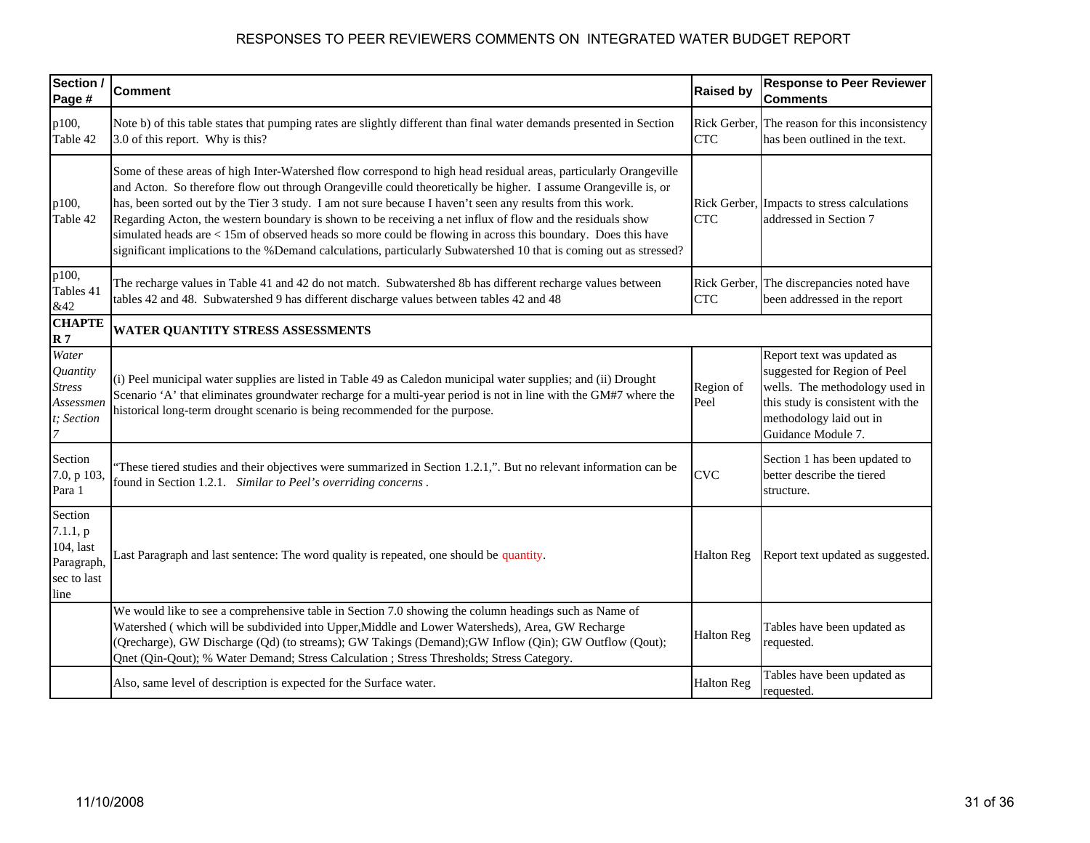| Section /<br>Page #                                                   | <b>Comment</b>                                                                                                                                                                                                                                                                                                                                                                                                                                                                                                                                                                                                                                                                                         | <b>Raised by</b>           | <b>Response to Peer Reviewer</b><br><b>Comments</b>                                                                                                                                |
|-----------------------------------------------------------------------|--------------------------------------------------------------------------------------------------------------------------------------------------------------------------------------------------------------------------------------------------------------------------------------------------------------------------------------------------------------------------------------------------------------------------------------------------------------------------------------------------------------------------------------------------------------------------------------------------------------------------------------------------------------------------------------------------------|----------------------------|------------------------------------------------------------------------------------------------------------------------------------------------------------------------------------|
| p100,<br>Table 42                                                     | Note b) of this table states that pumping rates are slightly different than final water demands presented in Section<br>3.0 of this report. Why is this?                                                                                                                                                                                                                                                                                                                                                                                                                                                                                                                                               | Rick Gerber,<br><b>CTC</b> | The reason for this inconsistency<br>has been outlined in the text.                                                                                                                |
| p100,<br>Table 42                                                     | Some of these areas of high Inter-Watershed flow correspond to high head residual areas, particularly Orangeville<br>and Acton. So therefore flow out through Orangeville could theoretically be higher. I assume Orangeville is, or<br>has, been sorted out by the Tier 3 study. I am not sure because I haven't seen any results from this work.<br>Regarding Acton, the western boundary is shown to be receiving a net influx of flow and the residuals show<br>simulated heads are < 15m of observed heads so more could be flowing in across this boundary. Does this have<br>significant implications to the %Demand calculations, particularly Subwatershed 10 that is coming out as stressed? | <b>CTC</b>                 | Rick Gerber, Impacts to stress calculations<br>addressed in Section 7                                                                                                              |
| p100,<br>Tables 41<br>&42                                             | The recharge values in Table 41 and 42 do not match. Subwatershed 8b has different recharge values between<br>tables 42 and 48. Subwatershed 9 has different discharge values between tables 42 and 48                                                                                                                                                                                                                                                                                                                                                                                                                                                                                                 | Rick Gerber,<br><b>CTC</b> | The discrepancies noted have<br>been addressed in the report                                                                                                                       |
| <b>CHAPTE</b><br>R <sub>7</sub>                                       | WATER QUANTITY STRESS ASSESSMENTS                                                                                                                                                                                                                                                                                                                                                                                                                                                                                                                                                                                                                                                                      |                            |                                                                                                                                                                                    |
| Water<br>Quantity<br><b>Stress</b><br>Assessmen<br>t; Section         | (i) Peel municipal water supplies are listed in Table 49 as Caledon municipal water supplies; and (ii) Drought<br>Scenario 'A' that eliminates groundwater recharge for a multi-year period is not in line with the GM#7 where the<br>historical long-term drought scenario is being recommended for the purpose.                                                                                                                                                                                                                                                                                                                                                                                      | Region of<br>Peel          | Report text was updated as<br>suggested for Region of Peel<br>wells. The methodology used in<br>this study is consistent with the<br>methodology laid out in<br>Guidance Module 7. |
| Section<br>7.0, p 103,<br>Para 1                                      | These tiered studies and their objectives were summarized in Section 1.2.1,". But no relevant information can be<br>found in Section 1.2.1. Similar to Peel's overriding concerns.                                                                                                                                                                                                                                                                                                                                                                                                                                                                                                                     | <b>CVC</b>                 | Section 1 has been updated to<br>better describe the tiered<br>structure.                                                                                                          |
| Section<br>7.1.1, p<br>104, last<br>Paragraph,<br>sec to last<br>line | Last Paragraph and last sentence: The word quality is repeated, one should be quantity.                                                                                                                                                                                                                                                                                                                                                                                                                                                                                                                                                                                                                | <b>Halton Reg</b>          | Report text updated as suggested.                                                                                                                                                  |
|                                                                       | We would like to see a comprehensive table in Section 7.0 showing the column headings such as Name of<br>Watershed (which will be subdivided into Upper, Middle and Lower Watersheds), Area, GW Recharge<br>(Qrecharge), GW Discharge (Qd) (to streams); GW Takings (Demand); GW Inflow (Qin); GW Outflow (Qout);<br>Qnet (Qin-Qout); % Water Demand; Stress Calculation ; Stress Thresholds; Stress Category.                                                                                                                                                                                                                                                                                         | <b>Halton Reg</b>          | Tables have been updated as<br>requested.                                                                                                                                          |
|                                                                       | Also, same level of description is expected for the Surface water.                                                                                                                                                                                                                                                                                                                                                                                                                                                                                                                                                                                                                                     | <b>Halton Reg</b>          | Tables have been updated as<br>requested.                                                                                                                                          |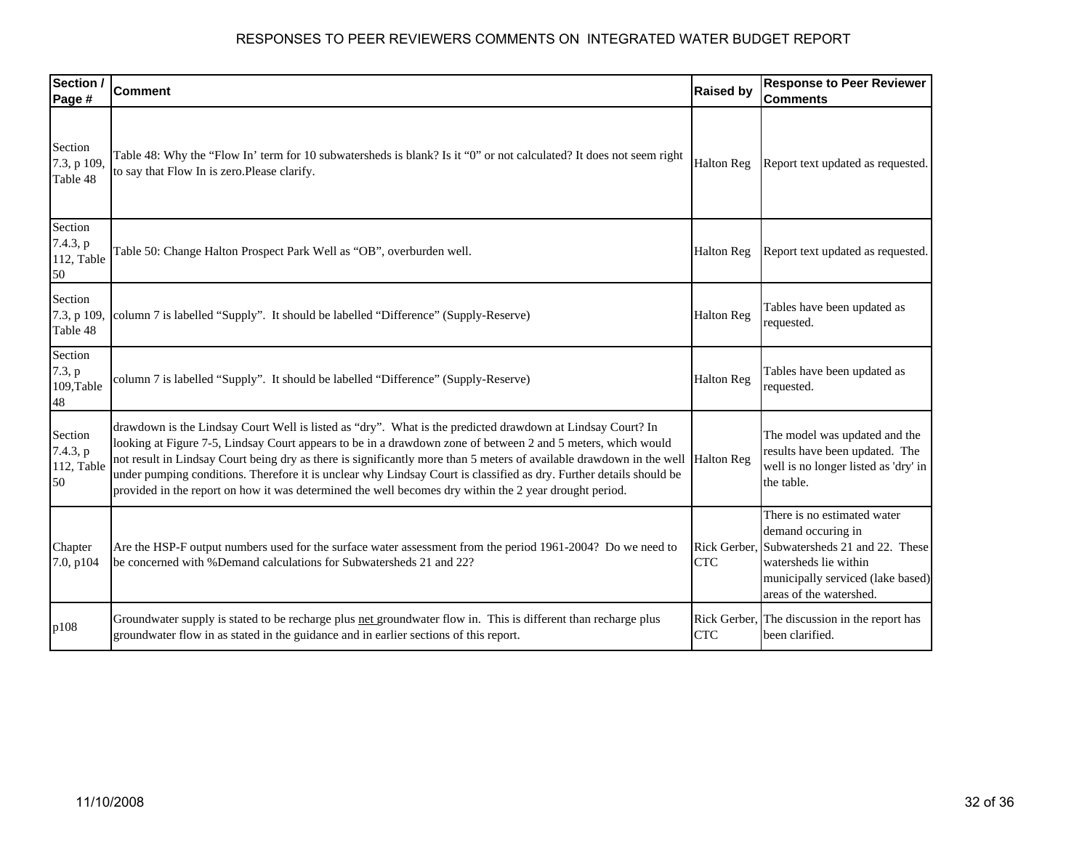| Section /<br>Page #                     | <b>Comment</b>                                                                                                                                                                                                                                                                                                                                                                                                                                                                                                                                                                      | <b>Raised by</b>           | <b>Response to Peer Reviewer</b><br><b>Comments</b>                                                                                                                          |
|-----------------------------------------|-------------------------------------------------------------------------------------------------------------------------------------------------------------------------------------------------------------------------------------------------------------------------------------------------------------------------------------------------------------------------------------------------------------------------------------------------------------------------------------------------------------------------------------------------------------------------------------|----------------------------|------------------------------------------------------------------------------------------------------------------------------------------------------------------------------|
| Section<br>7.3, p 109,<br>Table 48      | Table 48: Why the "Flow In' term for 10 subwatersheds is blank? Is it "0" or not calculated? It does not seem right<br>to say that Flow In is zero.Please clarify.                                                                                                                                                                                                                                                                                                                                                                                                                  | <b>Halton Reg</b>          | Report text updated as requested.                                                                                                                                            |
| Section<br>7.4.3, p<br>112, Table<br>50 | Table 50: Change Halton Prospect Park Well as "OB", overburden well.                                                                                                                                                                                                                                                                                                                                                                                                                                                                                                                | <b>Halton Reg</b>          | Report text updated as requested.                                                                                                                                            |
| Section<br>7.3, p 109,<br>Table 48      | column 7 is labelled "Supply". It should be labelled "Difference" (Supply-Reserve)                                                                                                                                                                                                                                                                                                                                                                                                                                                                                                  | <b>Halton Reg</b>          | Tables have been updated as<br>requested.                                                                                                                                    |
| Section<br>7.3, p<br>109, Table<br>48   | column 7 is labelled "Supply". It should be labelled "Difference" (Supply-Reserve)                                                                                                                                                                                                                                                                                                                                                                                                                                                                                                  | <b>Halton Reg</b>          | Tables have been updated as<br>requested.                                                                                                                                    |
| Section<br>7.4.3, p<br>112, Table<br>50 | drawdown is the Lindsay Court Well is listed as "dry". What is the predicted drawdown at Lindsay Court? In<br>looking at Figure 7-5, Lindsay Court appears to be in a drawdown zone of between 2 and 5 meters, which would<br>not result in Lindsay Court being dry as there is significantly more than 5 meters of available drawdown in the well<br>under pumping conditions. Therefore it is unclear why Lindsay Court is classified as dry. Further details should be<br>provided in the report on how it was determined the well becomes dry within the 2 year drought period. | <b>Halton Reg</b>          | The model was updated and the<br>results have been updated. The<br>well is no longer listed as 'dry' in<br>the table.                                                        |
| Chapter<br>7.0, p104                    | Are the HSP-F output numbers used for the surface water assessment from the period 1961-2004? Do we need to<br>be concerned with %Demand calculations for Subwatersheds 21 and 22?                                                                                                                                                                                                                                                                                                                                                                                                  | Rick Gerber.<br><b>CTC</b> | There is no estimated water<br>demand occuring in<br>Subwatersheds 21 and 22. These<br>watersheds lie within<br>municipally serviced (lake based)<br>areas of the watershed. |
| p108                                    | Groundwater supply is stated to be recharge plus net groundwater flow in. This is different than recharge plus<br>groundwater flow in as stated in the guidance and in earlier sections of this report.                                                                                                                                                                                                                                                                                                                                                                             | Rick Gerber,<br><b>CTC</b> | The discussion in the report has<br>been clarified.                                                                                                                          |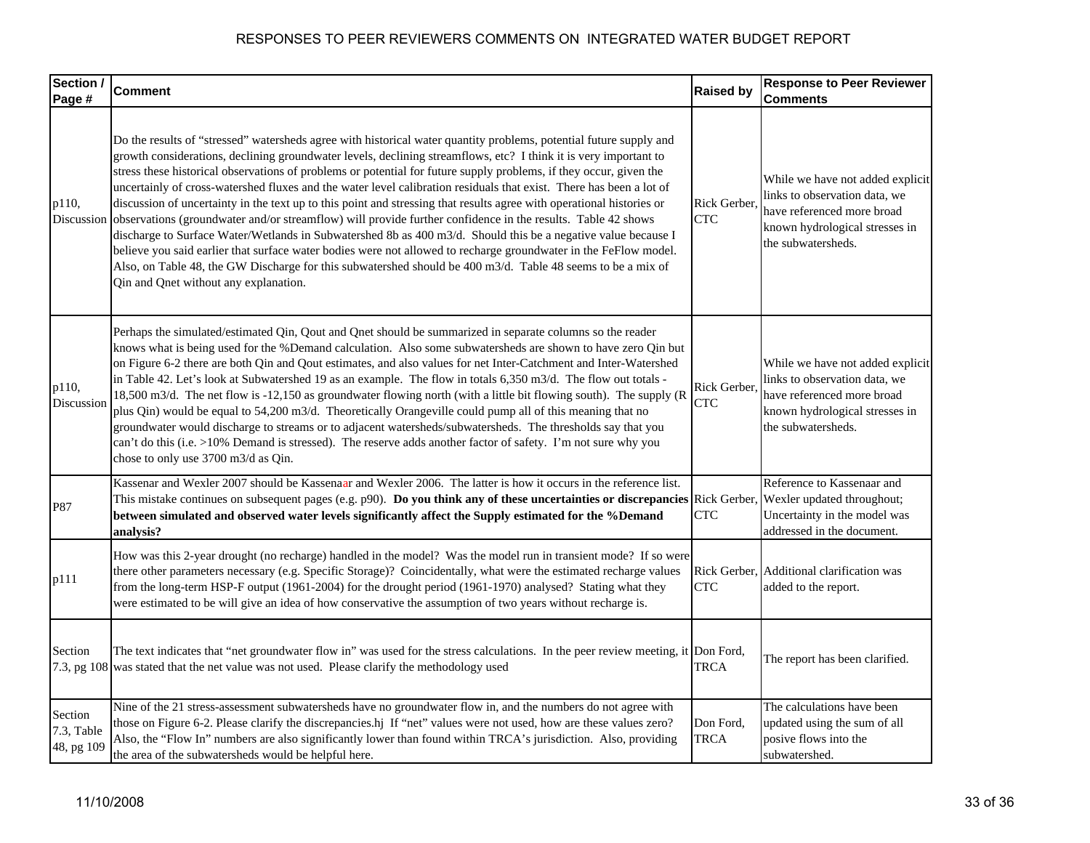| Section /                           | <b>Comment</b>                                                                                                                                                                                                                                                                                                                                                                                                                                                                                                                                                                                                                                                                                                                                                                                                                                                                                                                                                                                                                                                                                                           | <b>Raised by</b>           | <b>Response to Peer Reviewer</b>                                                                                                                        |
|-------------------------------------|--------------------------------------------------------------------------------------------------------------------------------------------------------------------------------------------------------------------------------------------------------------------------------------------------------------------------------------------------------------------------------------------------------------------------------------------------------------------------------------------------------------------------------------------------------------------------------------------------------------------------------------------------------------------------------------------------------------------------------------------------------------------------------------------------------------------------------------------------------------------------------------------------------------------------------------------------------------------------------------------------------------------------------------------------------------------------------------------------------------------------|----------------------------|---------------------------------------------------------------------------------------------------------------------------------------------------------|
| Page #                              |                                                                                                                                                                                                                                                                                                                                                                                                                                                                                                                                                                                                                                                                                                                                                                                                                                                                                                                                                                                                                                                                                                                          |                            | <b>Comments</b>                                                                                                                                         |
| p110,<br>Discussion                 | Do the results of "stressed" watersheds agree with historical water quantity problems, potential future supply and<br>growth considerations, declining groundwater levels, declining streamflows, etc? I think it is very important to<br>stress these historical observations of problems or potential for future supply problems, if they occur, given the<br>uncertainly of cross-watershed fluxes and the water level calibration residuals that exist. There has been a lot of<br>discussion of uncertainty in the text up to this point and stressing that results agree with operational histories or<br>observations (groundwater and/or streamflow) will provide further confidence in the results. Table 42 shows<br>discharge to Surface Water/Wetlands in Subwatershed 8b as 400 m3/d. Should this be a negative value because I<br>believe you said earlier that surface water bodies were not allowed to recharge groundwater in the FeFlow model.<br>Also, on Table 48, the GW Discharge for this subwatershed should be 400 m3/d. Table 48 seems to be a mix of<br>Qin and Qnet without any explanation. | Rick Gerber.<br><b>CTC</b> | While we have not added explicit<br>links to observation data, we<br>have referenced more broad<br>known hydrological stresses in<br>the subwatersheds. |
| p110,<br>Discussion                 | Perhaps the simulated/estimated Qin, Qout and Qnet should be summarized in separate columns so the reader<br>knows what is being used for the %Demand calculation. Also some subwatersheds are shown to have zero Qin but<br>on Figure 6-2 there are both Qin and Qout estimates, and also values for net Inter-Catchment and Inter-Watershed<br>in Table 42. Let's look at Subwatershed 19 as an example. The flow in totals 6,350 m3/d. The flow out totals -<br>18,500 m3/d. The net flow is -12,150 as groundwater flowing north (with a little bit flowing south). The supply (R<br>plus Qin) would be equal to 54,200 m3/d. Theoretically Orangeville could pump all of this meaning that no<br>groundwater would discharge to streams or to adjacent watersheds/subwatersheds. The thresholds say that you<br>can't do this (i.e. >10% Demand is stressed). The reserve adds another factor of safety. I'm not sure why you<br>chose to only use 3700 m3/d as Qin.                                                                                                                                                | Rick Gerber.<br><b>CTC</b> | While we have not added explicit<br>links to observation data, we<br>have referenced more broad<br>known hydrological stresses in<br>the subwatersheds. |
| P87                                 | Kassenar and Wexler 2007 should be Kassenaar and Wexler 2006. The latter is how it occurs in the reference list.<br>This mistake continues on subsequent pages (e.g. p90). Do you think any of these uncertainties or discrepancies Rick Gerber,<br>between simulated and observed water levels significantly affect the Supply estimated for the %Demand<br>analysis?                                                                                                                                                                                                                                                                                                                                                                                                                                                                                                                                                                                                                                                                                                                                                   | <b>CTC</b>                 | Reference to Kassenaar and<br>Wexler updated throughout;<br>Uncertainty in the model was<br>addressed in the document.                                  |
| p111                                | How was this 2-year drought (no recharge) handled in the model? Was the model run in transient mode? If so were<br>there other parameters necessary (e.g. Specific Storage)? Coincidentally, what were the estimated recharge values<br>from the long-term HSP-F output (1961-2004) for the drought period (1961-1970) analysed? Stating what they<br>were estimated to be will give an idea of how conservative the assumption of two years without recharge is.                                                                                                                                                                                                                                                                                                                                                                                                                                                                                                                                                                                                                                                        | <b>CTC</b>                 | Rick Gerber, Additional clarification was<br>added to the report.                                                                                       |
| Section                             | The text indicates that "net groundwater flow in" was used for the stress calculations. In the peer review meeting, it Don Ford,<br>7.3, pg 108 was stated that the net value was not used. Please clarify the methodology used                                                                                                                                                                                                                                                                                                                                                                                                                                                                                                                                                                                                                                                                                                                                                                                                                                                                                          | <b>TRCA</b>                | The report has been clarified.                                                                                                                          |
| Section<br>7.3, Table<br>48, pg 109 | Nine of the 21 stress-assessment subwatersheds have no groundwater flow in, and the numbers do not agree with<br>those on Figure 6-2. Please clarify the discrepancies.hj If "net" values were not used, how are these values zero?<br>Also, the "Flow In" numbers are also significantly lower than found within TRCA's jurisdiction. Also, providing<br>the area of the subwatersheds would be helpful here.                                                                                                                                                                                                                                                                                                                                                                                                                                                                                                                                                                                                                                                                                                           | Don Ford,<br>TRCA          | The calculations have been<br>updated using the sum of all<br>posive flows into the<br>subwatershed.                                                    |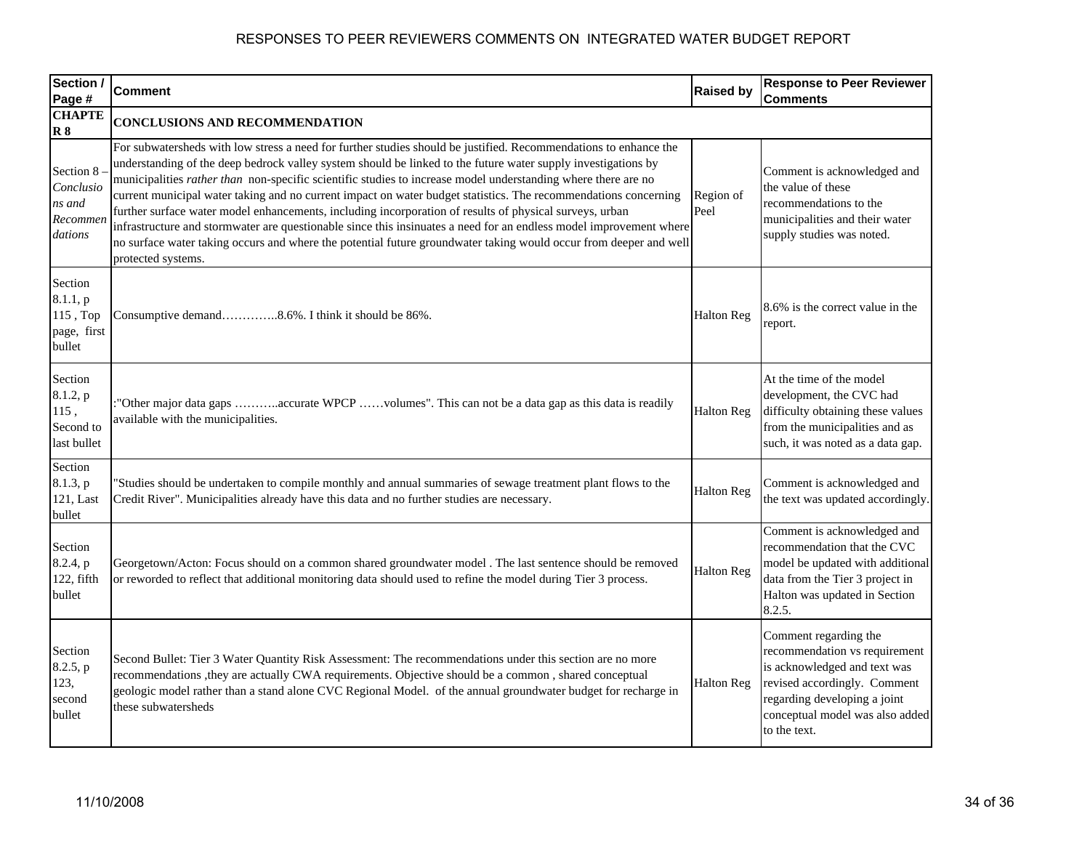| Section /<br>Page #                                      | <b>Comment</b>                                                                                                                                                                                                                                                                                                                                                                                                                                                                                                                                                                                                                                                                                                                                                                                                                                    | <b>Raised by</b>  | <b>Response to Peer Reviewer</b><br><b>Comments</b>                                                                                                                                                       |
|----------------------------------------------------------|---------------------------------------------------------------------------------------------------------------------------------------------------------------------------------------------------------------------------------------------------------------------------------------------------------------------------------------------------------------------------------------------------------------------------------------------------------------------------------------------------------------------------------------------------------------------------------------------------------------------------------------------------------------------------------------------------------------------------------------------------------------------------------------------------------------------------------------------------|-------------------|-----------------------------------------------------------------------------------------------------------------------------------------------------------------------------------------------------------|
| <b>CHAPTE</b><br>R8                                      | <b>CONCLUSIONS AND RECOMMENDATION</b>                                                                                                                                                                                                                                                                                                                                                                                                                                                                                                                                                                                                                                                                                                                                                                                                             |                   |                                                                                                                                                                                                           |
| Section 8<br>Conclusio<br>ns and<br>Recommen<br>dations  | For subwatersheds with low stress a need for further studies should be justified. Recommendations to enhance the<br>understanding of the deep bedrock valley system should be linked to the future water supply investigations by<br>municipalities rather than non-specific scientific studies to increase model understanding where there are no<br>current municipal water taking and no current impact on water budget statistics. The recommendations concerning<br>further surface water model enhancements, including incorporation of results of physical surveys, urban<br>infrastructure and stormwater are questionable since this insinuates a need for an endless model improvement where<br>no surface water taking occurs and where the potential future groundwater taking would occur from deeper and well<br>protected systems. | Region of<br>Peel | Comment is acknowledged and<br>the value of these<br>recommendations to the<br>municipalities and their water<br>supply studies was noted.                                                                |
| Section<br>8.1.1, p<br>115, Top<br>page, first<br>bullet | Consumptive demand8.6%. I think it should be 86%.                                                                                                                                                                                                                                                                                                                                                                                                                                                                                                                                                                                                                                                                                                                                                                                                 | <b>Halton Reg</b> | 8.6% is the correct value in the<br>report.                                                                                                                                                               |
| Section<br>8.1.2, p<br>115,<br>Second to<br>last bullet  | "Other major data gaps accurate WPCP volumes". This can not be a data gap as this data is readily<br>available with the municipalities.                                                                                                                                                                                                                                                                                                                                                                                                                                                                                                                                                                                                                                                                                                           | <b>Halton Reg</b> | At the time of the model<br>development, the CVC had<br>difficulty obtaining these values<br>from the municipalities and as<br>such, it was noted as a data gap.                                          |
| Section<br>8.1.3, p<br>121, Last<br>bullet               | "Studies should be undertaken to compile monthly and annual summaries of sewage treatment plant flows to the<br>Credit River". Municipalities already have this data and no further studies are necessary.                                                                                                                                                                                                                                                                                                                                                                                                                                                                                                                                                                                                                                        | <b>Halton Reg</b> | Comment is acknowledged and<br>the text was updated accordingly.                                                                                                                                          |
| Section<br>8.2.4, p<br>122, fifth<br>bullet              | Georgetown/Acton: Focus should on a common shared groundwater model . The last sentence should be removed<br>or reworded to reflect that additional monitoring data should used to refine the model during Tier 3 process.                                                                                                                                                                                                                                                                                                                                                                                                                                                                                                                                                                                                                        | <b>Halton Reg</b> | Comment is acknowledged and<br>recommendation that the CVC<br>model be updated with additional<br>data from the Tier 3 project in<br>Halton was updated in Section<br>8.2.5.                              |
| Section<br>8.2.5, p<br>123,<br>second<br>bullet          | Second Bullet: Tier 3 Water Quantity Risk Assessment: The recommendations under this section are no more<br>recommendations , they are actually CWA requirements. Objective should be a common, shared conceptual<br>geologic model rather than a stand alone CVC Regional Model. of the annual groundwater budget for recharge in<br>these subwatersheds                                                                                                                                                                                                                                                                                                                                                                                                                                                                                         | <b>Halton Reg</b> | Comment regarding the<br>recommendation vs requirement<br>is acknowledged and text was<br>revised accordingly. Comment<br>regarding developing a joint<br>conceptual model was also added<br>to the text. |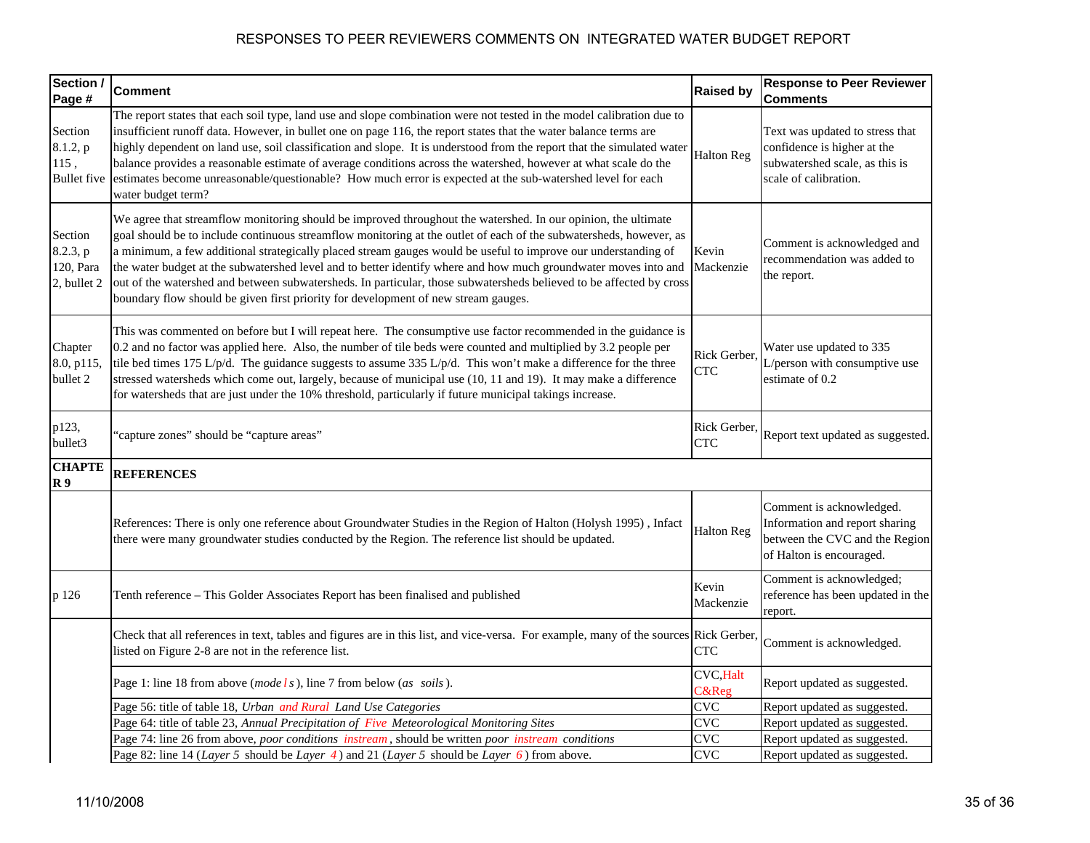| Section /<br>Page #                               | <b>Comment</b>                                                                                                                                                                                                                                                                                                                                                                                                                                                                                                                                                                                                                                                                        | <b>Raised by</b>           | <b>Response to Peer Reviewer</b><br><b>Comments</b>                                                                       |
|---------------------------------------------------|---------------------------------------------------------------------------------------------------------------------------------------------------------------------------------------------------------------------------------------------------------------------------------------------------------------------------------------------------------------------------------------------------------------------------------------------------------------------------------------------------------------------------------------------------------------------------------------------------------------------------------------------------------------------------------------|----------------------------|---------------------------------------------------------------------------------------------------------------------------|
| Section<br>8.1.2, p<br>115,<br><b>Bullet</b> five | The report states that each soil type, land use and slope combination were not tested in the model calibration due to<br>insufficient runoff data. However, in bullet one on page 116, the report states that the water balance terms are<br>highly dependent on land use, soil classification and slope. It is understood from the report that the simulated water<br>balance provides a reasonable estimate of average conditions across the watershed, however at what scale do the<br>estimates become unreasonable/questionable? How much error is expected at the sub-watershed level for each<br>water budget term?                                                            | <b>Halton Reg</b>          | Text was updated to stress that<br>confidence is higher at the<br>subwatershed scale, as this is<br>scale of calibration. |
| Section<br>8.2.3, p<br>120, Para<br>2, bullet 2   | We agree that streamflow monitoring should be improved throughout the watershed. In our opinion, the ultimate<br>goal should be to include continuous streamflow monitoring at the outlet of each of the subwatersheds, however, as<br>a minimum, a few additional strategically placed stream gauges would be useful to improve our understanding of<br>the water budget at the subwatershed level and to better identify where and how much groundwater moves into and<br>out of the watershed and between subwatersheds. In particular, those subwatersheds believed to be affected by cross<br>boundary flow should be given first priority for development of new stream gauges. | Kevin<br>Mackenzie         | Comment is acknowledged and<br>recommendation was added to<br>the report.                                                 |
| Chapter<br>8.0, p115,<br>bullet 2                 | This was commented on before but I will repeat here. The consumptive use factor recommended in the guidance is<br>0.2 and no factor was applied here. Also, the number of tile beds were counted and multiplied by 3.2 people per<br>tile bed times 175 L/p/d. The guidance suggests to assume 335 L/p/d. This won't make a difference for the three<br>stressed watersheds which come out, largely, because of municipal use (10, 11 and 19). It may make a difference<br>for watersheds that are just under the 10% threshold, particularly if future municipal takings increase.                                                                                                   | Rick Gerber,<br><b>CTC</b> | Water use updated to 335<br>L/person with consumptive use<br>estimate of 0.2                                              |
| p123,<br>bullet3                                  | 'capture zones" should be "capture areas"                                                                                                                                                                                                                                                                                                                                                                                                                                                                                                                                                                                                                                             | Rick Gerber,<br><b>CTC</b> | Report text updated as suggested.                                                                                         |
| <b>CHAPTE</b><br>R <sub>9</sub>                   | <b>REFERENCES</b>                                                                                                                                                                                                                                                                                                                                                                                                                                                                                                                                                                                                                                                                     |                            |                                                                                                                           |
|                                                   | References: There is only one reference about Groundwater Studies in the Region of Halton (Holysh 1995), Infact<br>there were many groundwater studies conducted by the Region. The reference list should be updated.                                                                                                                                                                                                                                                                                                                                                                                                                                                                 | <b>Halton Reg</b>          | Comment is acknowledged.<br>Information and report sharing<br>between the CVC and the Region<br>of Halton is encouraged.  |
| p 126                                             | Tenth reference - This Golder Associates Report has been finalised and published                                                                                                                                                                                                                                                                                                                                                                                                                                                                                                                                                                                                      | Kevin<br>Mackenzie         | Comment is acknowledged;<br>reference has been updated in the<br>report.                                                  |
|                                                   | Check that all references in text, tables and figures are in this list, and vice-versa. For example, many of the sources Rick Gerber,<br>listed on Figure 2-8 are not in the reference list.                                                                                                                                                                                                                                                                                                                                                                                                                                                                                          | <b>CTC</b>                 | Comment is acknowledged.                                                                                                  |
|                                                   | Page 1: line 18 from above (mode $ls$ ), line 7 from below (as soils).                                                                                                                                                                                                                                                                                                                                                                                                                                                                                                                                                                                                                | <b>CVC, Halt</b><br>C&Reg  | Report updated as suggested.                                                                                              |
|                                                   | Page 56: title of table 18, Urban and Rural Land Use Categories                                                                                                                                                                                                                                                                                                                                                                                                                                                                                                                                                                                                                       | <b>CVC</b>                 | Report updated as suggested.                                                                                              |
|                                                   | Page 64: title of table 23, Annual Precipitation of Five Meteorological Monitoring Sites                                                                                                                                                                                                                                                                                                                                                                                                                                                                                                                                                                                              | CVC                        | Report updated as suggested.                                                                                              |
|                                                   | Page 74: line 26 from above, <i>poor conditions instream</i> , should be written <i>poor instream conditions</i>                                                                                                                                                                                                                                                                                                                                                                                                                                                                                                                                                                      | CVC                        | Report updated as suggested.                                                                                              |
|                                                   | Page 82: line 14 ( <i>Layer 5</i> should be <i>Layer 4</i> ) and 21 ( <i>Layer 5</i> should be <i>Layer 6</i> ) from above.                                                                                                                                                                                                                                                                                                                                                                                                                                                                                                                                                           | CVC                        | Report updated as suggested.                                                                                              |